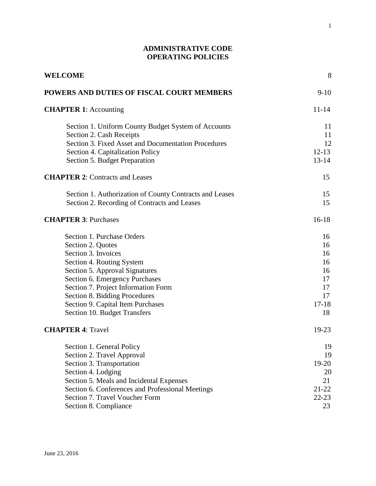# **ADMINISTRATIVE CODE OPERATING POLICIES**

| WELCOME                                                                                                                                                                                                                                                                                                                                          | 8                                                                        |
|--------------------------------------------------------------------------------------------------------------------------------------------------------------------------------------------------------------------------------------------------------------------------------------------------------------------------------------------------|--------------------------------------------------------------------------|
| POWERS AND DUTIES OF FISCAL COURT MEMBERS                                                                                                                                                                                                                                                                                                        | $9-10$                                                                   |
| <b>CHAPTER 1:</b> Accounting                                                                                                                                                                                                                                                                                                                     | $11 - 14$                                                                |
| Section 1. Uniform County Budget System of Accounts<br>Section 2. Cash Receipts<br>Section 3. Fixed Asset and Documentation Procedures<br>Section 4. Capitalization Policy<br>Section 5. Budget Preparation                                                                                                                                      | 11<br>11<br>12<br>$12 - 13$<br>$13 - 14$                                 |
| <b>CHAPTER 2: Contracts and Leases</b>                                                                                                                                                                                                                                                                                                           | 15                                                                       |
| Section 1. Authorization of County Contracts and Leases<br>Section 2. Recording of Contracts and Leases                                                                                                                                                                                                                                          | 15<br>15                                                                 |
| <b>CHAPTER 3: Purchases</b>                                                                                                                                                                                                                                                                                                                      | $16-18$                                                                  |
| Section 1. Purchase Orders<br>Section 2. Quotes<br>Section 3. Invoices<br>Section 4. Routing System<br>Section 5. Approval Signatures<br>Section 6. Emergency Purchases<br>Section 7. Project Information Form<br>Section 8. Bidding Procedures<br>Section 9. Capital Item Purchases<br>Section 10. Budget Transfers<br><b>CHAPTER 4: Travel</b> | 16<br>16<br>16<br>16<br>16<br>17<br>17<br>17<br>$17 - 18$<br>18<br>19-23 |
| Section 1. General Policy<br>Section 2. Travel Approval<br>Section 3. Transportation<br>Section 4. Lodging<br>Section 5. Meals and Incidental Expenses<br>Section 6. Conferences and Professional Meetings<br>Section 7. Travel Voucher Form<br>Section 8. Compliance                                                                            | 19<br>19<br>19-20<br>20<br>21<br>$21 - 22$<br>$22 - 23$<br>23            |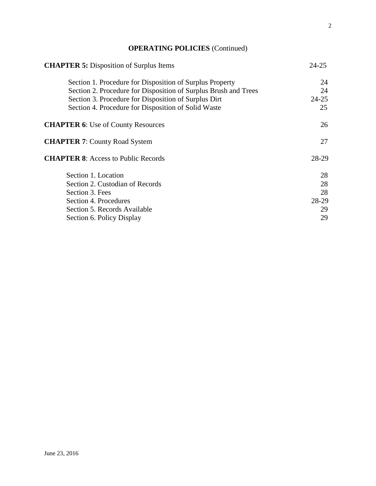# **OPERATING POLICIES** (Continued)

| <b>CHAPTER 5:</b> Disposition of Surplus Items                  | $24 - 25$ |
|-----------------------------------------------------------------|-----------|
| Section 1. Procedure for Disposition of Surplus Property        | 24        |
| Section 2. Procedure for Disposition of Surplus Brush and Trees | 24        |
| Section 3. Procedure for Disposition of Surplus Dirt            | $24 - 25$ |
| Section 4. Procedure for Disposition of Solid Waste             | 25        |
| <b>CHAPTER 6:</b> Use of County Resources                       | 26        |
| <b>CHAPTER 7: County Road System</b>                            | 27        |
| <b>CHAPTER 8:</b> Access to Public Records                      | 28-29     |
| Section 1. Location                                             | 28        |
| Section 2. Custodian of Records                                 | 28        |
| Section 3. Fees                                                 | 28        |
| Section 4. Procedures                                           | 28-29     |
| Section 5. Records Available                                    | 29        |
| Section 6. Policy Display                                       | 29        |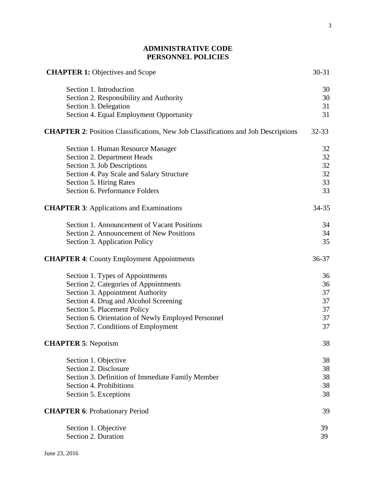# **ADMINISTRATIVE CODE PERSONNEL POLICIES**

| <b>CHAPTER 1: Objectives and Scope</b>                                                   | 30-31     |
|------------------------------------------------------------------------------------------|-----------|
| Section 1. Introduction                                                                  | 30        |
| Section 2. Responsibility and Authority                                                  | 30        |
| Section 3. Delegation                                                                    | 31        |
| Section 4. Equal Employment Opportunity                                                  | 31        |
| <b>CHAPTER 2:</b> Position Classifications, New Job Classifications and Job Descriptions | $32 - 33$ |
| Section 1. Human Resource Manager                                                        | 32        |
| Section 2. Department Heads                                                              | 32        |
| Section 3. Job Descriptions                                                              | 32        |
| Section 4. Pay Scale and Salary Structure                                                | 32        |
| Section 5. Hiring Rates                                                                  | 33        |
| Section 6. Performance Folders                                                           | 33        |
| <b>CHAPTER 3:</b> Applications and Examinations                                          | 34-35     |
| Section 1. Announcement of Vacant Positions                                              | 34        |
| Section 2. Announcement of New Positions                                                 | 34        |
| Section 3. Application Policy                                                            | 35        |
| <b>CHAPTER 4: County Employment Appointments</b>                                         | 36-37     |
| Section 1. Types of Appointments                                                         | 36        |
| Section 2. Categories of Appointments                                                    | 36        |
| Section 3. Appointment Authority                                                         | 37        |
| Section 4. Drug and Alcohol Screening                                                    | 37        |
| Section 5. Placement Policy                                                              | 37        |
| Section 6. Orientation of Newly Employed Personnel                                       | 37        |
| Section 7. Conditions of Employment                                                      | 37        |
| <b>CHAPTER 5: Nepotism</b>                                                               | 38        |
| Section 1. Objective                                                                     | 38        |
| Section 2. Disclosure                                                                    | 38        |
| Section 3. Definition of Immediate Family Member                                         | 38        |
| Section 4. Prohibitions                                                                  | 38        |
| Section 5. Exceptions                                                                    | 38        |
| <b>CHAPTER 6: Probationary Period</b>                                                    | 39        |
| Section 1. Objective                                                                     | 39        |
| Section 2. Duration                                                                      | 39        |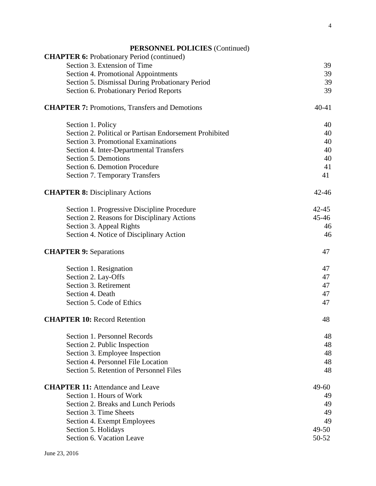| <b>PERSONNEL POLICIES</b> (Continued) |  |  |
|---------------------------------------|--|--|
|---------------------------------------|--|--|

| <b>CHAPTER 6:</b> Probationary Period (continued)       |           |
|---------------------------------------------------------|-----------|
| Section 3. Extension of Time                            | 39        |
| Section 4. Promotional Appointments                     | 39        |
| Section 5. Dismissal During Probationary Period         | 39        |
| Section 6. Probationary Period Reports                  | 39        |
| <b>CHAPTER 7: Promotions, Transfers and Demotions</b>   | $40 - 41$ |
| Section 1. Policy                                       | 40        |
| Section 2. Political or Partisan Endorsement Prohibited | 40        |
| Section 3. Promotional Examinations                     | 40        |
| Section 4. Inter-Departmental Transfers                 | 40        |
| Section 5. Demotions                                    | 40        |
| Section 6. Demotion Procedure                           | 41        |
| <b>Section 7. Temporary Transfers</b>                   | 41        |
| <b>CHAPTER 8: Disciplinary Actions</b>                  | $42 - 46$ |
| Section 1. Progressive Discipline Procedure             | $42 - 45$ |
| Section 2. Reasons for Disciplinary Actions             | $45 - 46$ |
| Section 3. Appeal Rights                                | 46        |
| Section 4. Notice of Disciplinary Action                | 46        |
| <b>CHAPTER 9: Separations</b>                           | 47        |
| Section 1. Resignation                                  | 47        |
| Section 2. Lay-Offs                                     | 47        |
| Section 3. Retirement                                   | 47        |
| Section 4. Death                                        | 47        |
| Section 5. Code of Ethics                               | 47        |
| <b>CHAPTER 10: Record Retention</b>                     | 48        |
| Section 1. Personnel Records                            | 48        |
| Section 2. Public Inspection                            | 48        |
| Section 3. Employee Inspection                          | 48        |
| Section 4. Personnel File Location                      | 48        |
| Section 5. Retention of Personnel Files                 | 48        |
| <b>CHAPTER 11:</b> Attendance and Leave                 | 49-60     |
| Section 1. Hours of Work                                | 49        |
| Section 2. Breaks and Lunch Periods                     | 49        |
| Section 3. Time Sheets                                  | 49        |
| Section 4. Exempt Employees                             | 49        |
| Section 5. Holidays                                     | $49 - 50$ |
| Section 6. Vacation Leave                               | 50-52     |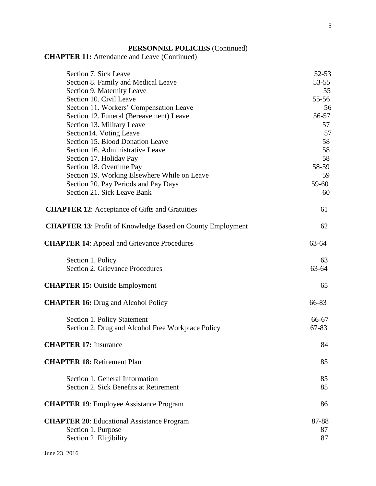# **PERSONNEL POLICIES** (Continued)

# **CHAPTER 11:** Attendance and Leave (Continued)

| Section 7. Sick Leave                                                                             | 52-53             |
|---------------------------------------------------------------------------------------------------|-------------------|
| Section 8. Family and Medical Leave                                                               | 53-55             |
| Section 9. Maternity Leave                                                                        | 55                |
| Section 10. Civil Leave                                                                           | 55-56             |
| Section 11. Workers' Compensation Leave                                                           | 56                |
| Section 12. Funeral (Bereavement) Leave                                                           | 56-57             |
| Section 13. Military Leave                                                                        | 57                |
| Section14. Voting Leave                                                                           | 57                |
| Section 15. Blood Donation Leave                                                                  | 58                |
| Section 16. Administrative Leave                                                                  | 58                |
| Section 17. Holiday Pay                                                                           | 58                |
| Section 18. Overtime Pay                                                                          | 58-59             |
| Section 19. Working Elsewhere While on Leave                                                      | 59                |
| Section 20. Pay Periods and Pay Days                                                              | 59-60             |
| Section 21. Sick Leave Bank                                                                       | 60                |
| <b>CHAPTER 12:</b> Acceptance of Gifts and Gratuities                                             | 61                |
| <b>CHAPTER 13:</b> Profit of Knowledge Based on County Employment                                 | 62                |
| <b>CHAPTER 14:</b> Appeal and Grievance Procedures                                                | 63-64             |
| Section 1. Policy<br><b>Section 2. Grievance Procedures</b>                                       | 63<br>63-64       |
| <b>CHAPTER 15: Outside Employment</b>                                                             | 65                |
| <b>CHAPTER 16:</b> Drug and Alcohol Policy                                                        | 66-83             |
| Section 1. Policy Statement<br>Section 2. Drug and Alcohol Free Workplace Policy                  | 66-67<br>67-83    |
| <b>CHAPTER 17: Insurance</b>                                                                      | 84                |
| <b>CHAPTER 18: Retirement Plan</b>                                                                | 85                |
| Section 1. General Information<br>Section 2. Sick Benefits at Retirement                          | 85<br>85          |
| <b>CHAPTER 19:</b> Employee Assistance Program                                                    | 86                |
| <b>CHAPTER 20:</b> Educational Assistance Program<br>Section 1. Purpose<br>Section 2. Eligibility | 87-88<br>87<br>87 |
|                                                                                                   |                   |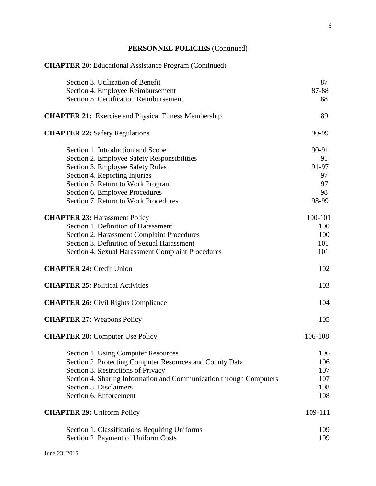# **PERSONNEL POLICIES** (Continued)

| <b>CHAPTER 20:</b> Educational Assistance Program (Continued)      |         |
|--------------------------------------------------------------------|---------|
| Section 3. Utilization of Benefit                                  | 87      |
| Section 4. Employee Reimbursement                                  | 87-88   |
| Section 5. Certification Reimbursement                             | 88      |
| <b>CHAPTER 21:</b> Exercise and Physical Fitness Membership        | 89      |
| <b>CHAPTER 22: Safety Regulations</b>                              | 90-99   |
| Section 1. Introduction and Scope                                  | 90-91   |
| Section 2. Employee Safety Responsibilities                        | 91      |
| Section 3. Employee Safety Rules                                   | 91-97   |
| Section 4. Reporting Injuries                                      | 97      |
| Section 5. Return to Work Program                                  | 97      |
| Section 6. Employee Procedures                                     | 98      |
| Section 7. Return to Work Procedures                               | 98-99   |
| <b>CHAPTER 23: Harassment Policy</b>                               | 100-101 |
| Section 1. Definition of Harassment                                | 100     |
| Section 2. Harassment Complaint Procedures                         | 100     |
| Section 3. Definition of Sexual Harassment                         | 101     |
| Section 4. Sexual Harassment Complaint Procedures                  | 101     |
| <b>CHAPTER 24: Credit Union</b>                                    | 102     |
| <b>CHAPTER 25: Political Activities</b>                            | 103     |
| <b>CHAPTER 26:</b> Civil Rights Compliance                         | 104     |
| <b>CHAPTER 27: Weapons Policy</b>                                  | 105     |
| <b>CHAPTER 28: Computer Use Policy</b>                             | 106-108 |
| Section 1. Using Computer Resources                                | 106     |
| Section 2. Protecting Computer Resources and County Data           | 106     |
| Section 3. Restrictions of Privacy                                 | 107     |
| Section 4. Sharing Information and Communication through Computers | 107     |
| Section 5. Disclaimers                                             | 108     |
| Section 6. Enforcement                                             | 108     |
| <b>CHAPTER 29: Uniform Policy</b>                                  | 109-111 |
| Section 1. Classifications Requiring Uniforms                      | 109     |
| Section 2. Payment of Uniform Costs                                | 109     |
|                                                                    |         |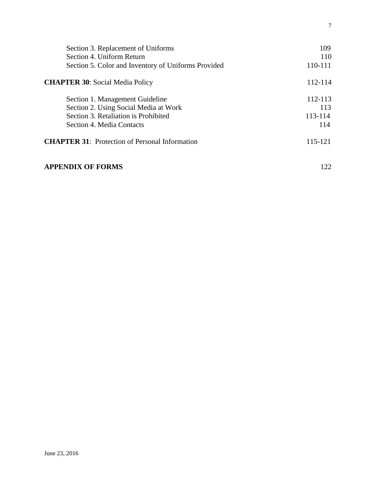| Section 3. Replacement of Uniforms                    | 109     |
|-------------------------------------------------------|---------|
| Section 4. Uniform Return                             | 110     |
| Section 5. Color and Inventory of Uniforms Provided   | 110-111 |
| <b>CHAPTER 30: Social Media Policy</b>                | 112-114 |
| Section 1. Management Guideline                       | 112-113 |
| Section 2. Using Social Media at Work                 | 113     |
| Section 3. Retaliation is Prohibited                  | 113-114 |
| Section 4. Media Contacts                             | 114     |
| <b>CHAPTER 31:</b> Protection of Personal Information | 115-121 |
| <b>APPENDIX OF FORMS</b>                              | 122     |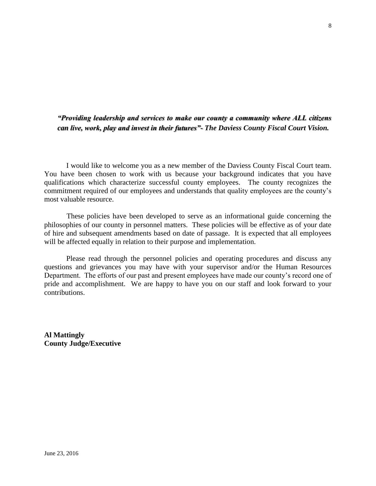## *"Providing leadership and services to make our county a community where ALL citizens can live, work, play and invest in their futures"- The Daviess County Fiscal Court Vision.*

 I would like to welcome you as a new member of the Daviess County Fiscal Court team. You have been chosen to work with us because your background indicates that you have qualifications which characterize successful county employees. The county recognizes the commitment required of our employees and understands that quality employees are the county's most valuable resource.

 These policies have been developed to serve as an informational guide concerning the philosophies of our county in personnel matters. These policies will be effective as of your date of hire and subsequent amendments based on date of passage. It is expected that all employees will be affected equally in relation to their purpose and implementation.

Please read through the personnel policies and operating procedures and discuss any questions and grievances you may have with your supervisor and/or the Human Resources Department. The efforts of our past and present employees have made our county's record one of pride and accomplishment. We are happy to have you on our staff and look forward to your contributions.

**Al Mattingly County Judge/Executive**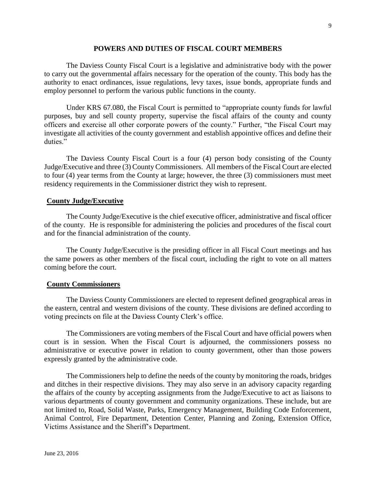#### **POWERS AND DUTIES OF FISCAL COURT MEMBERS**

The Daviess County Fiscal Court is a legislative and administrative body with the power to carry out the governmental affairs necessary for the operation of the county. This body has the authority to enact ordinances, issue regulations, levy taxes, issue bonds, appropriate funds and employ personnel to perform the various public functions in the county.

Under KRS 67.080, the Fiscal Court is permitted to "appropriate county funds for lawful purposes, buy and sell county property, supervise the fiscal affairs of the county and county officers and exercise all other corporate powers of the county." Further, "the Fiscal Court may investigate all activities of the county government and establish appointive offices and define their duties."

The Daviess County Fiscal Court is a four (4) person body consisting of the County Judge/Executive and three (3) County Commissioners. All members of the Fiscal Court are elected to four (4) year terms from the County at large; however, the three (3) commissioners must meet residency requirements in the Commissioner district they wish to represent.

#### **County Judge/Executive**

The County Judge/Executive is the chief executive officer, administrative and fiscal officer of the county. He is responsible for administering the policies and procedures of the fiscal court and for the financial administration of the county.

The County Judge/Executive is the presiding officer in all Fiscal Court meetings and has the same powers as other members of the fiscal court, including the right to vote on all matters coming before the court.

#### **County Commissioners**

The Daviess County Commissioners are elected to represent defined geographical areas in the eastern, central and western divisions of the county. These divisions are defined according to voting precincts on file at the Daviess County Clerk's office.

The Commissioners are voting members of the Fiscal Court and have official powers when court is in session. When the Fiscal Court is adjourned, the commissioners possess no administrative or executive power in relation to county government, other than those powers expressly granted by the administrative code.

The Commissioners help to define the needs of the county by monitoring the roads, bridges and ditches in their respective divisions. They may also serve in an advisory capacity regarding the affairs of the county by accepting assignments from the Judge/Executive to act as liaisons to various departments of county government and community organizations. These include, but are not limited to, Road, Solid Waste, Parks, Emergency Management, Building Code Enforcement, Animal Control, Fire Department, Detention Center, Planning and Zoning, Extension Office, Victims Assistance and the Sheriff's Department.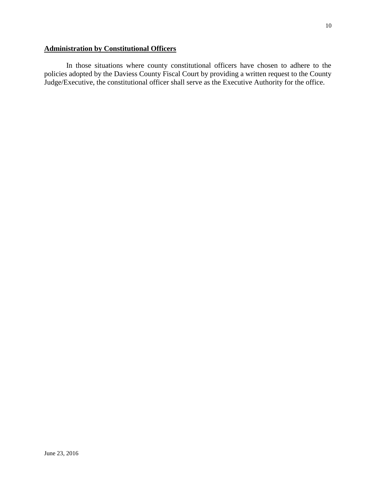# **Administration by Constitutional Officers**

In those situations where county constitutional officers have chosen to adhere to the policies adopted by the Daviess County Fiscal Court by providing a written request to the County Judge/Executive, the constitutional officer shall serve as the Executive Authority for the office.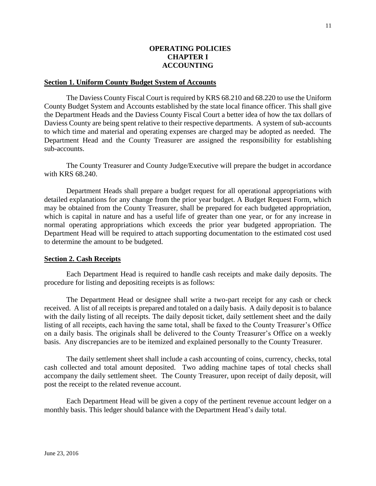#### **OPERATING POLICIES CHAPTER I ACCOUNTING**

#### **Section 1. Uniform County Budget System of Accounts**

The Daviess County Fiscal Court is required by KRS 68.210 and 68.220 to use the Uniform County Budget System and Accounts established by the state local finance officer. This shall give the Department Heads and the Daviess County Fiscal Court a better idea of how the tax dollars of Daviess County are being spent relative to their respective departments. A system of sub-accounts to which time and material and operating expenses are charged may be adopted as needed. The Department Head and the County Treasurer are assigned the responsibility for establishing sub-accounts.

The County Treasurer and County Judge/Executive will prepare the budget in accordance with KRS 68.240.

Department Heads shall prepare a budget request for all operational appropriations with detailed explanations for any change from the prior year budget. A Budget Request Form, which may be obtained from the County Treasurer, shall be prepared for each budgeted appropriation, which is capital in nature and has a useful life of greater than one year, or for any increase in normal operating appropriations which exceeds the prior year budgeted appropriation. The Department Head will be required to attach supporting documentation to the estimated cost used to determine the amount to be budgeted.

#### **Section 2. Cash Receipts**

Each Department Head is required to handle cash receipts and make daily deposits. The procedure for listing and depositing receipts is as follows:

The Department Head or designee shall write a two-part receipt for any cash or check received. A list of all receipts is prepared and totaled on a daily basis. A daily deposit is to balance with the daily listing of all receipts. The daily deposit ticket, daily settlement sheet and the daily listing of all receipts, each having the same total, shall be faxed to the County Treasurer's Office on a daily basis. The originals shall be delivered to the County Treasurer's Office on a weekly basis. Any discrepancies are to be itemized and explained personally to the County Treasurer.

The daily settlement sheet shall include a cash accounting of coins, currency, checks, total cash collected and total amount deposited. Two adding machine tapes of total checks shall accompany the daily settlement sheet. The County Treasurer, upon receipt of daily deposit, will post the receipt to the related revenue account.

Each Department Head will be given a copy of the pertinent revenue account ledger on a monthly basis. This ledger should balance with the Department Head's daily total.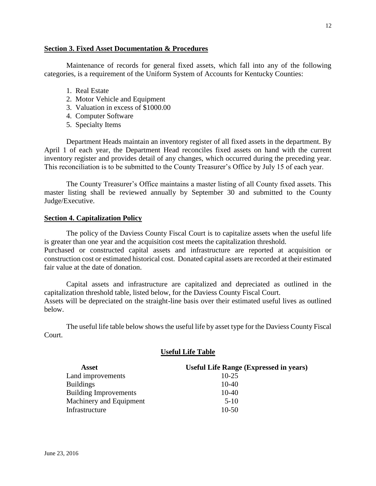#### **Section 3. Fixed Asset Documentation & Procedures**

Maintenance of records for general fixed assets, which fall into any of the following categories, is a requirement of the Uniform System of Accounts for Kentucky Counties:

- 1. Real Estate
- 2. Motor Vehicle and Equipment
- 3. Valuation in excess of \$1000.00
- 4. Computer Software
- 5. Specialty Items

Department Heads maintain an inventory register of all fixed assets in the department. By April 1 of each year, the Department Head reconciles fixed assets on hand with the current inventory register and provides detail of any changes, which occurred during the preceding year. This reconciliation is to be submitted to the County Treasurer's Office by July 15 of each year.

The County Treasurer's Office maintains a master listing of all County fixed assets. This master listing shall be reviewed annually by September 30 and submitted to the County Judge/Executive.

#### **Section 4. Capitalization Policy**

The policy of the Daviess County Fiscal Court is to capitalize assets when the useful life is greater than one year and the acquisition cost meets the capitalization threshold. Purchased or constructed capital assets and infrastructure are reported at acquisition or construction cost or estimated historical cost. Donated capital assets are recorded at their estimated fair value at the date of donation.

Capital assets and infrastructure are capitalized and depreciated as outlined in the capitalization threshold table, listed below, for the Daviess County Fiscal Court. Assets will be depreciated on the straight-line basis over their estimated useful lives as outlined below.

The useful life table below shows the useful life by asset type for the Daviess County Fiscal Court.

#### **Useful Life Table**

| Asset                        | <b>Useful Life Range (Expressed in years)</b> |
|------------------------------|-----------------------------------------------|
| Land improvements            | $10 - 25$                                     |
| <b>Buildings</b>             | $10-40$                                       |
| <b>Building Improvements</b> | $10-40$                                       |
| Machinery and Equipment      | $5-10$                                        |
| Infrastructure               | $10-50$                                       |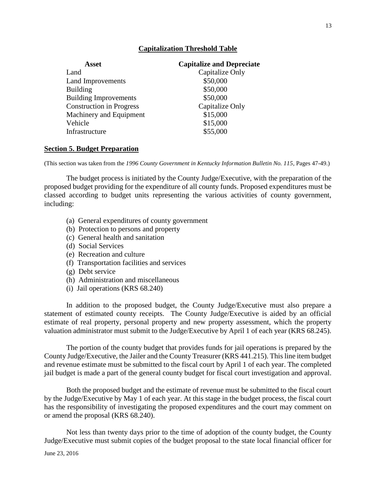#### **Capitalization Threshold Table**

| Asset                           | <b>Capitalize and Depreciate</b> |
|---------------------------------|----------------------------------|
| Land                            | Capitalize Only                  |
| Land Improvements               | \$50,000                         |
| <b>Building</b>                 | \$50,000                         |
| <b>Building Improvements</b>    | \$50,000                         |
| <b>Construction in Progress</b> | Capitalize Only                  |
| Machinery and Equipment         | \$15,000                         |
| Vehicle                         | \$15,000                         |
| Infrastructure                  | \$55,000                         |

#### **Section 5. Budget Preparation**

(This section was taken from the *1996 County Government in Kentucky Information Bulletin No. 115*, Pages 47-49.)

The budget process is initiated by the County Judge/Executive, with the preparation of the proposed budget providing for the expenditure of all county funds. Proposed expenditures must be classed according to budget units representing the various activities of county government, including:

- (a) General expenditures of county government
- (b) Protection to persons and property
- (c) General health and sanitation
- (d) Social Services
- (e) Recreation and culture
- (f) Transportation facilities and services
- (g) Debt service
- (h) Administration and miscellaneous
- (i) Jail operations (KRS 68.240)

In addition to the proposed budget, the County Judge/Executive must also prepare a statement of estimated county receipts. The County Judge/Executive is aided by an official estimate of real property, personal property and new property assessment, which the property valuation administrator must submit to the Judge/Executive by April 1 of each year (KRS 68.245).

The portion of the county budget that provides funds for jail operations is prepared by the County Judge/Executive, the Jailer and the County Treasurer (KRS 441.215). This line item budget and revenue estimate must be submitted to the fiscal court by April 1 of each year. The completed jail budget is made a part of the general county budget for fiscal court investigation and approval.

Both the proposed budget and the estimate of revenue must be submitted to the fiscal court by the Judge/Executive by May 1 of each year. At this stage in the budget process, the fiscal court has the responsibility of investigating the proposed expenditures and the court may comment on or amend the proposal (KRS 68.240).

Not less than twenty days prior to the time of adoption of the county budget, the County Judge/Executive must submit copies of the budget proposal to the state local financial officer for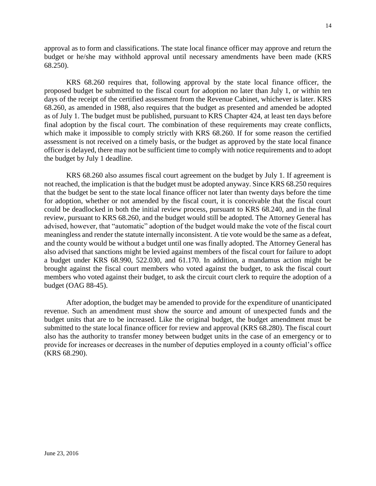approval as to form and classifications. The state local finance officer may approve and return the budget or he/she may withhold approval until necessary amendments have been made (KRS 68.250).

KRS 68.260 requires that, following approval by the state local finance officer, the proposed budget be submitted to the fiscal court for adoption no later than July 1, or within ten days of the receipt of the certified assessment from the Revenue Cabinet, whichever is later. KRS 68.260, as amended in 1988, also requires that the budget as presented and amended be adopted as of July 1. The budget must be published, pursuant to KRS Chapter 424, at least ten days before final adoption by the fiscal court. The combination of these requirements may create conflicts, which make it impossible to comply strictly with KRS 68.260. If for some reason the certified assessment is not received on a timely basis, or the budget as approved by the state local finance officer is delayed, there may not be sufficient time to comply with notice requirements and to adopt the budget by July 1 deadline.

KRS 68.260 also assumes fiscal court agreement on the budget by July 1. If agreement is not reached, the implication is that the budget must be adopted anyway. Since KRS 68.250 requires that the budget be sent to the state local finance officer not later than twenty days before the time for adoption, whether or not amended by the fiscal court, it is conceivable that the fiscal court could be deadlocked in both the initial review process, pursuant to KRS 68.240, and in the final review, pursuant to KRS 68.260, and the budget would still be adopted. The Attorney General has advised, however, that "automatic" adoption of the budget would make the vote of the fiscal court meaningless and render the statute internally inconsistent. A tie vote would be the same as a defeat, and the county would be without a budget until one was finally adopted. The Attorney General has also advised that sanctions might be levied against members of the fiscal court for failure to adopt a budget under KRS 68.990, 522.030, and 61.170. In addition, a mandamus action might be brought against the fiscal court members who voted against the budget, to ask the fiscal court members who voted against their budget, to ask the circuit court clerk to require the adoption of a budget (OAG 88-45).

After adoption, the budget may be amended to provide for the expenditure of unanticipated revenue. Such an amendment must show the source and amount of unexpected funds and the budget units that are to be increased. Like the original budget, the budget amendment must be submitted to the state local finance officer for review and approval (KRS 68.280). The fiscal court also has the authority to transfer money between budget units in the case of an emergency or to provide for increases or decreases in the number of deputies employed in a county official's office (KRS 68.290).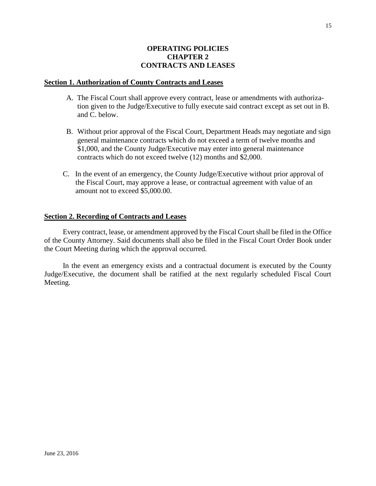#### **OPERATING POLICIES CHAPTER 2 CONTRACTS AND LEASES**

#### **Section 1. Authorization of County Contracts and Leases**

- A. The Fiscal Court shall approve every contract, lease or amendments with authoriza tion given to the Judge/Executive to fully execute said contract except as set out in B. and C. below.
- B. Without prior approval of the Fiscal Court, Department Heads may negotiate and sign general maintenance contracts which do not exceed a term of twelve months and \$1,000, and the County Judge/Executive may enter into general maintenance contracts which do not exceed twelve (12) months and \$2,000.
- C. In the event of an emergency, the County Judge/Executive without prior approval of the Fiscal Court, may approve a lease, or contractual agreement with value of an amount not to exceed \$5,000.00.

#### **Section 2. Recording of Contracts and Leases**

Every contract, lease, or amendment approved by the Fiscal Court shall be filed in the Office of the County Attorney. Said documents shall also be filed in the Fiscal Court Order Book under the Court Meeting during which the approval occurred.

In the event an emergency exists and a contractual document is executed by the County Judge/Executive, the document shall be ratified at the next regularly scheduled Fiscal Court Meeting.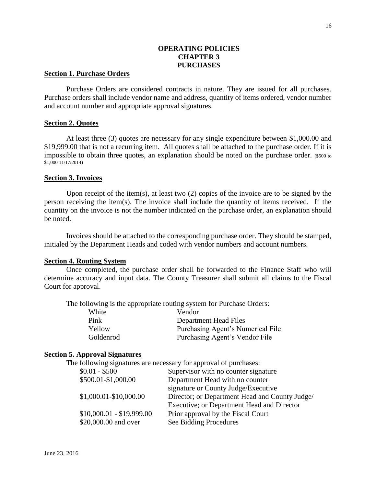#### **OPERATING POLICIES CHAPTER 3 PURCHASES**

#### **Section 1. Purchase Orders**

Purchase Orders are considered contracts in nature. They are issued for all purchases. Purchase orders shall include vendor name and address, quantity of items ordered, vendor number and account number and appropriate approval signatures.

#### **Section 2. Quotes**

At least three (3) quotes are necessary for any single expenditure between \$1,000.00 and \$19,999.00 that is not a recurring item. All quotes shall be attached to the purchase order. If it is impossible to obtain three quotes, an explanation should be noted on the purchase order. (\$500 to \$1,000 11/17/2014)

#### **Section 3. Invoices**

Upon receipt of the item(s), at least two (2) copies of the invoice are to be signed by the person receiving the item(s). The invoice shall include the quantity of items received. If the quantity on the invoice is not the number indicated on the purchase order, an explanation should be noted.

Invoices should be attached to the corresponding purchase order. They should be stamped, initialed by the Department Heads and coded with vendor numbers and account numbers.

#### **Section 4. Routing System**

Once completed, the purchase order shall be forwarded to the Finance Staff who will determine accuracy and input data. The County Treasurer shall submit all claims to the Fiscal Court for approval.

The following is the appropriate routing system for Purchase Orders:

| White     | Vendor                            |
|-----------|-----------------------------------|
| Pink      | Department Head Files             |
| Yellow    | Purchasing Agent's Numerical File |
| Goldenrod | Purchasing Agent's Vendor File    |

#### **Section 5. Approval Signatures**

The following signatures are necessary for approval of purchases: \$0.01 - \$500 Supervisor with no counter signature \$500.01-\$1,000.00 Department Head with no counter signature or County Judge/Executive \$1,000.01-\$10,000.00 Director; or Department Head and County Judge/ Executive; or Department Head and Director \$10,000.01 - \$19,999.00 Prior approval by the Fiscal Court \$20,000.00 and over See Bidding Procedures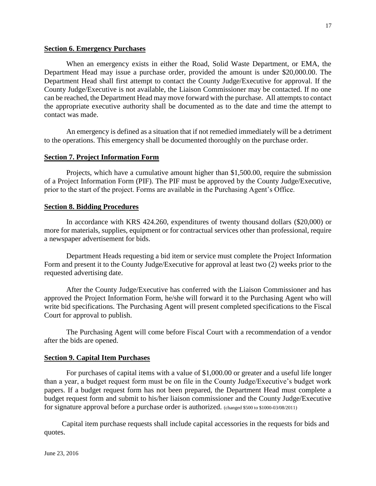#### **Section 6. Emergency Purchases**

When an emergency exists in either the Road, Solid Waste Department, or EMA, the Department Head may issue a purchase order, provided the amount is under \$20,000.00. The Department Head shall first attempt to contact the County Judge/Executive for approval. If the County Judge/Executive is not available, the Liaison Commissioner may be contacted. If no one can be reached, the Department Head may move forward with the purchase. All attempts to contact the appropriate executive authority shall be documented as to the date and time the attempt to contact was made.

An emergency is defined as a situation that if not remedied immediately will be a detriment to the operations. This emergency shall be documented thoroughly on the purchase order.

#### **Section 7. Project Information Form**

Projects, which have a cumulative amount higher than \$1,500.00, require the submission of a Project Information Form (PIF). The PIF must be approved by the County Judge/Executive, prior to the start of the project. Forms are available in the Purchasing Agent's Office.

#### **Section 8. Bidding Procedures**

In accordance with KRS 424.260, expenditures of twenty thousand dollars (\$20,000) or more for materials, supplies, equipment or for contractual services other than professional, require a newspaper advertisement for bids.

Department Heads requesting a bid item or service must complete the Project Information Form and present it to the County Judge/Executive for approval at least two (2) weeks prior to the requested advertising date.

After the County Judge/Executive has conferred with the Liaison Commissioner and has approved the Project Information Form, he/she will forward it to the Purchasing Agent who will write bid specifications. The Purchasing Agent will present completed specifications to the Fiscal Court for approval to publish.

The Purchasing Agent will come before Fiscal Court with a recommendation of a vendor after the bids are opened.

#### **Section 9. Capital Item Purchases**

For purchases of capital items with a value of \$1,000.00 or greater and a useful life longer than a year, a budget request form must be on file in the County Judge/Executive's budget work papers. If a budget request form has not been prepared, the Department Head must complete a budget request form and submit to his/her liaison commissioner and the County Judge/Executive for signature approval before a purchase order is authorized. (changed \$500 to \$1000-03/08/2011)

Capital item purchase requests shall include capital accessories in the requests for bids and quotes.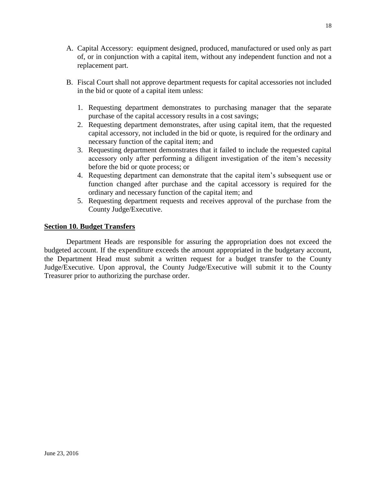- A. Capital Accessory: equipment designed, produced, manufactured or used only as part of, or in conjunction with a capital item, without any independent function and not a replacement part.
- B. Fiscal Court shall not approve department requests for capital accessories not included in the bid or quote of a capital item unless:
	- 1. Requesting department demonstrates to purchasing manager that the separate purchase of the capital accessory results in a cost savings;
	- 2. Requesting department demonstrates, after using capital item, that the requested capital accessory, not included in the bid or quote, is required for the ordinary and necessary function of the capital item; and
	- 3. Requesting department demonstrates that it failed to include the requested capital accessory only after performing a diligent investigation of the item's necessity before the bid or quote process; or
	- 4. Requesting department can demonstrate that the capital item's subsequent use or function changed after purchase and the capital accessory is required for the ordinary and necessary function of the capital item; and
	- 5. Requesting department requests and receives approval of the purchase from the County Judge/Executive.

#### **Section 10. Budget Transfers**

Department Heads are responsible for assuring the appropriation does not exceed the budgeted account. If the expenditure exceeds the amount appropriated in the budgetary account, the Department Head must submit a written request for a budget transfer to the County Judge/Executive. Upon approval, the County Judge/Executive will submit it to the County Treasurer prior to authorizing the purchase order.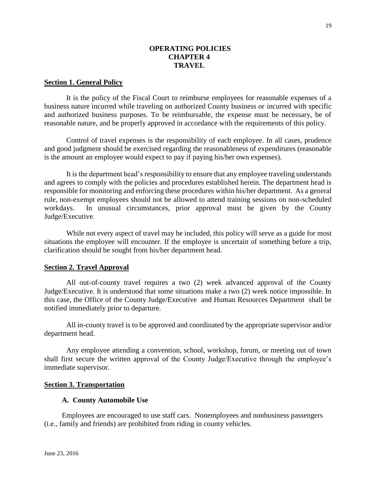#### **OPERATING POLICIES CHAPTER 4 TRAVEL**

#### **Section 1. General Policy**

It is the policy of the Fiscal Court to reimburse employees for reasonable expenses of a business nature incurred while traveling on authorized County business or incurred with specific and authorized business purposes. To be reimbursable, the expense must be necessary, be of reasonable nature, and be properly approved in accordance with the requirements of this policy.

Control of travel expenses is the responsibility of each employee. In all cases, prudence and good judgment should be exercised regarding the reasonableness of expenditures (reasonable is the amount an employee would expect to pay if paying his/her own expenses).

It is the department head's responsibility to ensure that any employee traveling understands and agrees to comply with the policies and procedures established herein. The department head is responsible for monitoring and enforcing these procedures within his/her department. As a general rule, non-exempt employees should not be allowed to attend training sessions on non-scheduled workdays. In unusual circumstances, prior approval must be given by the County Judge/Executive.

While not every aspect of travel may be included, this policy will serve as a guide for most situations the employee will encounter. If the employee is uncertain of something before a trip, clarification should be sought from his/her department head.

#### **Section 2. Travel Approval**

All out-of-county travel requires a two (2) week advanced approval of the County Judge/Executive. It is understood that some situations make a two (2) week notice impossible. In this case, the Office of the County Judge/Executive and Human Resources Department shall be notified immediately prior to departure.

All in-county travel is to be approved and coordinated by the appropriate supervisor and/or department head.

Any employee attending a convention, school, workshop, forum, or meeting out of town shall first secure the written approval of the County Judge/Executive through the employee's immediate supervisor.

#### **Section 3. Transportation**

#### **A. County Automobile Use**

Employees are encouraged to use staff cars. Nonemployees and nonbusiness passengers (i.e., family and friends) are prohibited from riding in county vehicles.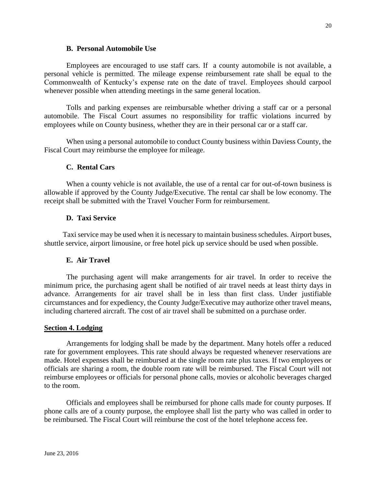#### **B. Personal Automobile Use**

Employees are encouraged to use staff cars. If a county automobile is not available, a personal vehicle is permitted. The mileage expense reimbursement rate shall be equal to the Commonwealth of Kentucky's expense rate on the date of travel. Employees should carpool whenever possible when attending meetings in the same general location.

Tolls and parking expenses are reimbursable whether driving a staff car or a personal automobile. The Fiscal Court assumes no responsibility for traffic violations incurred by employees while on County business, whether they are in their personal car or a staff car.

When using a personal automobile to conduct County business within Daviess County, the Fiscal Court may reimburse the employee for mileage.

#### **C. Rental Cars**

When a county vehicle is not available, the use of a rental car for out-of-town business is allowable if approved by the County Judge/Executive. The rental car shall be low economy. The receipt shall be submitted with the Travel Voucher Form for reimbursement.

#### **D. Taxi Service**

Taxi service may be used when it is necessary to maintain business schedules. Airport buses, shuttle service, airport limousine, or free hotel pick up service should be used when possible.

#### **E. Air Travel**

The purchasing agent will make arrangements for air travel. In order to receive the minimum price, the purchasing agent shall be notified of air travel needs at least thirty days in advance. Arrangements for air travel shall be in less than first class. Under justifiable circumstances and for expediency, the County Judge/Executive may authorize other travel means, including chartered aircraft. The cost of air travel shall be submitted on a purchase order.

#### **Section 4. Lodging**

Arrangements for lodging shall be made by the department. Many hotels offer a reduced rate for government employees. This rate should always be requested whenever reservations are made. Hotel expenses shall be reimbursed at the single room rate plus taxes. If two employees or officials are sharing a room, the double room rate will be reimbursed. The Fiscal Court will not reimburse employees or officials for personal phone calls, movies or alcoholic beverages charged to the room.

Officials and employees shall be reimbursed for phone calls made for county purposes. If phone calls are of a county purpose, the employee shall list the party who was called in order to be reimbursed. The Fiscal Court will reimburse the cost of the hotel telephone access fee.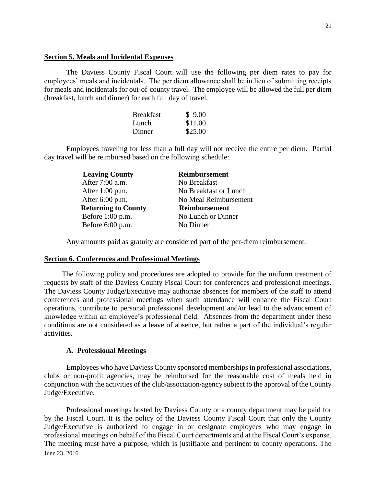#### **Section 5. Meals and Incidental Expenses**

The Daviess County Fiscal Court will use the following per diem rates to pay for employees' meals and incidentals. The per diem allowance shall be in lieu of submitting receipts for meals and incidentals for out-of-county travel. The employee will be allowed the full per diem (breakfast, lunch and dinner) for each full day of travel.

| <b>Breakfast</b> | \$9.00  |
|------------------|---------|
| Lunch            | \$11.00 |
| Dinner           | \$25.00 |

Employees traveling for less than a full day will not receive the entire per diem. Partial day travel will be reimbursed based on the following schedule:

| <b>Leaving County</b>      | Reimbursement         |
|----------------------------|-----------------------|
| After 7:00 a.m.            | No Breakfast          |
| After $1:00$ p.m.          | No Breakfast or Lunch |
| After $6:00$ p.m.          | No Meal Reimbursement |
| <b>Returning to County</b> | <b>Reimbursement</b>  |
| Before $1:00$ p.m.         | No Lunch or Dinner    |
| Before $6:00$ p.m.         | No Dinner             |
|                            |                       |

Any amounts paid as gratuity are considered part of the per-diem reimbursement.

#### **Section 6. Conferences and Professional Meetings**

The following policy and procedures are adopted to provide for the uniform treatment of requests by staff of the Daviess County Fiscal Court for conferences and professional meetings. The Daviess County Judge/Executive may authorize absences for members of the staff to attend conferences and professional meetings when such attendance will enhance the Fiscal Court operations, contribute to personal professional development and/or lead to the advancement of knowledge within an employee's professional field. Absences from the department under these conditions are not considered as a leave of absence, but rather a part of the individual's regular activities.

#### **A. Professional Meetings**

Employees who have Daviess County sponsored memberships in professional associations, clubs or non-profit agencies, may be reimbursed for the reasonable cost of meals held in conjunction with the activities of the club/association/agency subject to the approval of the County Judge/Executive.

June 23, 2016 Professional meetings hosted by Daviess County or a county department may be paid for by the Fiscal Court. It is the policy of the Daviess County Fiscal Court that only the County Judge/Executive is authorized to engage in or designate employees who may engage in professional meetings on behalf of the Fiscal Court departments and at the Fiscal Court's expense. The meeting must have a purpose, which is justifiable and pertinent to county operations. The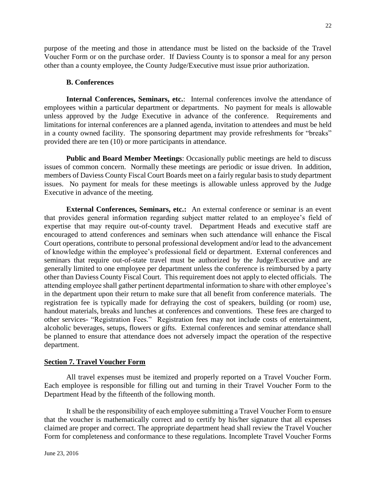purpose of the meeting and those in attendance must be listed on the backside of the Travel Voucher Form or on the purchase order. If Daviess County is to sponsor a meal for any person other than a county employee, the County Judge/Executive must issue prior authorization.

#### **B. Conferences**

**Internal Conferences, Seminars, etc.**: Internal conferences involve the attendance of employees within a particular department or departments. No payment for meals is allowable unless approved by the Judge Executive in advance of the conference. Requirements and limitations for internal conferences are a planned agenda, invitation to attendees and must be held in a county owned facility. The sponsoring department may provide refreshments for "breaks" provided there are ten (10) or more participants in attendance.

**Public and Board Member Meetings**: Occasionally public meetings are held to discuss issues of common concern. Normally these meetings are periodic or issue driven. In addition, members of Daviess County Fiscal Court Boards meet on a fairly regular basis to study department issues. No payment for meals for these meetings is allowable unless approved by the Judge Executive in advance of the meeting.

**External Conferences, Seminars, etc.:** An external conference or seminar is an event that provides general information regarding subject matter related to an employee's field of expertise that may require out-of-county travel. Department Heads and executive staff are encouraged to attend conferences and seminars when such attendance will enhance the Fiscal Court operations, contribute to personal professional development and/or lead to the advancement of knowledge within the employee's professional field or department. External conferences and seminars that require out-of-state travel must be authorized by the Judge/Executive and are generally limited to one employee per department unless the conference is reimbursed by a party other than Daviess County Fiscal Court. This requirement does not apply to elected officials. The attending employee shall gather pertinent departmental information to share with other employee's in the department upon their return to make sure that all benefit from conference materials. The registration fee is typically made for defraying the cost of speakers, building (or room) use, handout materials, breaks and lunches at conferences and conventions. These fees are charged to other services- "Registration Fees." Registration fees may not include costs of entertainment, alcoholic beverages, setups, flowers or gifts. External conferences and seminar attendance shall be planned to ensure that attendance does not adversely impact the operation of the respective department.

#### **Section 7. Travel Voucher Form**

All travel expenses must be itemized and properly reported on a Travel Voucher Form. Each employee is responsible for filling out and turning in their Travel Voucher Form to the Department Head by the fifteenth of the following month.

It shall be the responsibility of each employee submitting a Travel Voucher Form to ensure that the voucher is mathematically correct and to certify by his/her signature that all expenses claimed are proper and correct. The appropriate department head shall review the Travel Voucher Form for completeness and conformance to these regulations. Incomplete Travel Voucher Forms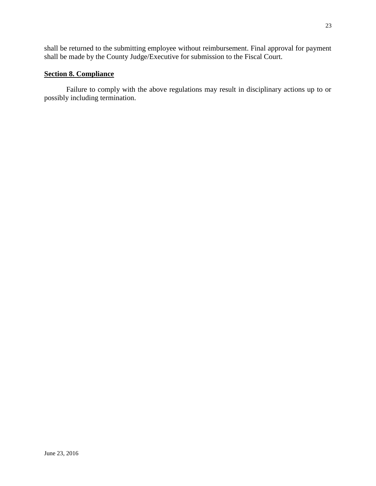shall be returned to the submitting employee without reimbursement. Final approval for payment shall be made by the County Judge/Executive for submission to the Fiscal Court.

### **Section 8. Compliance**

Failure to comply with the above regulations may result in disciplinary actions up to or possibly including termination.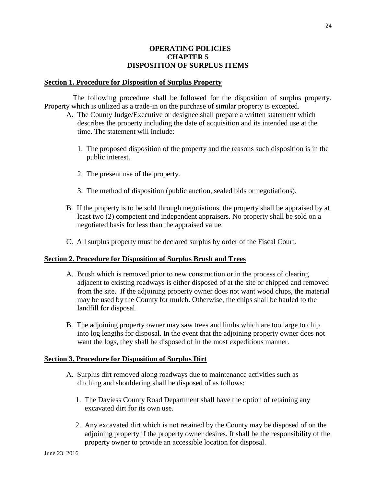#### **OPERATING POLICIES CHAPTER 5 DISPOSITION OF SURPLUS ITEMS**

#### **Section 1. Procedure for Disposition of Surplus Property**

The following procedure shall be followed for the disposition of surplus property. Property which is utilized as a trade-in on the purchase of similar property is excepted.

- A. The County Judge/Executive or designee shall prepare a written statement which describes the property including the date of acquisition and its intended use at the time. The statement will include:
	- 1. The proposed disposition of the property and the reasons such disposition is in the public interest.
	- 2. The present use of the property.
	- 3. The method of disposition (public auction, sealed bids or negotiations).
- B. If the property is to be sold through negotiations, the property shall be appraised by at least two (2) competent and independent appraisers. No property shall be sold on a negotiated basis for less than the appraised value.
- C. All surplus property must be declared surplus by order of the Fiscal Court.

#### **Section 2. Procedure for Disposition of Surplus Brush and Trees**

- A. Brush which is removed prior to new construction or in the process of clearing adjacent to existing roadways is either disposed of at the site or chipped and removed from the site. If the adjoining property owner does not want wood chips, the material may be used by the County for mulch. Otherwise, the chips shall be hauled to the landfill for disposal.
- B. The adjoining property owner may saw trees and limbs which are too large to chip into log lengths for disposal. In the event that the adjoining property owner does not want the logs, they shall be disposed of in the most expeditious manner.

#### **Section 3. Procedure for Disposition of Surplus Dirt**

- A. Surplus dirt removed along roadways due to maintenance activities such as ditching and shouldering shall be disposed of as follows:
	- 1. The Daviess County Road Department shall have the option of retaining any excavated dirt for its own use.
	- 2. Any excavated dirt which is not retained by the County may be disposed of on the adjoining property if the property owner desires. It shall be the responsibility of the property owner to provide an accessible location for disposal.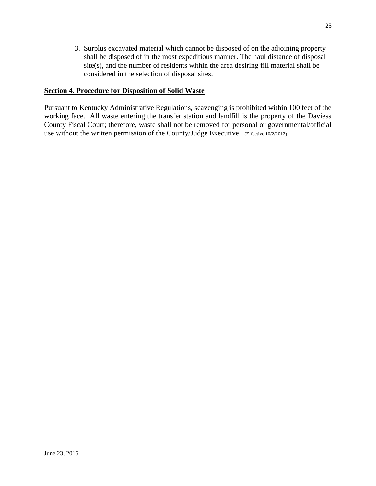3. Surplus excavated material which cannot be disposed of on the adjoining property shall be disposed of in the most expeditious manner. The haul distance of disposal site(s), and the number of residents within the area desiring fill material shall be considered in the selection of disposal sites.

#### **Section 4. Procedure for Disposition of Solid Waste**

Pursuant to Kentucky Administrative Regulations, scavenging is prohibited within 100 feet of the working face. All waste entering the transfer station and landfill is the property of the Daviess County Fiscal Court; therefore, waste shall not be removed for personal or governmental/official use without the written permission of the County/Judge Executive. (Effective 10/2/2012)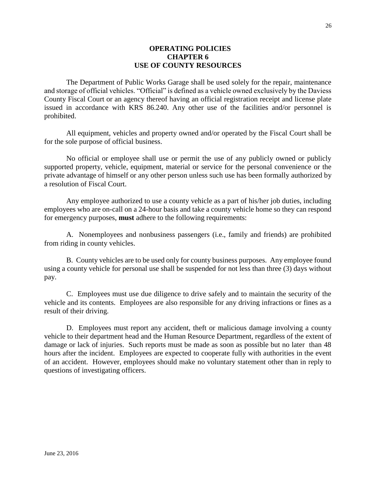#### **OPERATING POLICIES CHAPTER 6 USE OF COUNTY RESOURCES**

The Department of Public Works Garage shall be used solely for the repair, maintenance and storage of official vehicles. "Official" is defined as a vehicle owned exclusively by the Daviess County Fiscal Court or an agency thereof having an official registration receipt and license plate issued in accordance with KRS 86.240. Any other use of the facilities and/or personnel is prohibited.

All equipment, vehicles and property owned and/or operated by the Fiscal Court shall be for the sole purpose of official business.

No official or employee shall use or permit the use of any publicly owned or publicly supported property, vehicle, equipment, material or service for the personal convenience or the private advantage of himself or any other person unless such use has been formally authorized by a resolution of Fiscal Court.

Any employee authorized to use a county vehicle as a part of his/her job duties, including employees who are on-call on a 24-hour basis and take a county vehicle home so they can respond for emergency purposes, **must** adhere to the following requirements:

A. Nonemployees and nonbusiness passengers (i.e., family and friends) are prohibited from riding in county vehicles.

B. County vehicles are to be used only for county business purposes. Any employee found using a county vehicle for personal use shall be suspended for not less than three (3) days without pay.

C. Employees must use due diligence to drive safely and to maintain the security of the vehicle and its contents. Employees are also responsible for any driving infractions or fines as a result of their driving.

D. Employees must report any accident, theft or malicious damage involving a county vehicle to their department head and the Human Resource Department, regardless of the extent of damage or lack of injuries. Such reports must be made as soon as possible but no later than 48 hours after the incident. Employees are expected to cooperate fully with authorities in the event of an accident. However, employees should make no voluntary statement other than in reply to questions of investigating officers.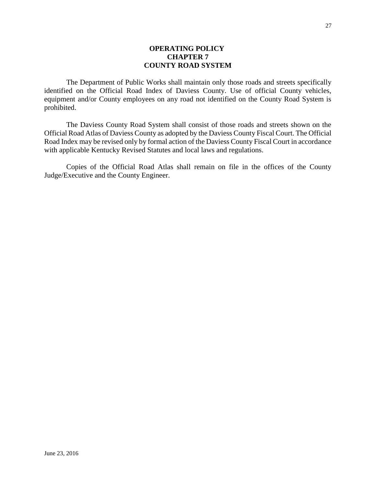#### **OPERATING POLICY CHAPTER 7 COUNTY ROAD SYSTEM**

The Department of Public Works shall maintain only those roads and streets specifically identified on the Official Road Index of Daviess County. Use of official County vehicles, equipment and/or County employees on any road not identified on the County Road System is prohibited.

The Daviess County Road System shall consist of those roads and streets shown on the Official Road Atlas of Daviess County as adopted by the Daviess County Fiscal Court. The Official Road Index may be revised only by formal action of the Daviess County Fiscal Court in accordance with applicable Kentucky Revised Statutes and local laws and regulations.

Copies of the Official Road Atlas shall remain on file in the offices of the County Judge/Executive and the County Engineer.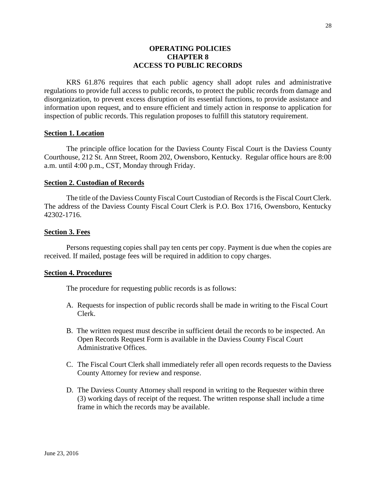#### **OPERATING POLICIES CHAPTER 8 ACCESS TO PUBLIC RECORDS**

KRS 61.876 requires that each public agency shall adopt rules and administrative regulations to provide full access to public records, to protect the public records from damage and disorganization, to prevent excess disruption of its essential functions, to provide assistance and information upon request, and to ensure efficient and timely action in response to application for inspection of public records. This regulation proposes to fulfill this statutory requirement.

#### **Section 1. Location**

The principle office location for the Daviess County Fiscal Court is the Daviess County Courthouse, 212 St. Ann Street, Room 202, Owensboro, Kentucky. Regular office hours are 8:00 a.m. until 4:00 p.m., CST, Monday through Friday.

#### **Section 2. Custodian of Records**

The title of the Daviess County Fiscal Court Custodian of Records is the Fiscal Court Clerk. The address of the Daviess County Fiscal Court Clerk is P.O. Box 1716, Owensboro, Kentucky 42302-1716.

#### **Section 3. Fees**

Persons requesting copies shall pay ten cents per copy. Payment is due when the copies are received. If mailed, postage fees will be required in addition to copy charges.

#### **Section 4. Procedures**

The procedure for requesting public records is as follows:

- A. Requests for inspection of public records shall be made in writing to the Fiscal Court Clerk.
- B. The written request must describe in sufficient detail the records to be inspected. An Open Records Request Form is available in the Daviess County Fiscal Court Administrative Offices.
- C. The Fiscal Court Clerk shall immediately refer all open records requests to the Daviess County Attorney for review and response.
- D. The Daviess County Attorney shall respond in writing to the Requester within three (3) working days of receipt of the request. The written response shall include a time frame in which the records may be available.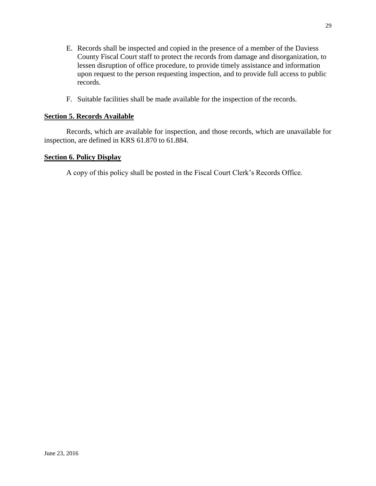- E. Records shall be inspected and copied in the presence of a member of the Daviess County Fiscal Court staff to protect the records from damage and disorganization, to lessen disruption of office procedure, to provide timely assistance and information upon request to the person requesting inspection, and to provide full access to public records.
- F. Suitable facilities shall be made available for the inspection of the records.

#### **Section 5. Records Available**

Records, which are available for inspection, and those records, which are unavailable for inspection, are defined in KRS 61.870 to 61.884.

#### **Section 6. Policy Display**

A copy of this policy shall be posted in the Fiscal Court Clerk's Records Office.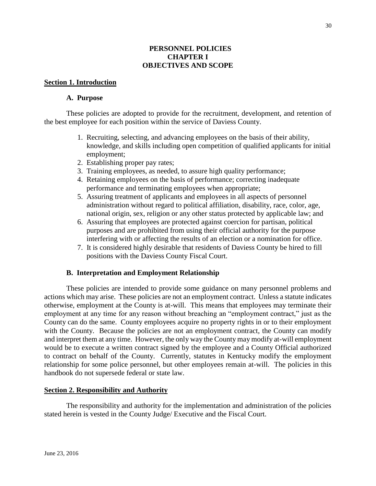#### **PERSONNEL POLICIES CHAPTER I OBJECTIVES AND SCOPE**

#### **Section 1. Introduction**

#### **A. Purpose**

These policies are adopted to provide for the recruitment, development, and retention of the best employee for each position within the service of Daviess County.

- 1. Recruiting, selecting, and advancing employees on the basis of their ability, knowledge, and skills including open competition of qualified applicants for initial employment;
- 2. Establishing proper pay rates;
- 3. Training employees, as needed, to assure high quality performance;
- 4. Retaining employees on the basis of performance; correcting inadequate performance and terminating employees when appropriate;
- 5. Assuring treatment of applicants and employees in all aspects of personnel administration without regard to political affiliation, disability, race, color, age, national origin, sex, religion or any other status protected by applicable law; and
- 6. Assuring that employees are protected against coercion for partisan, political purposes and are prohibited from using their official authority for the purpose interfering with or affecting the results of an election or a nomination for office.
- 7. It is considered highly desirable that residents of Daviess County be hired to fill positions with the Daviess County Fiscal Court.

#### **B. Interpretation and Employment Relationship**

These policies are intended to provide some guidance on many personnel problems and actions which may arise. These policies are not an employment contract. Unless a statute indicates otherwise, employment at the County is at-will. This means that employees may terminate their employment at any time for any reason without breaching an "employment contract," just as the County can do the same. County employees acquire no property rights in or to their employment with the County. Because the policies are not an employment contract, the County can modify and interpret them at any time. However, the only way the County may modify at-will employment would be to execute a written contract signed by the employee and a County Official authorized to contract on behalf of the County. Currently, statutes in Kentucky modify the employment relationship for some police personnel, but other employees remain at-will. The policies in this handbook do not supersede federal or state law.

#### **Section 2. Responsibility and Authority**

The responsibility and authority for the implementation and administration of the policies stated herein is vested in the County Judge/ Executive and the Fiscal Court.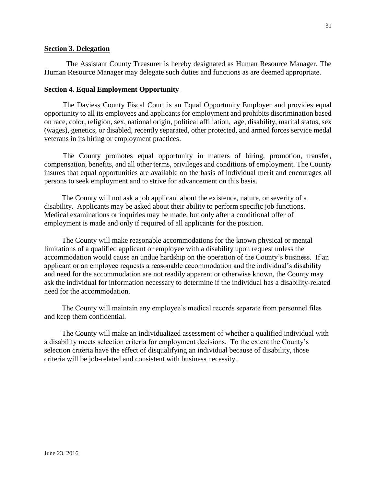#### **Section 3. Delegation**

The Assistant County Treasurer is hereby designated as Human Resource Manager. The Human Resource Manager may delegate such duties and functions as are deemed appropriate.

#### **Section 4. Equal Employment Opportunity**

The Daviess County Fiscal Court is an Equal Opportunity Employer and provides equal opportunity to all its employees and applicants for employment and prohibits discrimination based on race, color, religion, sex, national origin, political affiliation, age, disability, marital status, sex (wages), genetics, or disabled, recently separated, other protected, and armed forces service medal veterans in its hiring or employment practices.

The County promotes equal opportunity in matters of hiring, promotion, transfer, compensation, benefits, and all other terms, privileges and conditions of employment. The County insures that equal opportunities are available on the basis of individual merit and encourages all persons to seek employment and to strive for advancement on this basis.

The County will not ask a job applicant about the existence, nature, or severity of a disability. Applicants may be asked about their ability to perform specific job functions. Medical examinations or inquiries may be made, but only after a conditional offer of employment is made and only if required of all applicants for the position.

The County will make reasonable accommodations for the known physical or mental limitations of a qualified applicant or employee with a disability upon request unless the accommodation would cause an undue hardship on the operation of the County's business. If an applicant or an employee requests a reasonable accommodation and the individual's disability and need for the accommodation are not readily apparent or otherwise known, the County may ask the individual for information necessary to determine if the individual has a disability-related need for the accommodation.

The County will maintain any employee's medical records separate from personnel files and keep them confidential.

The County will make an individualized assessment of whether a qualified individual with a disability meets selection criteria for employment decisions. To the extent the County's selection criteria have the effect of disqualifying an individual because of disability, those criteria will be job-related and consistent with business necessity.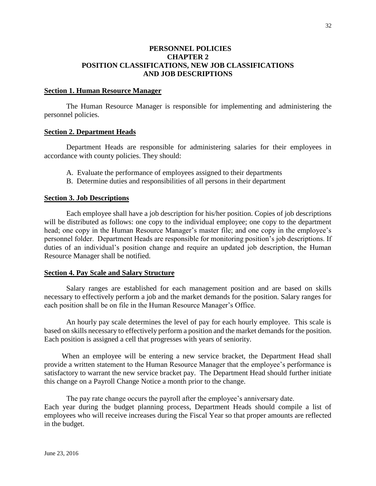#### **PERSONNEL POLICIES CHAPTER 2 POSITION CLASSIFICATIONS, NEW JOB CLASSIFICATIONS AND JOB DESCRIPTIONS**

#### **Section 1. Human Resource Manager**

The Human Resource Manager is responsible for implementing and administering the personnel policies.

#### **Section 2. Department Heads**

 Department Heads are responsible for administering salaries for their employees in accordance with county policies. They should:

- A. Evaluate the performance of employees assigned to their departments
- B. Determine duties and responsibilities of all persons in their department

#### **Section 3. Job Descriptions**

Each employee shall have a job description for his/her position. Copies of job descriptions will be distributed as follows: one copy to the individual employee; one copy to the department head; one copy in the Human Resource Manager's master file; and one copy in the employee's personnel folder. Department Heads are responsible for monitoring position's job descriptions. If duties of an individual's position change and require an updated job description, the Human Resource Manager shall be notified.

#### **Section 4. Pay Scale and Salary Structure**

Salary ranges are established for each management position and are based on skills necessary to effectively perform a job and the market demands for the position. Salary ranges for each position shall be on file in the Human Resource Manager's Office.

An hourly pay scale determines the level of pay for each hourly employee. This scale is based on skills necessary to effectively perform a position and the market demands for the position. Each position is assigned a cell that progresses with years of seniority.

When an employee will be entering a new service bracket, the Department Head shall provide a written statement to the Human Resource Manager that the employee's performance is satisfactory to warrant the new service bracket pay. The Department Head should further initiate this change on a Payroll Change Notice a month prior to the change.

The pay rate change occurs the payroll after the employee's anniversary date. Each year during the budget planning process, Department Heads should compile a list of employees who will receive increases during the Fiscal Year so that proper amounts are reflected in the budget.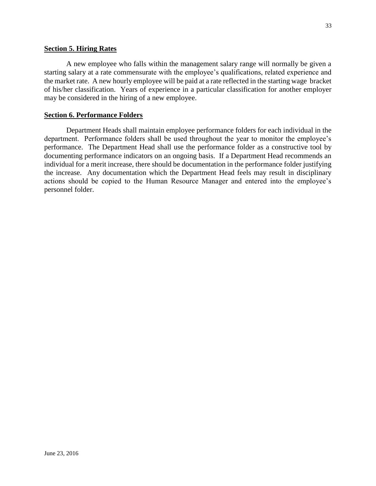A new employee who falls within the management salary range will normally be given a starting salary at a rate commensurate with the employee's qualifications, related experience and the market rate. A new hourly employee will be paid at a rate reflected in the starting wage bracket of his/her classification. Years of experience in a particular classification for another employer may be considered in the hiring of a new employee.

#### **Section 6. Performance Folders**

Department Heads shall maintain employee performance folders for each individual in the department. Performance folders shall be used throughout the year to monitor the employee's performance. The Department Head shall use the performance folder as a constructive tool by documenting performance indicators on an ongoing basis. If a Department Head recommends an individual for a merit increase, there should be documentation in the performance folder justifying the increase. Any documentation which the Department Head feels may result in disciplinary actions should be copied to the Human Resource Manager and entered into the employee's personnel folder.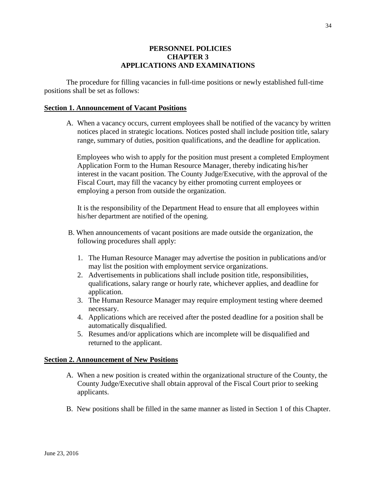#### **PERSONNEL POLICIES CHAPTER 3 APPLICATIONS AND EXAMINATIONS**

The procedure for filling vacancies in full-time positions or newly established full-time positions shall be set as follows:

#### **Section 1. Announcement of Vacant Positions**

A. When a vacancy occurs, current employees shall be notified of the vacancy by written notices placed in strategic locations. Notices posted shall include position title, salary range, summary of duties, position qualifications, and the deadline for application.

 Employees who wish to apply for the position must present a completed Employment Application Form to the Human Resource Manager, thereby indicating his/her interest in the vacant position. The County Judge/Executive, with the approval of the Fiscal Court, may fill the vacancy by either promoting current employees or employing a person from outside the organization.

It is the responsibility of the Department Head to ensure that all employees within his/her department are notified of the opening.

- B. When announcements of vacant positions are made outside the organization, the following procedures shall apply:
	- 1. The Human Resource Manager may advertise the position in publications and/or may list the position with employment service organizations.
	- 2. Advertisements in publications shall include position title, responsibilities, qualifications, salary range or hourly rate, whichever applies, and deadline for application.
	- 3. The Human Resource Manager may require employment testing where deemed necessary.
	- 4. Applications which are received after the posted deadline for a position shall be automatically disqualified.
	- 5. Resumes and/or applications which are incomplete will be disqualified and returned to the applicant.

#### **Section 2. Announcement of New Positions**

- A. When a new position is created within the organizational structure of the County, the County Judge/Executive shall obtain approval of the Fiscal Court prior to seeking applicants.
- B. New positions shall be filled in the same manner as listed in Section 1 of this Chapter.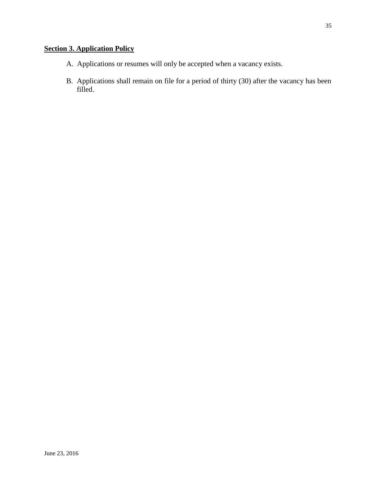# **Section 3. Application Policy**

- A. Applications or resumes will only be accepted when a vacancy exists.
- B. Applications shall remain on file for a period of thirty (30) after the vacancy has been filled.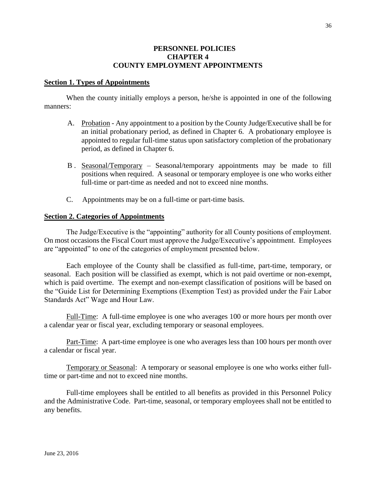#### **PERSONNEL POLICIES CHAPTER 4 COUNTY EMPLOYMENT APPOINTMENTS**

#### **Section 1. Types of Appointments**

When the county initially employs a person, he/she is appointed in one of the following manners:

- A. Probation Any appointment to a position by the County Judge/Executive shall be for an initial probationary period, as defined in Chapter 6. A probationary employee is appointed to regular full-time status upon satisfactory completion of the probationary period, as defined in Chapter 6.
- B . Seasonal/Temporary Seasonal/temporary appointments may be made to fill positions when required. A seasonal or temporary employee is one who works either full-time or part-time as needed and not to exceed nine months.
- C. Appointments may be on a full-time or part-time basis.

#### **Section 2. Categories of Appointments**

The Judge/Executive is the "appointing" authority for all County positions of employment. On most occasions the Fiscal Court must approve the Judge/Executive's appointment. Employees are "appointed" to one of the categories of employment presented below.

Each employee of the County shall be classified as full-time, part-time, temporary, or seasonal. Each position will be classified as exempt, which is not paid overtime or non-exempt, which is paid overtime. The exempt and non-exempt classification of positions will be based on the "Guide List for Determining Exemptions (Exemption Test) as provided under the Fair Labor Standards Act" Wage and Hour Law.

Full-Time: A full-time employee is one who averages 100 or more hours per month over a calendar year or fiscal year, excluding temporary or seasonal employees.

Part-Time: A part-time employee is one who averages less than 100 hours per month over a calendar or fiscal year.

Temporary or Seasonal: A temporary or seasonal employee is one who works either fulltime or part-time and not to exceed nine months.

Full-time employees shall be entitled to all benefits as provided in this Personnel Policy and the Administrative Code. Part-time, seasonal, or temporary employees shall not be entitled to any benefits.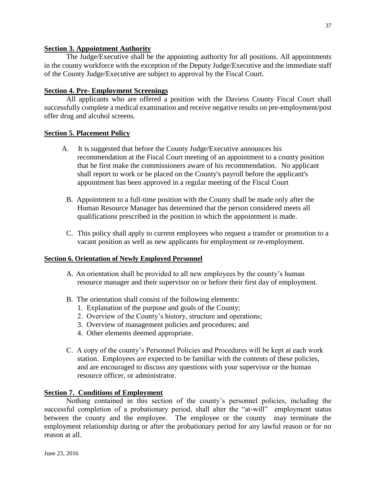### **Section 3. Appointment Authority**

The Judge/Executive shall be the appointing authority for all positions. All appointments in the county workforce with the exception of the Deputy Judge/Executive and the immediate staff of the County Judge/Executive are subject to approval by the Fiscal Court.

# **Section 4. Pre- Employment Screenings**

All applicants who are offered a position with the Daviess County Fiscal Court shall successfully complete a medical examination and receive negative results on pre-employment/post offer drug and alcohol screens.

# **Section 5. Placement Policy**

- A. It is suggested that before the County Judge/Executive announces his recommendation at the Fiscal Court meeting of an appointment to a county position that he first make the commissioners aware of his recommendation. No applicant shall report to work or be placed on the County's payroll before the applicant's appointment has been approved in a regular meeting of the Fiscal Court
	- B. Appointment to a full-time position with the County shall be made only after the Human Resource Manager has determined that the person considered meets all qualifications prescribed in the position in which the appointment is made.
	- C. This policy shall apply to current employees who request a transfer or promotion to a vacant position as well as new applicants for employment or re-employment.

### **Section 6. Orientation of Newly Employed Personnel**

- A. An orientation shall be provided to all new employees by the county's human resource manager and their supervisor on or before their first day of employment.
- B. The orientation shall consist of the following elements:
	- 1. Explanation of the purpose and goals of the County;
	- 2. Overview of the County's history, structure and operations;
	- 3. Overview of management policies and procedures; and
	- 4. Other elements deemed appropriate.
- C. A copy of the county's Personnel Policies and Procedures will be kept at each work station. Employees are expected to be familiar with the contents of these policies, and are encouraged to discuss any questions with your supervisor or the human resource officer, or administrator.

### **Section 7. Conditions of Employment**

Nothing contained in this section of the county's personnel policies, including the successful completion of a probationary period, shall alter the "at-will" employment status between the county and the employee. The employee or the county may terminate the employment relationship during or after the probationary period for any lawful reason or for no reason at all.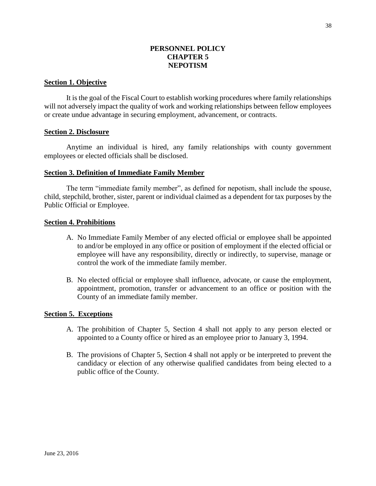# **PERSONNEL POLICY CHAPTER 5 NEPOTISM**

### **Section 1. Objective**

It is the goal of the Fiscal Court to establish working procedures where family relationships will not adversely impact the quality of work and working relationships between fellow employees or create undue advantage in securing employment, advancement, or contracts.

### **Section 2. Disclosure**

Anytime an individual is hired, any family relationships with county government employees or elected officials shall be disclosed.

### **Section 3. Definition of Immediate Family Member**

The term "immediate family member", as defined for nepotism, shall include the spouse, child, stepchild, brother, sister, parent or individual claimed as a dependent for tax purposes by the Public Official or Employee.

### **Section 4. Prohibitions**

- A. No Immediate Family Member of any elected official or employee shall be appointed to and/or be employed in any office or position of employment if the elected official or employee will have any responsibility, directly or indirectly, to supervise, manage or control the work of the immediate family member.
- B. No elected official or employee shall influence, advocate, or cause the employment, appointment, promotion, transfer or advancement to an office or position with the County of an immediate family member.

### **Section 5. Exceptions**

- A. The prohibition of Chapter 5, Section 4 shall not apply to any person elected or appointed to a County office or hired as an employee prior to January 3, 1994.
- B. The provisions of Chapter 5, Section 4 shall not apply or be interpreted to prevent the candidacy or election of any otherwise qualified candidates from being elected to a public office of the County.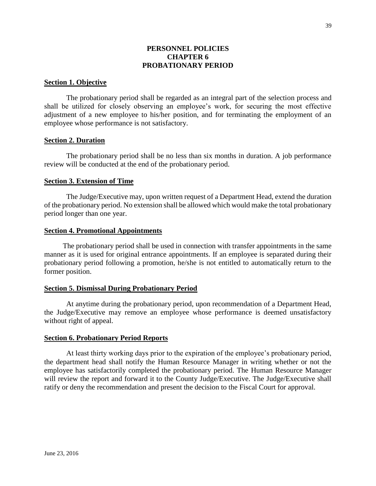### **PERSONNEL POLICIES CHAPTER 6 PROBATIONARY PERIOD**

### **Section 1. Objective**

The probationary period shall be regarded as an integral part of the selection process and shall be utilized for closely observing an employee's work, for securing the most effective adjustment of a new employee to his/her position, and for terminating the employment of an employee whose performance is not satisfactory.

### **Section 2. Duration**

The probationary period shall be no less than six months in duration. A job performance review will be conducted at the end of the probationary period.

#### **Section 3. Extension of Time**

The Judge/Executive may, upon written request of a Department Head, extend the duration of the probationary period. No extension shall be allowed which would make the total probationary period longer than one year.

#### **Section 4. Promotional Appointments**

The probationary period shall be used in connection with transfer appointments in the same manner as it is used for original entrance appointments. If an employee is separated during their probationary period following a promotion, he/she is not entitled to automatically return to the former position.

#### **Section 5. Dismissal During Probationary Period**

At anytime during the probationary period, upon recommendation of a Department Head, the Judge/Executive may remove an employee whose performance is deemed unsatisfactory without right of appeal.

#### **Section 6. Probationary Period Reports**

At least thirty working days prior to the expiration of the employee's probationary period, the department head shall notify the Human Resource Manager in writing whether or not the employee has satisfactorily completed the probationary period. The Human Resource Manager will review the report and forward it to the County Judge/Executive. The Judge/Executive shall ratify or deny the recommendation and present the decision to the Fiscal Court for approval.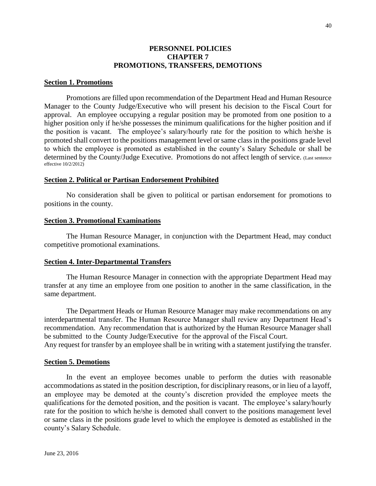### **PERSONNEL POLICIES CHAPTER 7 PROMOTIONS, TRANSFERS, DEMOTIONS**

### **Section 1. Promotions**

Promotions are filled upon recommendation of the Department Head and Human Resource Manager to the County Judge/Executive who will present his decision to the Fiscal Court for approval. An employee occupying a regular position may be promoted from one position to a higher position only if he/she possesses the minimum qualifications for the higher position and if the position is vacant. The employee's salary/hourly rate for the position to which he/she is promoted shall convert to the positions management level or same class in the positions grade level to which the employee is promoted as established in the county's Salary Schedule or shall be determined by the County/Judge Executive. Promotions do not affect length of service. (Last sentence effective 10/2/2012)

#### **Section 2. Political or Partisan Endorsement Prohibited**

No consideration shall be given to political or partisan endorsement for promotions to positions in the county.

#### **Section 3. Promotional Examinations**

The Human Resource Manager, in conjunction with the Department Head, may conduct competitive promotional examinations.

#### **Section 4. Inter-Departmental Transfers**

The Human Resource Manager in connection with the appropriate Department Head may transfer at any time an employee from one position to another in the same classification, in the same department.

The Department Heads or Human Resource Manager may make recommendations on any interdepartmental transfer. The Human Resource Manager shall review any Department Head's recommendation. Any recommendation that is authorized by the Human Resource Manager shall be submitted to the County Judge/Executive for the approval of the Fiscal Court.

# Any request for transfer by an employee shall be in writing with a statement justifying the transfer.

### **Section 5. Demotions**

In the event an employee becomes unable to perform the duties with reasonable accommodations as stated in the position description, for disciplinary reasons, or in lieu of a layoff, an employee may be demoted at the county's discretion provided the employee meets the qualifications for the demoted position, and the position is vacant. The employee's salary/hourly rate for the position to which he/she is demoted shall convert to the positions management level or same class in the positions grade level to which the employee is demoted as established in the county's Salary Schedule.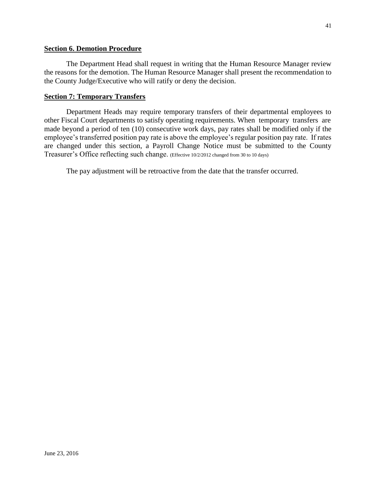### **Section 6. Demotion Procedure**

The Department Head shall request in writing that the Human Resource Manager review the reasons for the demotion. The Human Resource Manager shall present the recommendation to the County Judge/Executive who will ratify or deny the decision.

### **Section 7: Temporary Transfers**

Department Heads may require temporary transfers of their departmental employees to other Fiscal Court departments to satisfy operating requirements. When temporary transfers are made beyond a period of ten (10) consecutive work days, pay rates shall be modified only if the employee's transferred position pay rate is above the employee's regular position pay rate. If rates are changed under this section, a Payroll Change Notice must be submitted to the County Treasurer's Office reflecting such change. (Effective 10/2/2012 changed from 30 to 10 days)

The pay adjustment will be retroactive from the date that the transfer occurred.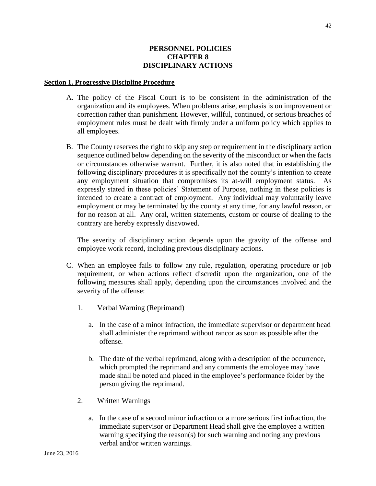### **PERSONNEL POLICIES CHAPTER 8 DISCIPLINARY ACTIONS**

#### **Section 1. Progressive Discipline Procedure**

- A. The policy of the Fiscal Court is to be consistent in the administration of the organization and its employees. When problems arise, emphasis is on improvement or correction rather than punishment. However, willful, continued, or serious breaches of employment rules must be dealt with firmly under a uniform policy which applies to all employees.
- B. The County reserves the right to skip any step or requirement in the disciplinary action sequence outlined below depending on the severity of the misconduct or when the facts or circumstances otherwise warrant. Further, it is also noted that in establishing the following disciplinary procedures it is specifically not the county's intention to create any employment situation that compromises its at-will employment status. As expressly stated in these policies' Statement of Purpose, nothing in these policies is intended to create a contract of employment. Any individual may voluntarily leave employment or may be terminated by the county at any time, for any lawful reason, or for no reason at all. Any oral, written statements, custom or course of dealing to the contrary are hereby expressly disavowed.

The severity of disciplinary action depends upon the gravity of the offense and employee work record, including previous disciplinary actions.

- C. When an employee fails to follow any rule, regulation, operating procedure or job requirement, or when actions reflect discredit upon the organization, one of the following measures shall apply, depending upon the circumstances involved and the severity of the offense:
	- 1. Verbal Warning (Reprimand)
		- a. In the case of a minor infraction, the immediate supervisor or department head shall administer the reprimand without rancor as soon as possible after the offense.
		- b. The date of the verbal reprimand, along with a description of the occurrence, which prompted the reprimand and any comments the employee may have made shall be noted and placed in the employee's performance folder by the person giving the reprimand.
	- 2. Written Warnings
		- a. In the case of a second minor infraction or a more serious first infraction, the immediate supervisor or Department Head shall give the employee a written warning specifying the reason(s) for such warning and noting any previous verbal and/or written warnings.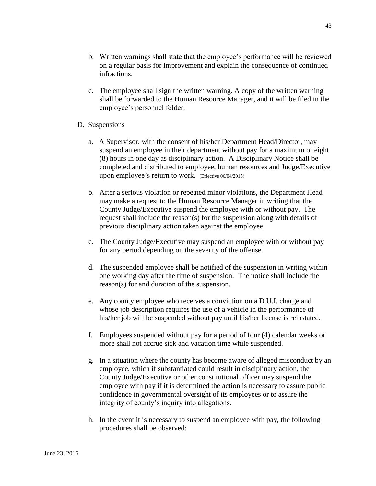- b. Written warnings shall state that the employee's performance will be reviewed on a regular basis for improvement and explain the consequence of continued infractions.
- c. The employee shall sign the written warning. A copy of the written warning shall be forwarded to the Human Resource Manager, and it will be filed in the employee's personnel folder.
- D. Suspensions
	- a. A Supervisor, with the consent of his/her Department Head/Director, may suspend an employee in their department without pay for a maximum of eight (8) hours in one day as disciplinary action. A Disciplinary Notice shall be completed and distributed to employee, human resources and Judge/Executive upon employee's return to work. (Effective 06/04/2015)
	- b. After a serious violation or repeated minor violations, the Department Head may make a request to the Human Resource Manager in writing that the County Judge/Executive suspend the employee with or without pay. The request shall include the reason(s) for the suspension along with details of previous disciplinary action taken against the employee.
	- c. The County Judge/Executive may suspend an employee with or without pay for any period depending on the severity of the offense.
	- d. The suspended employee shall be notified of the suspension in writing within one working day after the time of suspension. The notice shall include the reason(s) for and duration of the suspension.
	- e. Any county employee who receives a conviction on a D.U.I. charge and whose job description requires the use of a vehicle in the performance of his/her job will be suspended without pay until his/her license is reinstated.
	- f. Employees suspended without pay for a period of four (4) calendar weeks or more shall not accrue sick and vacation time while suspended.
	- g. In a situation where the county has become aware of alleged misconduct by an employee, which if substantiated could result in disciplinary action, the County Judge/Executive or other constitutional officer may suspend the employee with pay if it is determined the action is necessary to assure public confidence in governmental oversight of its employees or to assure the integrity of county's inquiry into allegations.
	- h. In the event it is necessary to suspend an employee with pay, the following procedures shall be observed: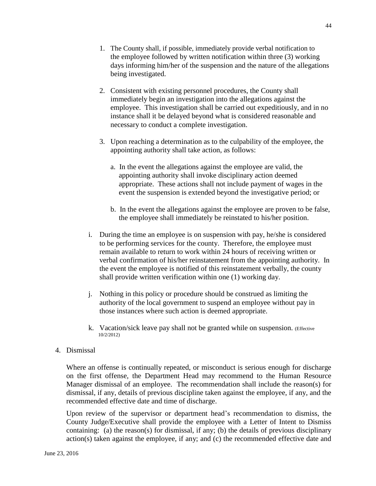- 1. The County shall, if possible, immediately provide verbal notification to the employee followed by written notification within three (3) working days informing him/her of the suspension and the nature of the allegations being investigated.
- 2. Consistent with existing personnel procedures, the County shall immediately begin an investigation into the allegations against the employee. This investigation shall be carried out expeditiously, and in no instance shall it be delayed beyond what is considered reasonable and necessary to conduct a complete investigation.
- 3. Upon reaching a determination as to the culpability of the employee, the appointing authority shall take action, as follows:
	- a. In the event the allegations against the employee are valid, the appointing authority shall invoke disciplinary action deemed appropriate. These actions shall not include payment of wages in the event the suspension is extended beyond the investigative period; or
	- b. In the event the allegations against the employee are proven to be false, the employee shall immediately be reinstated to his/her position.
- i. During the time an employee is on suspension with pay, he/she is considered to be performing services for the county. Therefore, the employee must remain available to return to work within 24 hours of receiving written or verbal confirmation of his/her reinstatement from the appointing authority. In the event the employee is notified of this reinstatement verbally, the county shall provide written verification within one (1) working day.
- j. Nothing in this policy or procedure should be construed as limiting the authority of the local government to suspend an employee without pay in those instances where such action is deemed appropriate.
- k. Vacation/sick leave pay shall not be granted while on suspension. (Effective 10/2/2012)
- 4. Dismissal

Where an offense is continually repeated, or misconduct is serious enough for discharge on the first offense, the Department Head may recommend to the Human Resource Manager dismissal of an employee. The recommendation shall include the reason(s) for dismissal, if any, details of previous discipline taken against the employee, if any, and the recommended effective date and time of discharge.

Upon review of the supervisor or department head's recommendation to dismiss, the County Judge/Executive shall provide the employee with a Letter of Intent to Dismiss containing: (a) the reason(s) for dismissal, if any; (b) the details of previous disciplinary action(s) taken against the employee, if any; and (c) the recommended effective date and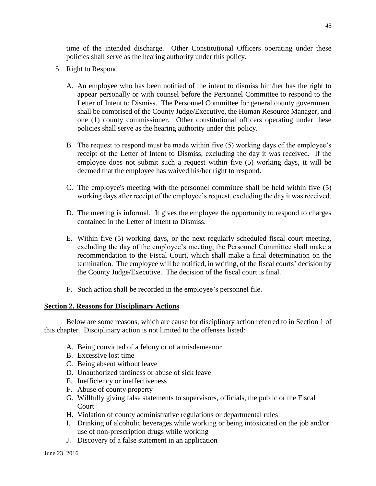time of the intended discharge. Other Constitutional Officers operating under these policies shall serve as the hearing authority under this policy.

- 5. Right to Respond
	- A. An employee who has been notified of the intent to dismiss him/her has the right to appear personally or with counsel before the Personnel Committee to respond to the Letter of Intent to Dismiss. The Personnel Committee for general county government shall be comprised of the County Judge/Executive, the Human Resource Manager, and one (1) county commissioner. Other constitutional officers operating under these policies shall serve as the hearing authority under this policy.
	- B. The request to respond must be made within five (5) working days of the employee's receipt of the Letter of Intent to Dismiss, excluding the day it was received. If the employee does not submit such a request within five (5) working days, it will be deemed that the employee has waived his/her right to respond.
	- C. The employee's meeting with the personnel committee shall be held within five (5) working days after receipt of the employee's request, excluding the day it was received.
	- D. The meeting is informal. It gives the employee the opportunity to respond to charges contained in the Letter of Intent to Dismiss.
	- E. Within five (5) working days, or the next regularly scheduled fiscal court meeting, excluding the day of the employee's meeting, the Personnel Committee shall make a recommendation to the Fiscal Court, which shall make a final determination on the termination. The employee will be notified, in writing, of the fiscal courts' decision by the County Judge/Executive. The decision of the fiscal court is final.
	- F. Such action shall be recorded in the employee's personnel file.

### **Section 2. Reasons for Disciplinary Actions**

Below are some reasons, which are cause for disciplinary action referred to in Section 1 of this chapter. Disciplinary action is not limited to the offenses listed:

- A. Being convicted of a felony or of a misdemeanor
- B. Excessive lost time
- C. Being absent without leave
- D. Unauthorized tardiness or abuse of sick leave
- E. Inefficiency or ineffectiveness
- F. Abuse of county property
- G. Willfully giving false statements to supervisors, officials, the public or the Fiscal **Court**
- H. Violation of county administrative regulations or departmental rules
- I. Drinking of alcoholic beverages while working or being intoxicated on the job and/or use of non-prescription drugs while working
- J. Discovery of a false statement in an application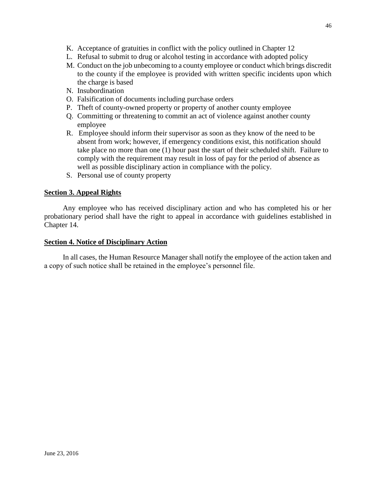- K. Acceptance of gratuities in conflict with the policy outlined in Chapter 12
- L. Refusal to submit to drug or alcohol testing in accordance with adopted policy
- M. Conduct on the job unbecoming to a county employee or conduct which brings discredit to the county if the employee is provided with written specific incidents upon which the charge is based
- N. Insubordination
- O. Falsification of documents including purchase orders
- P. Theft of county-owned property or property of another county employee
- Q. Committing or threatening to commit an act of violence against another county employee
- R. Employee should inform their supervisor as soon as they know of the need to be absent from work; however, if emergency conditions exist, this notification should take place no more than one (1) hour past the start of their scheduled shift. Failure to comply with the requirement may result in loss of pay for the period of absence as well as possible disciplinary action in compliance with the policy.
- S. Personal use of county property

# **Section 3. Appeal Rights**

Any employee who has received disciplinary action and who has completed his or her probationary period shall have the right to appeal in accordance with guidelines established in Chapter 14.

# **Section 4. Notice of Disciplinary Action**

In all cases, the Human Resource Manager shall notify the employee of the action taken and a copy of such notice shall be retained in the employee's personnel file.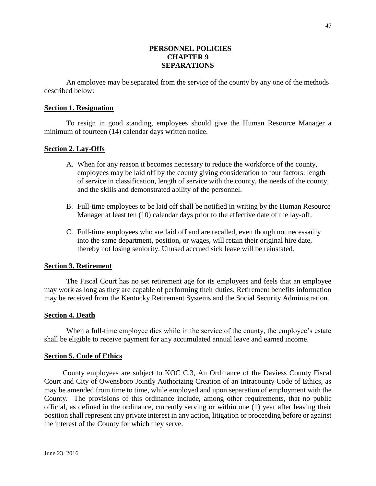### **PERSONNEL POLICIES CHAPTER 9 SEPARATIONS**

An employee may be separated from the service of the county by any one of the methods described below:

### **Section 1. Resignation**

To resign in good standing, employees should give the Human Resource Manager a minimum of fourteen (14) calendar days written notice.

### **Section 2. Lay-Offs**

- A. When for any reason it becomes necessary to reduce the workforce of the county, employees may be laid off by the county giving consideration to four factors: length of service in classification, length of service with the county, the needs of the county, and the skills and demonstrated ability of the personnel.
- B. Full-time employees to be laid off shall be notified in writing by the Human Resource Manager at least ten (10) calendar days prior to the effective date of the lay-off.
- C. Full-time employees who are laid off and are recalled, even though not necessarily into the same department, position, or wages, will retain their original hire date, thereby not losing seniority. Unused accrued sick leave will be reinstated.

#### **Section 3. Retirement**

The Fiscal Court has no set retirement age for its employees and feels that an employee may work as long as they are capable of performing their duties. Retirement benefits information may be received from the Kentucky Retirement Systems and the Social Security Administration.

### **Section 4. Death**

When a full-time employee dies while in the service of the county, the employee's estate shall be eligible to receive payment for any accumulated annual leave and earned income.

#### **Section 5. Code of Ethics**

County employees are subject to KOC C.3, An Ordinance of the Daviess County Fiscal Court and City of Owensboro Jointly Authorizing Creation of an Intracounty Code of Ethics, as may be amended from time to time, while employed and upon separation of employment with the County. The provisions of this ordinance include, among other requirements, that no public official, as defined in the ordinance, currently serving or within one (1) year after leaving their position shall represent any private interest in any action, litigation or proceeding before or against the interest of the County for which they serve.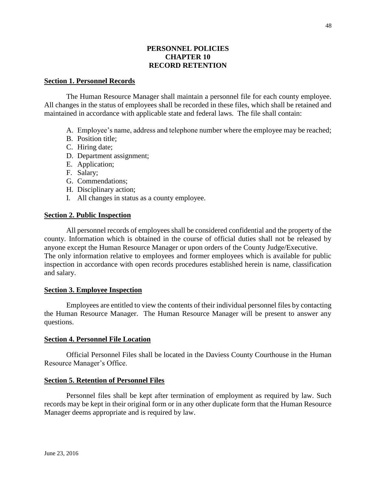### **PERSONNEL POLICIES CHAPTER 10 RECORD RETENTION**

### **Section 1. Personnel Records**

The Human Resource Manager shall maintain a personnel file for each county employee. All changes in the status of employees shall be recorded in these files, which shall be retained and maintained in accordance with applicable state and federal laws. The file shall contain:

- A. Employee's name, address and telephone number where the employee may be reached;
- B. Position title;
- C. Hiring date;
- D. Department assignment;
- E. Application;
- F. Salary;
- G. Commendations;
- H. Disciplinary action;
- I. All changes in status as a county employee.

### **Section 2. Public Inspection**

All personnel records of employees shall be considered confidential and the property of the county. Information which is obtained in the course of official duties shall not be released by anyone except the Human Resource Manager or upon orders of the County Judge/Executive. The only information relative to employees and former employees which is available for public inspection in accordance with open records procedures established herein is name, classification and salary.

#### **Section 3. Employee Inspection**

Employees are entitled to view the contents of their individual personnel files by contacting the Human Resource Manager. The Human Resource Manager will be present to answer any questions.

#### **Section 4. Personnel File Location**

Official Personnel Files shall be located in the Daviess County Courthouse in the Human Resource Manager's Office.

#### **Section 5. Retention of Personnel Files**

Personnel files shall be kept after termination of employment as required by law. Such records may be kept in their original form or in any other duplicate form that the Human Resource Manager deems appropriate and is required by law.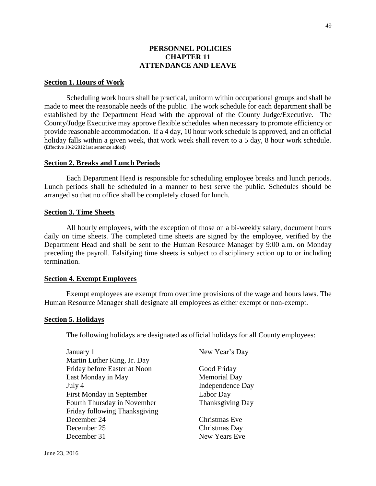### **PERSONNEL POLICIES CHAPTER 11 ATTENDANCE AND LEAVE**

### **Section 1. Hours of Work**

Scheduling work hours shall be practical, uniform within occupational groups and shall be made to meet the reasonable needs of the public. The work schedule for each department shall be established by the Department Head with the approval of the County Judge/Executive. The County/Judge Executive may approve flexible schedules when necessary to promote efficiency or provide reasonable accommodation. If a 4 day, 10 hour work schedule is approved, and an official holiday falls within a given week, that work week shall revert to a 5 day, 8 hour work schedule. (Effective 10/2/2012 last sentence added)

#### **Section 2. Breaks and Lunch Periods**

Each Department Head is responsible for scheduling employee breaks and lunch periods. Lunch periods shall be scheduled in a manner to best serve the public. Schedules should be arranged so that no office shall be completely closed for lunch.

### **Section 3. Time Sheets**

All hourly employees, with the exception of those on a bi-weekly salary, document hours daily on time sheets. The completed time sheets are signed by the employee, verified by the Department Head and shall be sent to the Human Resource Manager by 9:00 a.m. on Monday preceding the payroll. Falsifying time sheets is subject to disciplinary action up to or including termination.

#### **Section 4. Exempt Employees**

Exempt employees are exempt from overtime provisions of the wage and hours laws. The Human Resource Manager shall designate all employees as either exempt or non-exempt.

#### **Section 5. Holidays**

The following holidays are designated as official holidays for all County employees:

| January 1                     | New Year's Day          |
|-------------------------------|-------------------------|
| Martin Luther King, Jr. Day   |                         |
| Friday before Easter at Noon  | Good Friday             |
| Last Monday in May            | <b>Memorial Day</b>     |
| July 4                        | <b>Independence Day</b> |
| First Monday in September     | Labor Day               |
| Fourth Thursday in November   | Thanksgiving Day        |
| Friday following Thanksgiving |                         |
| December 24                   | Christmas Eve           |
| December 25                   | Christmas Day           |
| December 31                   | New Years Eve           |
|                               |                         |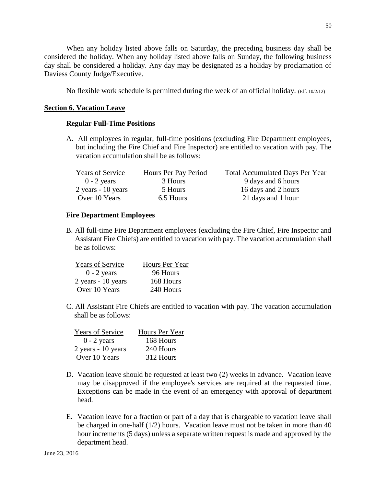When any holiday listed above falls on Saturday, the preceding business day shall be considered the holiday. When any holiday listed above falls on Sunday, the following business day shall be considered a holiday. Any day may be designated as a holiday by proclamation of Daviess County Judge/Executive.

No flexible work schedule is permitted during the week of an official holiday. (Eff. 10/2/12)

# **Section 6. Vacation Leave**

### **Regular Full-Time Positions**

A. All employees in regular, full-time positions (excluding Fire Department employees, but including the Fire Chief and Fire Inspector) are entitled to vacation with pay. The vacation accumulation shall be as follows:

| <b>Years of Service</b> | Hours Per Pay Period | <b>Total Accumulated Days Per Year</b> |
|-------------------------|----------------------|----------------------------------------|
| $0 - 2$ years           | 3 Hours              | 9 days and 6 hours                     |
| $2$ years - 10 years    | 5 Hours              | 16 days and 2 hours                    |
| Over 10 Years           | 6.5 Hours            | 21 days and 1 hour                     |

# **Fire Department Employees**

B. All full-time Fire Department employees (excluding the Fire Chief, Fire Inspector and Assistant Fire Chiefs) are entitled to vacation with pay. The vacation accumulation shall be as follows:

| <b>Years of Service</b> | Hours Per Year |
|-------------------------|----------------|
| $0 - 2$ years           | 96 Hours       |
| 2 years - 10 years      | 168 Hours      |
| Over 10 Years           | 240 Hours      |

C. All Assistant Fire Chiefs are entitled to vacation with pay. The vacation accumulation shall be as follows:

| <b>Years of Service</b> | Hours Per Year |
|-------------------------|----------------|
| $0 - 2$ years           | 168 Hours      |
| 2 years - 10 years      | 240 Hours      |
| Over 10 Years           | 312 Hours      |

- D. Vacation leave should be requested at least two (2) weeks in advance. Vacation leave may be disapproved if the employee's services are required at the requested time. Exceptions can be made in the event of an emergency with approval of department head.
- E. Vacation leave for a fraction or part of a day that is chargeable to vacation leave shall be charged in one-half (1/2) hours. Vacation leave must not be taken in more than 40 hour increments (5 days) unless a separate written request is made and approved by the department head.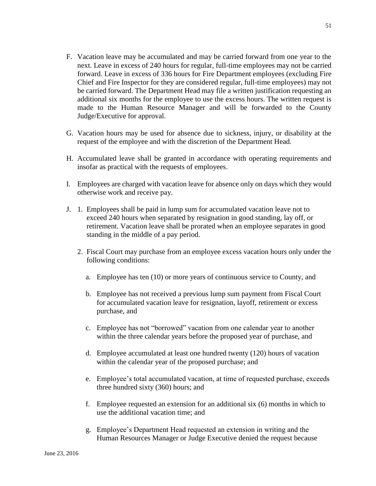- F. Vacation leave may be accumulated and may be carried forward from one year to the next. Leave in excess of 240 hours for regular, full-time employees may not be carried forward. Leave in excess of 336 hours for Fire Department employees (excluding Fire Chief and Fire Inspector for they are considered regular, full-time employees) may not be carried forward. The Department Head may file a written justification requesting an additional six months for the employee to use the excess hours. The written request is made to the Human Resource Manager and will be forwarded to the County Judge/Executive for approval.
- G. Vacation hours may be used for absence due to sickness, injury, or disability at the request of the employee and with the discretion of the Department Head.
- H. Accumulated leave shall be granted in accordance with operating requirements and insofar as practical with the requests of employees.
- I. Employees are charged with vacation leave for absence only on days which they would otherwise work and receive pay.
- J. 1. Employees shall be paid in lump sum for accumulated vacation leave not to exceed 240 hours when separated by resignation in good standing, lay off, or retirement. Vacation leave shall be prorated when an employee separates in good standing in the middle of a pay period.
	- 2. Fiscal Court may purchase from an employee excess vacation hours only under the following conditions:
		- a. Employee has ten (10) or more years of continuous service to County, and
		- b. Employee has not received a previous lump sum payment from Fiscal Court for accumulated vacation leave for resignation, layoff, retirement or excess purchase, and
		- c. Employee has not "borrowed" vacation from one calendar year to another within the three calendar years before the proposed year of purchase, and
		- d. Employee accumulated at least one hundred twenty (120) hours of vacation within the calendar year of the proposed purchase; and
		- e. Employee's total accumulated vacation, at time of requested purchase, exceeds three hundred sixty (360) hours; and
		- f. Employee requested an extension for an additional six (6) months in which to use the additional vacation time; and
		- g. Employee's Department Head requested an extension in writing and the Human Resources Manager or Judge Executive denied the request because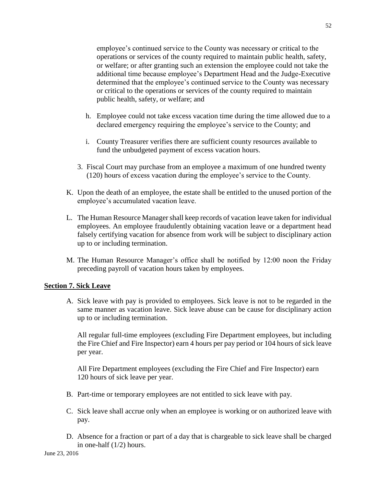employee's continued service to the County was necessary or critical to the operations or services of the county required to maintain public health, safety, or welfare; or after granting such an extension the employee could not take the additional time because employee's Department Head and the Judge-Executive determined that the employee's continued service to the County was necessary or critical to the operations or services of the county required to maintain public health, safety, or welfare; and

- h. Employee could not take excess vacation time during the time allowed due to a declared emergency requiring the employee's service to the County; and
- i. County Treasurer verifies there are sufficient county resources available to fund the unbudgeted payment of excess vacation hours.
- 3. Fiscal Court may purchase from an employee a maximum of one hundred twenty (120) hours of excess vacation during the employee's service to the County.
- K. Upon the death of an employee, the estate shall be entitled to the unused portion of the employee's accumulated vacation leave.
- L. The Human Resource Manager shall keep records of vacation leave taken for individual employees. An employee fraudulently obtaining vacation leave or a department head falsely certifying vacation for absence from work will be subject to disciplinary action up to or including termination.
- M. The Human Resource Manager's office shall be notified by 12:00 noon the Friday preceding payroll of vacation hours taken by employees.

# **Section 7. Sick Leave**

A. Sick leave with pay is provided to employees. Sick leave is not to be regarded in the same manner as vacation leave. Sick leave abuse can be cause for disciplinary action up to or including termination.

All regular full-time employees (excluding Fire Department employees, but including the Fire Chief and Fire Inspector) earn 4 hours per pay period or 104 hours of sick leave per year.

All Fire Department employees (excluding the Fire Chief and Fire Inspector) earn 120 hours of sick leave per year.

- B. Part-time or temporary employees are not entitled to sick leave with pay.
- C. Sick leave shall accrue only when an employee is working or on authorized leave with pay.
- D. Absence for a fraction or part of a day that is chargeable to sick leave shall be charged in one-half (1/2) hours.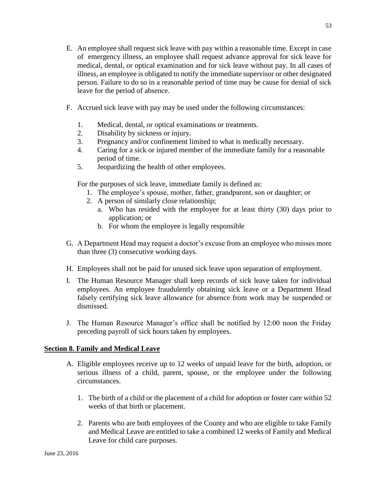- E. An employee shall request sick leave with pay within a reasonable time. Except in case of emergency illness, an employee shall request advance approval for sick leave for medical, dental, or optical examination and for sick leave without pay. In all cases of illness, an employee is obligated to notify the immediate supervisor or other designated person. Failure to do so in a reasonable period of time may be cause for denial of sick leave for the period of absence.
- F. Accrued sick leave with pay may be used under the following circumstances:
	- 1. Medical, dental, or optical examinations or treatments.
	- 2. Disability by sickness or injury.
	- 3. Pregnancy and/or confinement limited to what is medically necessary.
	- 4. Caring for a sick or injured member of the immediate family for a reasonable period of time.
	- 5. Jeopardizing the health of other employees.

For the purposes of sick leave, immediate family is defined as:

- 1. The employee's spouse, mother, father, grandparent, son or daughter; or
- 2. A person of similarly close relationship;
	- a. Who has resided with the employee for at least thirty (30) days prior to application; or
	- b. For whom the employee is legally responsible
- G. A Department Head may request a doctor's excuse from an employee who misses more than three (3) consecutive working days.
- H. Employees shall not be paid for unused sick leave upon separation of employment.
- I. The Human Resource Manager shall keep records of sick leave taken for individual employees. An employee fraudulently obtaining sick leave or a Department Head falsely certifying sick leave allowance for absence from work may be suspended or dismissed.
- J. The Human Resource Manager's office shall be notified by 12:00 noon the Friday preceding payroll of sick hours taken by employees.

# **Section 8. Family and Medical Leave**

- A. Eligible employees receive up to 12 weeks of unpaid leave for the birth, adoption, or serious illness of a child, parent, spouse, or the employee under the following circumstances.
	- 1. The birth of a child or the placement of a child for adoption or foster care within 52 weeks of that birth or placement.
	- 2. Parents who are both employees of the County and who are eligible to take Family and Medical Leave are entitled to take a combined 12 weeks of Family and Medical Leave for child care purposes.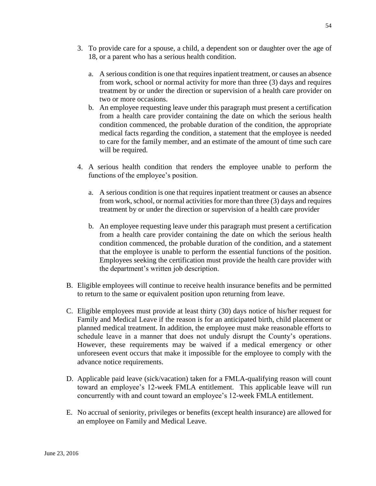- 3. To provide care for a spouse, a child, a dependent son or daughter over the age of 18, or a parent who has a serious health condition.
	- a. A serious condition is one that requires inpatient treatment, or causes an absence from work, school or normal activity for more than three (3) days and requires treatment by or under the direction or supervision of a health care provider on two or more occasions.
	- b. An employee requesting leave under this paragraph must present a certification from a health care provider containing the date on which the serious health condition commenced, the probable duration of the condition, the appropriate medical facts regarding the condition, a statement that the employee is needed to care for the family member, and an estimate of the amount of time such care will be required.
- 4. A serious health condition that renders the employee unable to perform the functions of the employee's position.
	- a. A serious condition is one that requires inpatient treatment or causes an absence from work, school, or normal activities for more than three (3) days and requires treatment by or under the direction or supervision of a health care provider
	- b. An employee requesting leave under this paragraph must present a certification from a health care provider containing the date on which the serious health condition commenced, the probable duration of the condition, and a statement that the employee is unable to perform the essential functions of the position. Employees seeking the certification must provide the health care provider with the department's written job description.
- B. Eligible employees will continue to receive health insurance benefits and be permitted to return to the same or equivalent position upon returning from leave.
- C. Eligible employees must provide at least thirty (30) days notice of his/her request for Family and Medical Leave if the reason is for an anticipated birth, child placement or planned medical treatment. In addition, the employee must make reasonable efforts to schedule leave in a manner that does not unduly disrupt the County's operations. However, these requirements may be waived if a medical emergency or other unforeseen event occurs that make it impossible for the employee to comply with the advance notice requirements.
- D. Applicable paid leave (sick/vacation) taken for a FMLA-qualifying reason will count toward an employee's 12-week FMLA entitlement. This applicable leave will run concurrently with and count toward an employee's 12-week FMLA entitlement.
- E. No accrual of seniority, privileges or benefits (except health insurance) are allowed for an employee on Family and Medical Leave.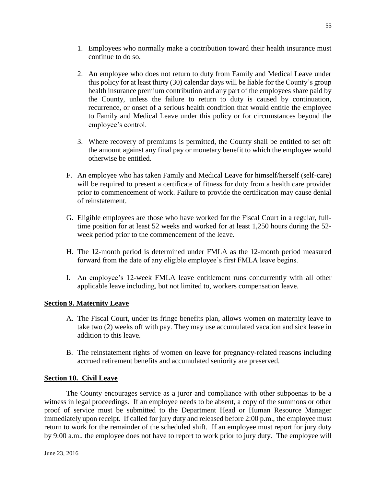- 1. Employees who normally make a contribution toward their health insurance must continue to do so.
- 2. An employee who does not return to duty from Family and Medical Leave under this policy for at least thirty (30) calendar days will be liable for the County's group health insurance premium contribution and any part of the employees share paid by the County, unless the failure to return to duty is caused by continuation, recurrence, or onset of a serious health condition that would entitle the employee to Family and Medical Leave under this policy or for circumstances beyond the employee's control.
- 3. Where recovery of premiums is permitted, the County shall be entitled to set off the amount against any final pay or monetary benefit to which the employee would otherwise be entitled.
- F. An employee who has taken Family and Medical Leave for himself/herself (self-care) will be required to present a certificate of fitness for duty from a health care provider prior to commencement of work. Failure to provide the certification may cause denial of reinstatement.
- G. Eligible employees are those who have worked for the Fiscal Court in a regular, fulltime position for at least 52 weeks and worked for at least 1,250 hours during the 52 week period prior to the commencement of the leave.
- H. The 12-month period is determined under FMLA as the 12-month period measured forward from the date of any eligible employee's first FMLA leave begins.
- I. An employee's 12-week FMLA leave entitlement runs concurrently with all other applicable leave including, but not limited to, workers compensation leave.

# **Section 9. Maternity Leave**

- A. The Fiscal Court, under its fringe benefits plan, allows women on maternity leave to take two (2) weeks off with pay. They may use accumulated vacation and sick leave in addition to this leave.
- B. The reinstatement rights of women on leave for pregnancy-related reasons including accrued retirement benefits and accumulated seniority are preserved.

### **Section 10. Civil Leave**

The County encourages service as a juror and compliance with other subpoenas to be a witness in legal proceedings. If an employee needs to be absent, a copy of the summons or other proof of service must be submitted to the Department Head or Human Resource Manager immediately upon receipt. If called for jury duty and released before 2:00 p.m., the employee must return to work for the remainder of the scheduled shift. If an employee must report for jury duty by 9:00 a.m., the employee does not have to report to work prior to jury duty. The employee will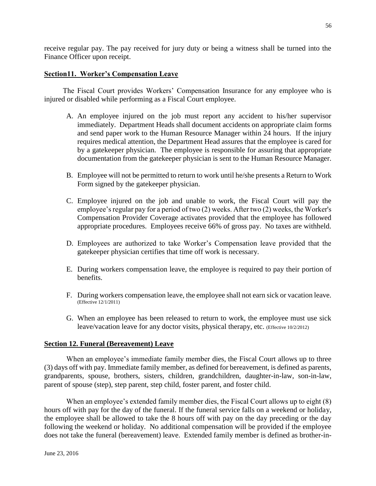receive regular pay. The pay received for jury duty or being a witness shall be turned into the Finance Officer upon receipt.

### **Section11. Worker's Compensation Leave**

The Fiscal Court provides Workers' Compensation Insurance for any employee who is injured or disabled while performing as a Fiscal Court employee.

- A. An employee injured on the job must report any accident to his/her supervisor immediately. Department Heads shall document accidents on appropriate claim forms and send paper work to the Human Resource Manager within 24 hours. If the injury requires medical attention, the Department Head assures that the employee is cared for by a gatekeeper physician. The employee is responsible for assuring that appropriate documentation from the gatekeeper physician is sent to the Human Resource Manager.
- B. Employee will not be permitted to return to work until he/she presents a Return to Work Form signed by the gatekeeper physician.
- C. Employee injured on the job and unable to work, the Fiscal Court will pay the employee's regular pay for a period of two (2) weeks. After two (2) weeks, the Worker's Compensation Provider Coverage activates provided that the employee has followed appropriate procedures. Employees receive 66% of gross pay. No taxes are withheld.
- D. Employees are authorized to take Worker's Compensation leave provided that the gatekeeper physician certifies that time off work is necessary.
- E. During workers compensation leave, the employee is required to pay their portion of benefits.
- F. During workers compensation leave, the employee shall not earn sick or vacation leave. (Effective 12/1/2011)
- G. When an employee has been released to return to work, the employee must use sick leave/vacation leave for any doctor visits, physical therapy, etc. (Effective 10/2/2012)

### **Section 12. Funeral (Bereavement) Leave**

When an employee's immediate family member dies, the Fiscal Court allows up to three (3) days off with pay. Immediate family member, as defined for bereavement, is defined as parents, grandparents, spouse, brothers, sisters, children, grandchildren, daughter-in-law, son-in-law, parent of spouse (step), step parent, step child, foster parent, and foster child.

When an employee's extended family member dies, the Fiscal Court allows up to eight (8) hours off with pay for the day of the funeral. If the funeral service falls on a weekend or holiday, the employee shall be allowed to take the 8 hours off with pay on the day preceding or the day following the weekend or holiday. No additional compensation will be provided if the employee does not take the funeral (bereavement) leave. Extended family member is defined as brother-in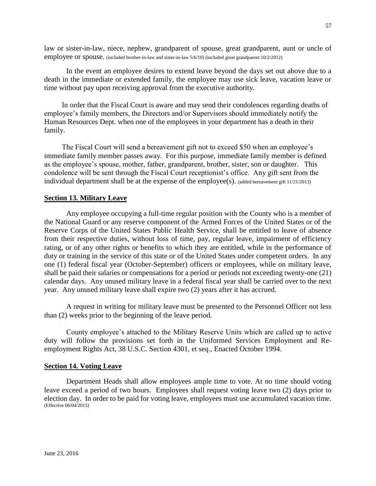law or sister-in-law, niece, nephew, grandparent of spouse, great grandparent, aunt or uncle of employee or spouse. (included brother-in-law and sister-in-law 5/6/10) (included great grandparent 10/2/2012)

In the event an employee desires to extend leave beyond the days set out above due to a death in the immediate or extended family, the employee may use sick leave, vacation leave or time without pay upon receiving approval from the executive authority.

In order that the Fiscal Court is aware and may send their condolences regarding deaths of employee's family members, the Directors and/or Supervisors should immediately notify the Human Resources Dept. when one of the employees in your department has a death in their family.

The Fiscal Court will send a bereavement gift not to exceed \$50 when an employee's immediate family member passes away. For this purpose, immediate family member is defined as the employee's spouse, mother, father, grandparent, brother, sister, son or daughter. This condolence will be sent through the Fiscal Court receptionist's office. Any gift sent from the individual department shall be at the expense of the employee(s). (added bereavement gift 11/21/2013)

#### **Section 13. Military Leave**

Any employee occupying a full-time regular position with the County who is a member of the National Guard or any reserve component of the Armed Forces of the United States or of the Reserve Corps of the United States Public Health Service, shall be entitled to leave of absence from their respective duties, without loss of time, pay, regular leave, impairment of efficiency rating, or of any other rights or benefits to which they are entitled, while in the performance of duty or training in the service of this state or of the United States under competent orders. In any one (1) federal fiscal year (October-September) officers or employees, while on military leave, shall be paid their salaries or compensations for a period or periods not exceeding twenty-one (21) calendar days. Any unused military leave in a federal fiscal year shall be carried over to the next year. Any unused military leave shall expire two (2) years after it has accrued.

A request in writing for military leave must be presented to the Personnel Officer not less than (2) weeks prior to the beginning of the leave period.

County employee's attached to the Military Reserve Units which are called up to active duty will follow the provisions set forth in the Uniformed Services Employment and Reemployment Rights Act, 38 U.S.C. Section 4301, et seq., Enacted October 1994.

#### **Section 14. Voting Leave**

Department Heads shall allow employees ample time to vote. At no time should voting leave exceed a period of two hours. Employees shall request voting leave two (2) days prior to election day. In order to be paid for voting leave, employees must use accumulated vacation time. (Effective 06/04/2015)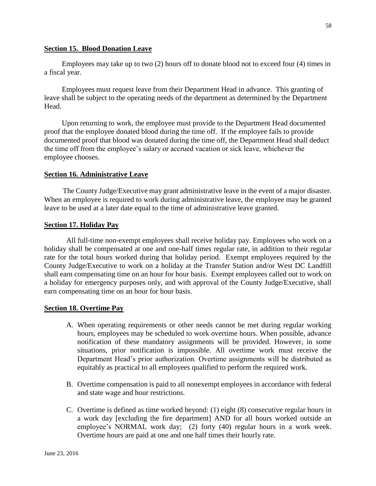### **Section 15. Blood Donation Leave**

Employees may take up to two (2) hours off to donate blood not to exceed four (4) times in a fiscal year.

Employees must request leave from their Department Head in advance. This granting of leave shall be subject to the operating needs of the department as determined by the Department Head.

Upon returning to work, the employee must provide to the Department Head documented proof that the employee donated blood during the time off. If the employee fails to provide documented proof that blood was donated during the time off, the Department Head shall deduct the time off from the employee's salary or accrued vacation or sick leave, whichever the employee chooses.

### **Section 16. Administrative Leave**

The County Judge/Executive may grant administrative leave in the event of a major disaster. When an employee is required to work during administrative leave, the employee may be granted leave to be used at a later date equal to the time of administrative leave granted.

### **Section 17. Holiday Pay**

All full-time non-exempt employees shall receive holiday pay. Employees who work on a holiday shall be compensated at one and one-half times regular rate, in addition to their regular rate for the total hours worked during that holiday period. Exempt employees required by the County Judge/Executive to work on a holiday at the Transfer Station and/or West DC Landfill shall earn compensating time on an hour for hour basis. Exempt employees called out to work on a holiday for emergency purposes only, and with approval of the County Judge/Executive, shall earn compensating time on an hour for hour basis.

### **Section 18. Overtime Pay**

- A. When operating requirements or other needs cannot be met during regular working hours, employees may be scheduled to work overtime hours. When possible, advance notification of these mandatory assignments will be provided. However, in some situations, prior notification is impossible. All overtime work must receive the Department Head's prior authorization. Overtime assignments will be distributed as equitably as practical to all employees qualified to perform the required work.
- B. Overtime compensation is paid to all nonexempt employees in accordance with federal and state wage and hour restrictions.
- C. Overtime is defined as time worked beyond: (1) eight (8) consecutive regular hours in a work day [excluding the fire department] AND for all hours worked outside an employee's NORMAL work day; (2) forty (40) regular hours in a work week. Overtime hours are paid at one and one half times their hourly rate.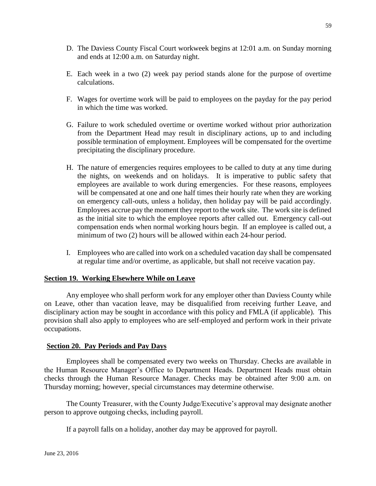- D. The Daviess County Fiscal Court workweek begins at 12:01 a.m. on Sunday morning and ends at 12:00 a.m. on Saturday night.
- E. Each week in a two (2) week pay period stands alone for the purpose of overtime calculations.
- F. Wages for overtime work will be paid to employees on the payday for the pay period in which the time was worked.
- G. Failure to work scheduled overtime or overtime worked without prior authorization from the Department Head may result in disciplinary actions, up to and including possible termination of employment. Employees will be compensated for the overtime precipitating the disciplinary procedure.
- H. The nature of emergencies requires employees to be called to duty at any time during the nights, on weekends and on holidays. It is imperative to public safety that employees are available to work during emergencies. For these reasons, employees will be compensated at one and one half times their hourly rate when they are working on emergency call-outs, unless a holiday, then holiday pay will be paid accordingly. Employees accrue pay the moment they report to the work site. The work site is defined as the initial site to which the employee reports after called out. Emergency call-out compensation ends when normal working hours begin. If an employee is called out, a minimum of two (2) hours will be allowed within each 24-hour period.
- I. Employees who are called into work on a scheduled vacation day shall be compensated at regular time and/or overtime, as applicable, but shall not receive vacation pay.

### **Section 19. Working Elsewhere While on Leave**

Any employee who shall perform work for any employer other than Daviess County while on Leave, other than vacation leave, may be disqualified from receiving further Leave, and disciplinary action may be sought in accordance with this policy and FMLA (if applicable). This provision shall also apply to employees who are self-employed and perform work in their private occupations.

### **Section 20. Pay Periods and Pay Days**

Employees shall be compensated every two weeks on Thursday. Checks are available in the Human Resource Manager's Office to Department Heads. Department Heads must obtain checks through the Human Resource Manager. Checks may be obtained after 9:00 a.m. on Thursday morning; however, special circumstances may determine otherwise.

The County Treasurer, with the County Judge/Executive's approval may designate another person to approve outgoing checks, including payroll.

If a payroll falls on a holiday, another day may be approved for payroll.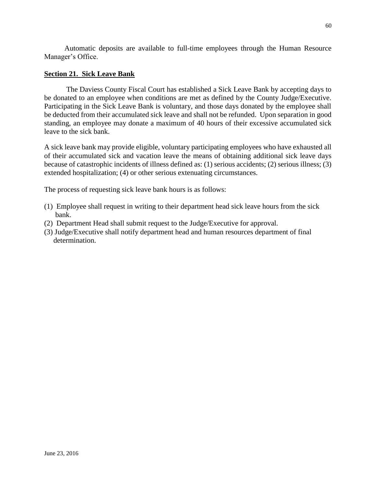Automatic deposits are available to full-time employees through the Human Resource Manager's Office.

### **Section 21. Sick Leave Bank**

The Daviess County Fiscal Court has established a Sick Leave Bank by accepting days to be donated to an employee when conditions are met as defined by the County Judge/Executive. Participating in the Sick Leave Bank is voluntary, and those days donated by the employee shall be deducted from their accumulated sick leave and shall not be refunded. Upon separation in good standing, an employee may donate a maximum of 40 hours of their excessive accumulated sick leave to the sick bank.

A sick leave bank may provide eligible, voluntary participating employees who have exhausted all of their accumulated sick and vacation leave the means of obtaining additional sick leave days because of catastrophic incidents of illness defined as: (1) serious accidents; (2) serious illness; (3) extended hospitalization; (4) or other serious extenuating circumstances.

The process of requesting sick leave bank hours is as follows:

- (1) Employee shall request in writing to their department head sick leave hours from the sick bank.
- (2) Department Head shall submit request to the Judge/Executive for approval.
- (3) Judge/Executive shall notify department head and human resources department of final determination.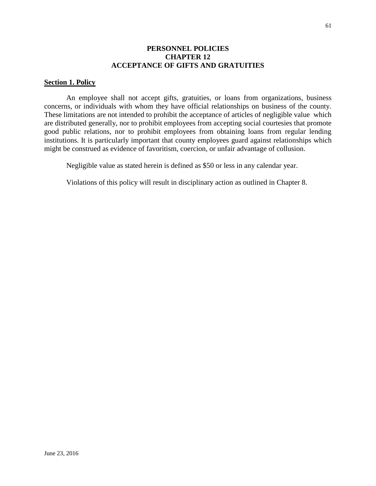### **PERSONNEL POLICIES CHAPTER 12 ACCEPTANCE OF GIFTS AND GRATUITIES**

### **Section 1. Policy**

An employee shall not accept gifts, gratuities, or loans from organizations, business concerns, or individuals with whom they have official relationships on business of the county. These limitations are not intended to prohibit the acceptance of articles of negligible value which are distributed generally, nor to prohibit employees from accepting social courtesies that promote good public relations, nor to prohibit employees from obtaining loans from regular lending institutions. It is particularly important that county employees guard against relationships which might be construed as evidence of favoritism, coercion, or unfair advantage of collusion.

Negligible value as stated herein is defined as \$50 or less in any calendar year.

Violations of this policy will result in disciplinary action as outlined in Chapter 8.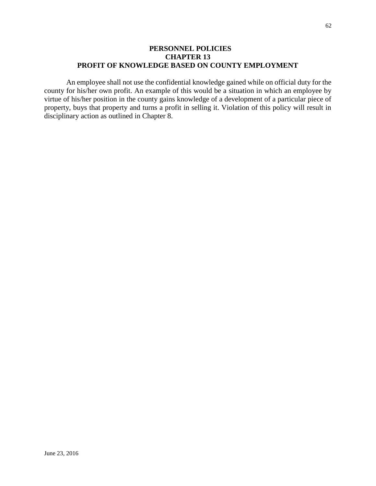# **PERSONNEL POLICIES CHAPTER 13 PROFIT OF KNOWLEDGE BASED ON COUNTY EMPLOYMENT**

An employee shall not use the confidential knowledge gained while on official duty for the county for his/her own profit. An example of this would be a situation in which an employee by virtue of his/her position in the county gains knowledge of a development of a particular piece of property, buys that property and turns a profit in selling it. Violation of this policy will result in disciplinary action as outlined in Chapter 8.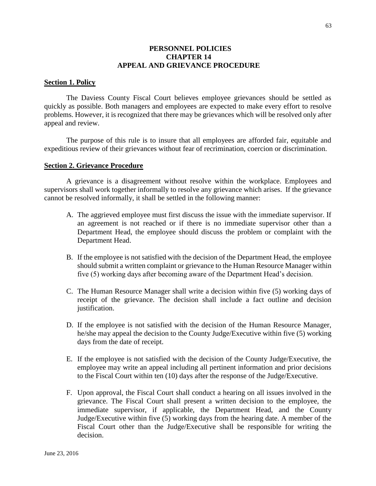### **PERSONNEL POLICIES CHAPTER 14 APPEAL AND GRIEVANCE PROCEDURE**

### **Section 1. Policy**

The Daviess County Fiscal Court believes employee grievances should be settled as quickly as possible. Both managers and employees are expected to make every effort to resolve problems. However, it is recognized that there may be grievances which will be resolved only after appeal and review.

The purpose of this rule is to insure that all employees are afforded fair, equitable and expeditious review of their grievances without fear of recrimination, coercion or discrimination.

#### **Section 2. Grievance Procedure**

A grievance is a disagreement without resolve within the workplace. Employees and supervisors shall work together informally to resolve any grievance which arises. If the grievance cannot be resolved informally, it shall be settled in the following manner:

- A. The aggrieved employee must first discuss the issue with the immediate supervisor. If an agreement is not reached or if there is no immediate supervisor other than a Department Head, the employee should discuss the problem or complaint with the Department Head.
- B. If the employee is not satisfied with the decision of the Department Head, the employee should submit a written complaint or grievance to the Human Resource Manager within five (5) working days after becoming aware of the Department Head's decision.
- C. The Human Resource Manager shall write a decision within five (5) working days of receipt of the grievance. The decision shall include a fact outline and decision justification.
- D. If the employee is not satisfied with the decision of the Human Resource Manager, he/she may appeal the decision to the County Judge/Executive within five (5) working days from the date of receipt.
- E. If the employee is not satisfied with the decision of the County Judge/Executive, the employee may write an appeal including all pertinent information and prior decisions to the Fiscal Court within ten (10) days after the response of the Judge/Executive.
- F. Upon approval, the Fiscal Court shall conduct a hearing on all issues involved in the grievance. The Fiscal Court shall present a written decision to the employee, the immediate supervisor, if applicable, the Department Head, and the County Judge/Executive within five (5) working days from the hearing date. A member of the Fiscal Court other than the Judge/Executive shall be responsible for writing the decision.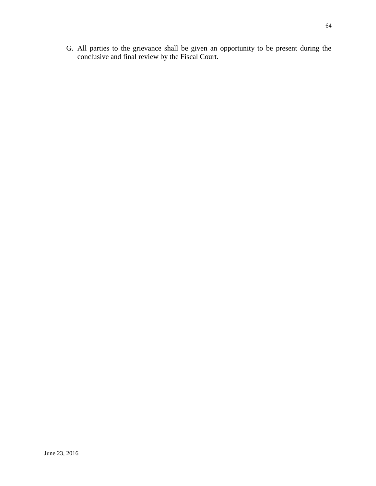G. All parties to the grievance shall be given an opportunity to be present during the conclusive and final review by the Fiscal Court.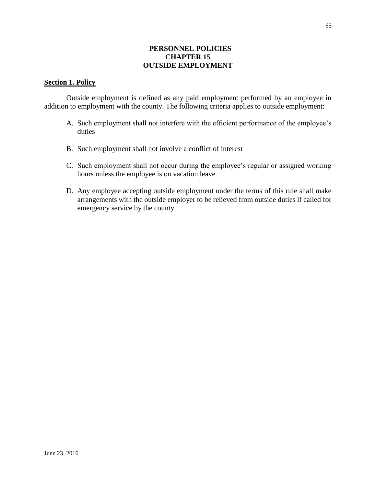# **PERSONNEL POLICIES CHAPTER 15 OUTSIDE EMPLOYMENT**

# **Section 1. Policy**

Outside employment is defined as any paid employment performed by an employee in addition to employment with the county. The following criteria applies to outside employment:

- A. Such employment shall not interfere with the efficient performance of the employee's duties
- B. Such employment shall not involve a conflict of interest
- C. Such employment shall not occur during the employee's regular or assigned working hours unless the employee is on vacation leave
- D. Any employee accepting outside employment under the terms of this rule shall make arrangements with the outside employer to be relieved from outside duties if called for emergency service by the county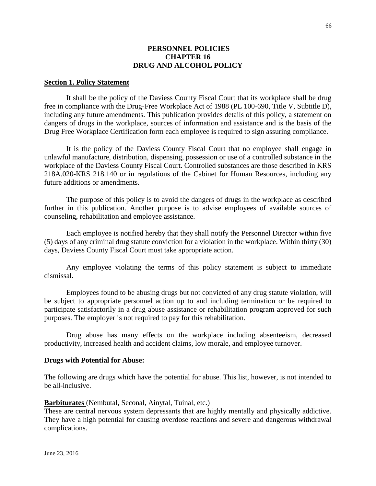### **PERSONNEL POLICIES CHAPTER 16 DRUG AND ALCOHOL POLICY**

#### **Section 1. Policy Statement**

It shall be the policy of the Daviess County Fiscal Court that its workplace shall be drug free in compliance with the Drug-Free Workplace Act of 1988 (PL 100-690, Title V, Subtitle D), including any future amendments. This publication provides details of this policy, a statement on dangers of drugs in the workplace, sources of information and assistance and is the basis of the Drug Free Workplace Certification form each employee is required to sign assuring compliance.

It is the policy of the Daviess County Fiscal Court that no employee shall engage in unlawful manufacture, distribution, dispensing, possession or use of a controlled substance in the workplace of the Daviess County Fiscal Court. Controlled substances are those described in KRS 218A.020-KRS 218.140 or in regulations of the Cabinet for Human Resources, including any future additions or amendments.

The purpose of this policy is to avoid the dangers of drugs in the workplace as described further in this publication. Another purpose is to advise employees of available sources of counseling, rehabilitation and employee assistance.

Each employee is notified hereby that they shall notify the Personnel Director within five (5) days of any criminal drug statute conviction for a violation in the workplace. Within thirty (30) days, Daviess County Fiscal Court must take appropriate action.

Any employee violating the terms of this policy statement is subject to immediate dismissal.

Employees found to be abusing drugs but not convicted of any drug statute violation, will be subject to appropriate personnel action up to and including termination or be required to participate satisfactorily in a drug abuse assistance or rehabilitation program approved for such purposes. The employer is not required to pay for this rehabilitation.

Drug abuse has many effects on the workplace including absenteeism, decreased productivity, increased health and accident claims, low morale, and employee turnover.

### **Drugs with Potential for Abuse:**

The following are drugs which have the potential for abuse. This list, however, is not intended to be all-inclusive.

### **Barbiturates** (Nembutal, Seconal, Ainytal, Tuinal, etc.)

These are central nervous system depressants that are highly mentally and physically addictive. They have a high potential for causing overdose reactions and severe and dangerous withdrawal complications.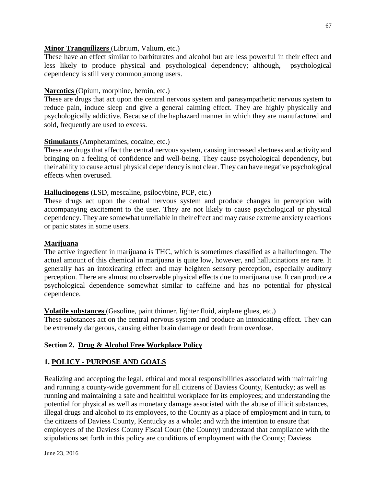### **Minor Tranquilizers** (Librium, Valium, etc.)

These have an effect similar to barbiturates and alcohol but are less powerful in their effect and less likely to produce physical and psychological dependency; although, psychological dependency is still very common among users.

# **Narcotics** (Opium, morphine, heroin, etc.)

These are drugs that act upon the central nervous system and parasympathetic nervous system to reduce pain, induce sleep and give a general calming effect. They are highly physically and psychologically addictive. Because of the haphazard manner in which they are manufactured and sold, frequently are used to excess.

# **Stimulants** (Amphetamines, cocaine, etc.)

These are drugs that affect the central nervous system, causing increased alertness and activity and bringing on a feeling of confidence and well-being. They cause psychological dependency, but their ability to cause actual physical dependency is not clear. They can have negative psychological effects when overused.

# **Hallucinogens** (LSD, mescaline, psilocybine, PCP, etc.)

These drugs act upon the central nervous system and produce changes in perception with accompanying excitement to the user. They are not likely to cause psychological or physical dependency. They are somewhat unreliable in their effect and may cause extreme anxiety reactions or panic states in some users.

### **Marijuana**

The active ingredient in marijuana is THC, which is sometimes classified as a hallucinogen. The actual amount of this chemical in marijuana is quite low, however, and hallucinations are rare. It generally has an intoxicating effect and may heighten sensory perception, especially auditory perception. There are almost no observable physical effects due to marijuana use. It can produce a psychological dependence somewhat similar to caffeine and has no potential for physical dependence.

### **Volatile substances** (Gasoline, paint thinner, lighter fluid, airplane glues, etc.)

These substances act on the central nervous system and produce an intoxicating effect. They can be extremely dangerous, causing either brain damage or death from overdose.

### **Section 2. Drug & Alcohol Free Workplace Policy**

### **1. POLICY - PURPOSE AND GOALS**

Realizing and accepting the legal, ethical and moral responsibilities associated with maintaining and running a county-wide government for all citizens of Daviess County, Kentucky; as well as running and maintaining a safe and healthful workplace for its employees; and understanding the potential for physical as well as monetary damage associated with the abuse of illicit substances, illegal drugs and alcohol to its employees, to the County as a place of employment and in turn, to the citizens of Daviess County, Kentucky as a whole; and with the intention to ensure that employees of the Daviess County Fiscal Court (the County) understand that compliance with the stipulations set forth in this policy are conditions of employment with the County; Daviess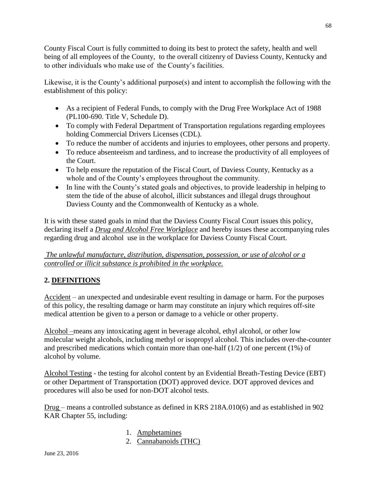County Fiscal Court is fully committed to doing its best to protect the safety, health and well being of all employees of the County, to the overall citizenry of Daviess County, Kentucky and to other individuals who make use of the County's facilities.

Likewise, it is the County's additional purpose(s) and intent to accomplish the following with the establishment of this policy:

- As a recipient of Federal Funds, to comply with the Drug Free Workplace Act of 1988 (PL100-690. Title V, Schedule D).
- To comply with Federal Department of Transportation regulations regarding employees holding Commercial Drivers Licenses (CDL).
- To reduce the number of accidents and injuries to employees, other persons and property.
- To reduce absenteeism and tardiness, and to increase the productivity of all employees of the Court.
- To help ensure the reputation of the Fiscal Court, of Daviess County, Kentucky as a whole and of the County's employees throughout the community.
- In line with the County's stated goals and objectives, to provide leadership in helping to stem the tide of the abuse of alcohol, illicit substances and illegal drugs throughout Daviess County and the Commonwealth of Kentucky as a whole.

It is with these stated goals in mind that the Daviess County Fiscal Court issues this policy, declaring itself a *Drug and Alcohol Free Workplace* and hereby issues these accompanying rules regarding drug and alcohol use in the workplace for Daviess County Fiscal Court.

# *The unlawful manufacture, distribution, dispensation, possession, or use of alcohol or a controlled or illicit substance is prohibited in the workplace.*

# **2. DEFINITIONS**

Accident – an unexpected and undesirable event resulting in damage or harm. For the purposes of this policy, the resulting damage or harm may constitute an injury which requires off-site medical attention be given to a person or damage to a vehicle or other property.

Alcohol –means any intoxicating agent in beverage alcohol, ethyl alcohol, or other low molecular weight alcohols, including methyl or isopropyl alcohol. This includes over-the-counter and prescribed medications which contain more than one-half (1/2) of one percent (1%) of alcohol by volume.

Alcohol Testing - the testing for alcohol content by an Evidential Breath-Testing Device (EBT) or other Department of Transportation (DOT) approved device. DOT approved devices and procedures will also be used for non-DOT alcohol tests.

Drug – means a controlled substance as defined in KRS 218A.010(6) and as established in 902 KAR Chapter 55, including:

- 1. Amphetamines
- 2. Cannabanoids (THC)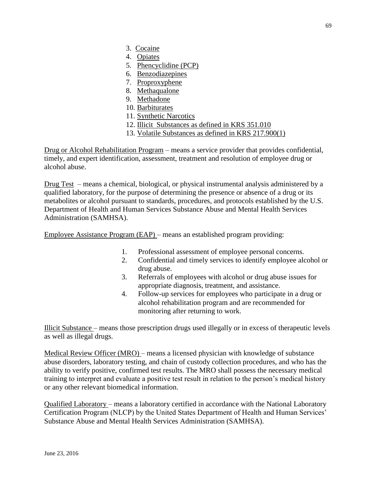- 3. Cocaine
- 4. Opiates
- 5. Phencyclidine (PCP)
- 6. Benzodiazepines
- 7. Proproxyphene
- 8. Methaqualone
- 9. Methadone
- 10. Barbiturates
- 11. Synthetic Narcotics
- 12. Illicit Substances as defined in KRS 351.010
- 13. Volatile Substances as defined in KRS 217.900(1)

Drug or Alcohol Rehabilitation Program – means a service provider that provides confidential, timely, and expert identification, assessment, treatment and resolution of employee drug or alcohol abuse.

Drug Test – means a chemical, biological, or physical instrumental analysis administered by a qualified laboratory, for the purpose of determining the presence or absence of a drug or its metabolites or alcohol pursuant to standards, procedures, and protocols established by the U.S. Department of Health and Human Services Substance Abuse and Mental Health Services Administration (SAMHSA).

Employee Assistance Program (EAP) – means an established program providing:

- 1. Professional assessment of employee personal concerns.
- 2. Confidential and timely services to identify employee alcohol or drug abuse.
- 3. Referrals of employees with alcohol or drug abuse issues for appropriate diagnosis, treatment, and assistance.
- 4. Follow-up services for employees who participate in a drug or alcohol rehabilitation program and are recommended for monitoring after returning to work.

Illicit Substance – means those prescription drugs used illegally or in excess of therapeutic levels as well as illegal drugs.

Medical Review Officer (MRO) – means a licensed physician with knowledge of substance abuse disorders, laboratory testing, and chain of custody collection procedures, and who has the ability to verify positive, confirmed test results. The MRO shall possess the necessary medical training to interpret and evaluate a positive test result in relation to the person's medical history or any other relevant biomedical information.

Qualified Laboratory – means a laboratory certified in accordance with the National Laboratory Certification Program (NLCP) by the United States Department of Health and Human Services' Substance Abuse and Mental Health Services Administration (SAMHSA).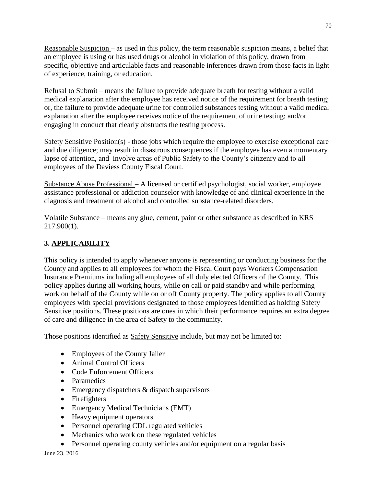Reasonable Suspicion – as used in this policy, the term reasonable suspicion means, a belief that an employee is using or has used drugs or alcohol in violation of this policy, drawn from specific, objective and articulable facts and reasonable inferences drawn from those facts in light of experience, training, or education.

Refusal to Submit – means the failure to provide adequate breath for testing without a valid medical explanation after the employee has received notice of the requirement for breath testing; or, the failure to provide adequate urine for controlled substances testing without a valid medical explanation after the employee receives notice of the requirement of urine testing; and/or engaging in conduct that clearly obstructs the testing process.

Safety Sensitive Position(s) - those jobs which require the employee to exercise exceptional care and due diligence; may result in disastrous consequences if the employee has even a momentary lapse of attention, and involve areas of Public Safety to the County's citizenry and to all employees of the Daviess County Fiscal Court.

Substance Abuse Professional – A licensed or certified psychologist, social worker, employee assistance professional or addiction counselor with knowledge of and clinical experience in the diagnosis and treatment of alcohol and controlled substance-related disorders.

Volatile Substance – means any glue, cement, paint or other substance as described in KRS 217.900(1).

# **3. APPLICABILITY**

This policy is intended to apply whenever anyone is representing or conducting business for the County and applies to all employees for whom the Fiscal Court pays Workers Compensation Insurance Premiums including all employees of all duly elected Officers of the County. This policy applies during all working hours, while on call or paid standby and while performing work on behalf of the County while on or off County property. The policy applies to all County employees with special provisions designated to those employees identified as holding Safety Sensitive positions. These positions are ones in which their performance requires an extra degree of care and diligence in the area of Safety to the community.

Those positions identified as Safety Sensitive include, but may not be limited to:

- Employees of the County Jailer
- Animal Control Officers
- Code Enforcement Officers
- Paramedics
- Emergency dispatchers & dispatch supervisors
- Firefighters
- Emergency Medical Technicians (EMT)
- Heavy equipment operators
- Personnel operating CDL regulated vehicles
- Mechanics who work on these regulated vehicles
- Personnel operating county vehicles and/or equipment on a regular basis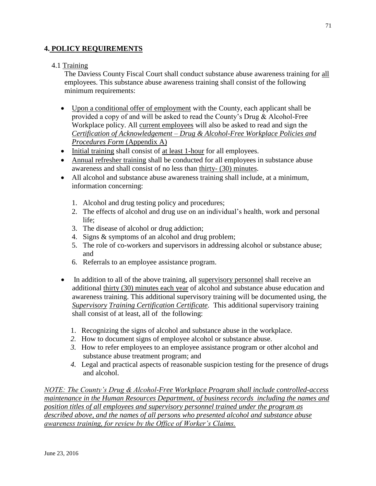# **4. POLICY REQUIREMENTS**

### 4.1 Training

The Daviess County Fiscal Court shall conduct substance abuse awareness training for all employees. This substance abuse awareness training shall consist of the following minimum requirements:

- Upon a conditional offer of employment with the County, each applicant shall be provided a copy of and will be asked to read the County's Drug & Alcohol-Free Workplace policy. All current employees will also be asked to read and sign the *Certification of Acknowledgement – Drug & Alcohol-Free Workplace Policies and Procedures Form* (Appendix A)
- Initial training shall consist of at least 1-hour for all employees.
- Annual refresher training shall be conducted for all employees in substance abuse awareness and shall consist of no less than thirty- (30) minutes.
- All alcohol and substance abuse awareness training shall include, at a minimum, information concerning:
	- 1. Alcohol and drug testing policy and procedures;
	- 2. The effects of alcohol and drug use on an individual's health, work and personal life;
	- 3. The disease of alcohol or drug addiction;
	- 4. Signs & symptoms of an alcohol and drug problem;
	- 5. The role of co-workers and supervisors in addressing alcohol or substance abuse; and
	- 6. Referrals to an employee assistance program.
- In addition to all of the above training, all supervisory personnel shall receive an additional thirty (30) minutes each year of alcohol and substance abuse education and awareness training. This additional supervisory training will be documented using, the *Supervisory Training Certification Certificate.* This additional supervisory training shall consist of at least, all of the following:
	- 1. Recognizing the signs of alcohol and substance abuse in the workplace.
	- *2.* How to document signs of employee alcohol or substance abuse.
	- *3.* How to refer employees to an employee assistance program or other alcohol and substance abuse treatment program; and
	- *4.* Legal and practical aspects of reasonable suspicion testing for the presence of drugs and alcohol.

*NOTE: The County's Drug & Alcohol-Free Workplace Program shall include controlled-access maintenance in the Human Resources Department, of business records including the names and position titles of all employees and supervisory personnel trained under the program as described above, and the names of all persons who presented alcohol and substance abuse awareness training, for review by the Office of Worker's Claims.*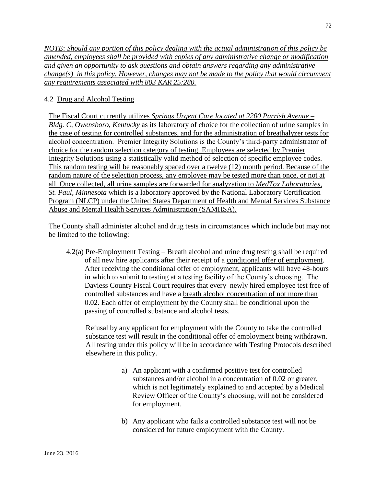*NOTE*: *Should any portion of this policy dealing with the actual administration of this policy be amended, employees shall be provided with copies of any administrative change or modification and given an opportunity to ask questions and obtain answers regarding any administrative change(s) in this policy. However, changes may not be made to the policy that would circumvent any requirements associated with 803 KAR 25:280.*

# 4.2 Drug and Alcohol Testing

The Fiscal Court currently utilizes *Springs Urgent Care located at 2200 Parrish Avenue – Bldg. C, Owensboro, Kentucky* as its laboratory of choice for the collection of urine samples in the case of testing for controlled substances, and for the administration of breathalyzer tests for alcohol concentration. Premier Integrity Solutions is the County's third-party administrator of choice for the random selection category of testing. Employees are selected by Premier Integrity Solutions using a statistically valid method of selection of specific employee codes. This random testing will be reasonably spaced over a twelve (12) month period. Because of the random nature of the selection process, any employee may be tested more than once, or not at all. Once collected, all urine samples are forwarded for analyzation to *MedTox Laboratories, St. Paul, Minnesota* which is a laboratory approved by the National Laboratory Certification Program (NLCP) under the United States Department of Health and Mental Services Substance Abuse and Mental Health Services Administration (SAMHSA).

The County shall administer alcohol and drug tests in circumstances which include but may not be limited to the following:

4.2(a) Pre-Employment Testing – Breath alcohol and urine drug testing shall be required of all new hire applicants after their receipt of a conditional offer of employment. After receiving the conditional offer of employment, applicants will have 48-hours in which to submit to testing at a testing facility of the County's choosing. The Daviess County Fiscal Court requires that every newly hired employee test free of controlled substances and have a breath alcohol concentration of not more than 0.02. Each offer of employment by the County shall be conditional upon the passing of controlled substance and alcohol tests.

Refusal by any applicant for employment with the County to take the controlled substance test will result in the conditional offer of employment being withdrawn. All testing under this policy will be in accordance with Testing Protocols described elsewhere in this policy.

- a) An applicant with a confirmed positive test for controlled substances and/or alcohol in a concentration of 0.02 or greater, which is not legitimately explained to and accepted by a Medical Review Officer of the County's choosing, will not be considered for employment.
- b) Any applicant who fails a controlled substance test will not be considered for future employment with the County.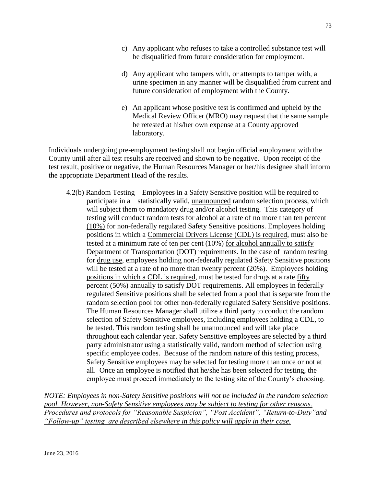- c) Any applicant who refuses to take a controlled substance test will be disqualified from future consideration for employment.
- d) Any applicant who tampers with, or attempts to tamper with, a urine specimen in any manner will be disqualified from current and future consideration of employment with the County.
- e) An applicant whose positive test is confirmed and upheld by the Medical Review Officer (MRO) may request that the same sample be retested at his/her own expense at a County approved laboratory.

Individuals undergoing pre-employment testing shall not begin official employment with the County until after all test results are received and shown to be negative. Upon receipt of the test result, positive or negative, the Human Resources Manager or her/his designee shall inform the appropriate Department Head of the results.

4.2(b) Random Testing – Employees in a Safety Sensitive position will be required to participate in a statistically valid, unannounced random selection process, which will subject them to mandatory drug and/or alcohol testing. This category of testing will conduct random tests for alcohol at a rate of no more than ten percent (10%) for non-federally regulated Safety Sensitive positions. Employees holding positions in which a Commercial Drivers License (CDL) is required, must also be tested at a minimum rate of ten per cent (10%) for alcohol annually to satisfy Department of Transportation (DOT) requirements. In the case of random testing for drug use, employees holding non-federally regulated Safety Sensitive positions will be tested at a rate of no more than twenty percent (20%). Employees holding positions in which a CDL is required, must be tested for drugs at a rate fifty percent (50%) annually to satisfy DOT requirements. All employees in federally regulated Sensitive positions shall be selected from a pool that is separate from the random selection pool for other non-federally regulated Safety Sensitive positions. The Human Resources Manager shall utilize a third party to conduct the random selection of Safety Sensitive employees, including employees holding a CDL, to be tested. This random testing shall be unannounced and will take place throughout each calendar year. Safety Sensitive employees are selected by a third party administrator using a statistically valid, random method of selection using specific employee codes. Because of the random nature of this testing process, Safety Sensitive employees may be selected for testing more than once or not at all. Once an employee is notified that he/she has been selected for testing, the employee must proceed immediately to the testing site of the County's choosing.

*NOTE: Employees in non-Safety Sensitive positions will not be included in the random selection pool. However, non-Safety Sensitive employees may be subject to testing for other reasons. Procedures and protocols for "Reasonable Suspicion", "Post Accident", "Return-to-Duty"and "Follow-up" testing are described elsewhere in this policy will apply in their case.*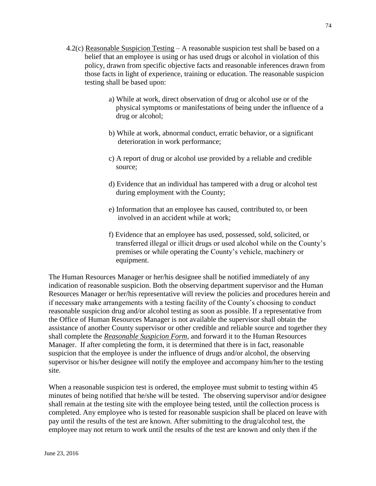- 4.2(c) Reasonable Suspicion Testing A reasonable suspicion test shall be based on a belief that an employee is using or has used drugs or alcohol in violation of this policy, drawn from specific objective facts and reasonable inferences drawn from those facts in light of experience, training or education. The reasonable suspicion testing shall be based upon:
	- a) While at work, direct observation of drug or alcohol use or of the physical symptoms or manifestations of being under the influence of a drug or alcohol;
	- b) While at work, abnormal conduct, erratic behavior, or a significant deterioration in work performance;
	- c) A report of drug or alcohol use provided by a reliable and credible source;
	- d) Evidence that an individual has tampered with a drug or alcohol test during employment with the County;
	- e) Information that an employee has caused, contributed to, or been involved in an accident while at work;
	- f) Evidence that an employee has used, possessed, sold, solicited, or transferred illegal or illicit drugs or used alcohol while on the County's premises or while operating the County's vehicle, machinery or equipment.

The Human Resources Manager or her/his designee shall be notified immediately of any indication of reasonable suspicion. Both the observing department supervisor and the Human Resources Manager or her/his representative will review the policies and procedures herein and if necessary make arrangements with a testing facility of the County's choosing to conduct reasonable suspicion drug and/or alcohol testing as soon as possible. If a representative from the Office of Human Resources Manager is not available the supervisor shall obtain the assistance of another County supervisor or other credible and reliable source and together they shall complete the *Reasonable Suspicion Form*, and forward it to the Human Resources Manager. If after completing the form, it is determined that there is in fact, reasonable suspicion that the employee is under the influence of drugs and/or alcohol, the observing supervisor or his/her designee will notify the employee and accompany him/her to the testing site.

When a reasonable suspicion test is ordered, the employee must submit to testing within 45 minutes of being notified that he/she will be tested. The observing supervisor and/or designee shall remain at the testing site with the employee being tested, until the collection process is completed. Any employee who is tested for reasonable suspicion shall be placed on leave with pay until the results of the test are known. After submitting to the drug/alcohol test, the employee may not return to work until the results of the test are known and only then if the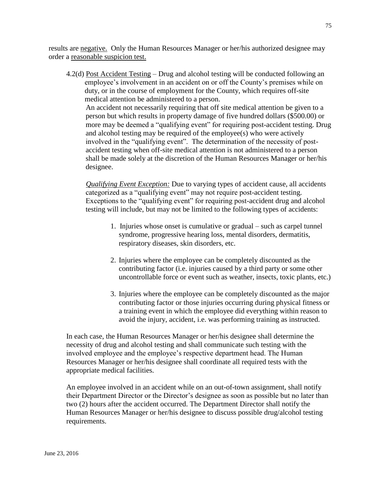results are negative. Only the Human Resources Manager or her/his authorized designee may order a reasonable suspicion test.

4.2(d) Post Accident Testing – Drug and alcohol testing will be conducted following an employee's involvement in an accident on or off the County's premises while on duty, or in the course of employment for the County, which requires off-site medical attention be administered to a person. An accident not necessarily requiring that off site medical attention be given to a person but which results in property damage of five hundred dollars (\$500.00) or more may be deemed a "qualifying event" for requiring post-accident testing. Drug and alcohol testing may be required of the employee(s) who were actively involved in the "qualifying event". The determination of the necessity of postaccident testing when off-site medical attention is not administered to a person shall be made solely at the discretion of the Human Resources Manager or her/his designee.

 *Qualifying Event Exception:* Due to varying types of accident cause, all accidents categorized as a "qualifying event" may not require post-accident testing. Exceptions to the "qualifying event" for requiring post-accident drug and alcohol testing will include, but may not be limited to the following types of accidents:

- 1. Injuries whose onset is cumulative or gradual such as carpel tunnel syndrome, progressive hearing loss, mental disorders, dermatitis, respiratory diseases, skin disorders, etc.
- 2. Injuries where the employee can be completely discounted as the contributing factor (i.e. injuries caused by a third party or some other uncontrollable force or event such as weather, insects, toxic plants, etc.)
- 3. Injuries where the employee can be completely discounted as the major contributing factor or those injuries occurring during physical fitness or a training event in which the employee did everything within reason to avoid the injury, accident, i.e. was performing training as instructed.

In each case, the Human Resources Manager or her/his designee shall determine the necessity of drug and alcohol testing and shall communicate such testing with the involved employee and the employee's respective department head. The Human Resources Manager or her/his designee shall coordinate all required tests with the appropriate medical facilities.

An employee involved in an accident while on an out-of-town assignment, shall notify their Department Director or the Director's designee as soon as possible but no later than two (2) hours after the accident occurred. The Department Director shall notify the Human Resources Manager or her/his designee to discuss possible drug/alcohol testing requirements.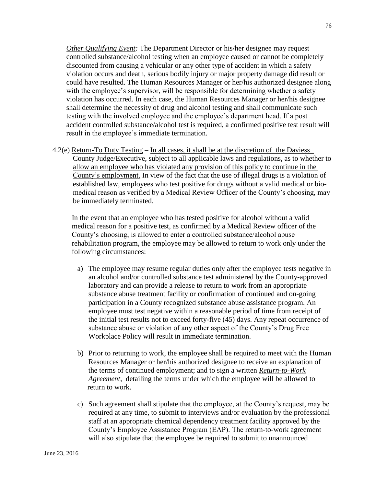*Other Qualifying Event:* The Department Director or his/her designee may request controlled substance/alcohol testing when an employee caused or cannot be completely discounted from causing a vehicular or any other type of accident in which a safety violation occurs and death, serious bodily injury or major property damage did result or could have resulted. The Human Resources Manager or her/his authorized designee along with the employee's supervisor, will be responsible for determining whether a safety violation has occurred. In each case, the Human Resources Manager or her/his designee shall determine the necessity of drug and alcohol testing and shall communicate such testing with the involved employee and the employee's department head. If a post accident controlled substance/alcohol test is required, a confirmed positive test result will result in the employee's immediate termination.

4.2(e) Return-To Duty Testing – In all cases, it shall be at the discretion of the Daviess County Judge/Executive, subject to all applicable laws and regulations, as to whether to allow an employee who has violated any provision of this policy to continue in the County's employment. In view of the fact that the use of illegal drugs is a violation of established law, employees who test positive for drugs without a valid medical or biomedical reason as verified by a Medical Review Officer of the County's choosing, may be immediately terminated.

In the event that an employee who has tested positive for alcohol without a valid medical reason for a positive test, as confirmed by a Medical Review officer of the County's choosing, is allowed to enter a controlled substance/alcohol abuse rehabilitation program, the employee may be allowed to return to work only under the following circumstances:

- a) The employee may resume regular duties only after the employee tests negative in an alcohol and/or controlled substance test administered by the County-approved laboratory and can provide a release to return to work from an appropriate substance abuse treatment facility or confirmation of continued and on-going participation in a County recognized substance abuse assistance program. An employee must test negative within a reasonable period of time from receipt of the initial test results not to exceed forty-five (45) days. Any repeat occurrence of substance abuse or violation of any other aspect of the County's Drug Free Workplace Policy will result in immediate termination.
- b) Prior to returning to work, the employee shall be required to meet with the Human Resources Manager or her/his authorized designee to receive an explanation of the terms of continued employment; and to sign a written *Return-to-Work Agreement*, detailing the terms under which the employee will be allowed to return to work.
- c) Such agreement shall stipulate that the employee, at the County's request, may be required at any time, to submit to interviews and/or evaluation by the professional staff at an appropriate chemical dependency treatment facility approved by the County's Employee Assistance Program (EAP). The return-to-work agreement will also stipulate that the employee be required to submit to unannounced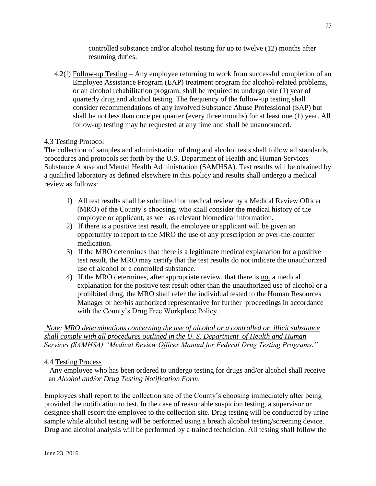controlled substance and/or alcohol testing for up to twelve (12) months after resuming duties.

4.2(f) Follow-up Testing – Any employee returning to work from successful completion of an Employee Assistance Program (EAP) treatment program for alcohol-related problems, or an alcohol rehabilitation program, shall be required to undergo one (1) year of quarterly drug and alcohol testing. The frequency of the follow-up testing shall consider recommendations of any involved Substance Abuse Professional (SAP) but shall be not less than once per quarter (every three months) for at least one (1) year. All follow-up testing may be requested at any time and shall be unannounced.

### 4.3 Testing Protocol

The collection of samples and administration of drug and alcohol tests shall follow all standards, procedures and protocols set forth by the U.S. Department of Health and Human Services Substance Abuse and Mental Health Administration (SAMHSA). Test results will be obtained by a qualified laboratory as defined elsewhere in this policy and results shall undergo a medical review as follows:

- 1) All test results shall be submitted for medical review by a Medical Review Officer (MRO) of the County's choosing, who shall consider the medical history of the employee or applicant, as well as relevant biomedical information.
- 2) If there is a positive test result, the employee or applicant will be given an opportunity to report to the MRO the use of any prescription or over-the-counter medication.
- 3) If the MRO determines that there is a legitimate medical explanation for a positive test result, the MRO may certify that the test results do not indicate the unauthorized use of alcohol or a controlled substance.
- 4) If the MRO determines, after appropriate review, that there is not a medical explanation for the positive test result other than the unauthorized use of alcohol or a prohibited drug, the MRO shall refer the individual tested to the Human Resources Manager or her/his authorized representative for further proceedings in accordance with the County's Drug Free Workplace Policy.

*Note: MRO determinations concerning the use of alcohol or a controlled or illicit substance shall comply with all procedures outlined in the U. S. Department of Health and Human Services (SAMHSA) "Medical Review Officer Manual for Federal Drug Testing Programs."*

### 4.4 Testing Process

 Any employee who has been ordered to undergo testing for drugs and/or alcohol shall receive an *Alcohol and/or Drug Testing Notification Form*.

Employees shall report to the collection site of the County's choosing immediately after being provided the notification to test. In the case of reasonable suspicion testing, a supervisor or designee shall escort the employee to the collection site. Drug testing will be conducted by urine sample while alcohol testing will be performed using a breath alcohol testing/screening device. Drug and alcohol analysis will be performed by a trained technician. All testing shall follow the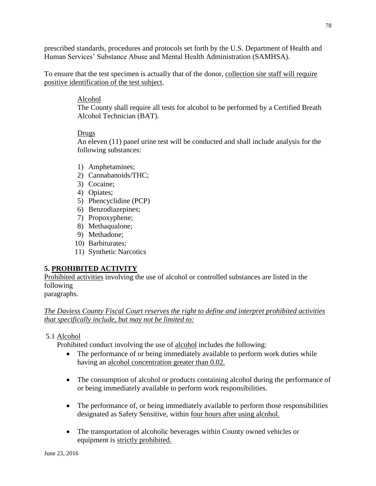prescribed standards, procedures and protocols set forth by the U.S. Department of Health and Human Services' Substance Abuse and Mental Health Administration (SAMHSA).

To ensure that the test specimen is actually that of the donor, collection site staff will require positive identification of the test subject.

### Alcohol

The County shall require all tests for alcohol to be performed by a Certified Breath Alcohol Technician (BAT).

### Drugs

An eleven (11) panel urine test will be conducted and shall include analysis for the following substances:

- 1) Amphetamines;
- 2) Cannabanoids/THC;
- 3) Cocaine;
- 4) Opiates;
- 5) Phencyclidine (PCP)
- 6) Benzodiazepines;
- 7) Propoxyphene;
- 8) Methaqualone;
- 9) Methadone;
- 10) Barbiturates;
- 11) Synthetic Narcotics

# **5. PROHIBITED ACTIVITY**

Prohibited activities involving the use of alcohol or controlled substances are listed in the following

paragraphs.

### *The Daviess County Fiscal Court reserves the right to define and interpret prohibited activities that specifically include, but may not be limited to:*

### 5.1 Alcohol

Prohibited conduct involving the use of alcohol includes the following:

- The performance of or being immediately available to perform work duties while having an alcohol concentration greater than 0.02.
- The consumption of alcohol or products containing alcohol during the performance of or being immediately available to perform work responsibilities.
- The performance of, or being immediately available to perform those responsibilities designated as Safety Sensitive, within four hours after using alcohol.
- The transportation of alcoholic beverages within County owned vehicles or equipment is strictly prohibited.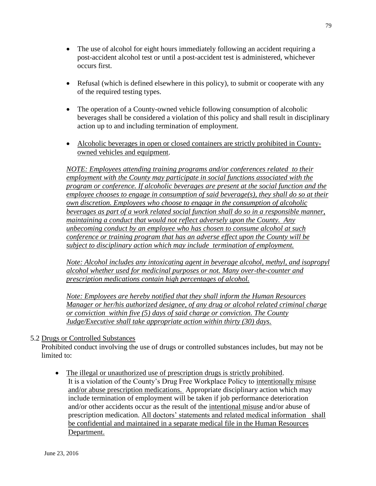- The use of alcohol for eight hours immediately following an accident requiring a post-accident alcohol test or until a post-accident test is administered, whichever occurs first.
- Refusal (which is defined elsewhere in this policy), to submit or cooperate with any of the required testing types.
- The operation of a County-owned vehicle following consumption of alcoholic beverages shall be considered a violation of this policy and shall result in disciplinary action up to and including termination of employment.
- Alcoholic beverages in open or closed containers are strictly prohibited in Countyowned vehicles and equipment.

*NOTE: Employees attending training programs and/or conferences related to their employment with the County may participate in social functions associated with the program or conference. If alcoholic beverages are present at the social function and the employee chooses to engage in consumption of said beverage(s), they shall do so at their own discretion. Employees who choose to engage in the consumption of alcoholic beverages as part of a work related social function shall do so in a responsible manner, maintaining a conduct that would not reflect adversely upon the County. Any unbecoming conduct by an employee who has chosen to consume alcohol at such conference or training program that has an adverse effect upon the County will be subject to disciplinary action which may include termination of employment.*

*Note: Alcohol includes any intoxicating agent in beverage alcohol, methyl, and isopropyl alcohol whether used for medicinal purposes or not. Many over-the-counter and prescription medications contain high percentages of alcohol.*

*Note: Employees are hereby notified that they shall inform the Human Resources Manager or her/his authorized designee, of any drug or alcohol related criminal charge or conviction within five (5) days of said charge or conviction. The County Judge/Executive shall take appropriate action within thirty (30) days.*

### 5.2 Drugs or Controlled Substances

 Prohibited conduct involving the use of drugs or controlled substances includes, but may not be limited to:

 The illegal or unauthorized use of prescription drugs is strictly prohibited. It is a violation of the County's Drug Free Workplace Policy to intentionally misuse and/or abuse prescription medications. Appropriate disciplinary action which may include termination of employment will be taken if job performance deterioration and/or other accidents occur as the result of the intentional misuse and/or abuse of prescription medication. All doctors' statements and related medical information shall be confidential and maintained in a separate medical file in the Human Resources Department.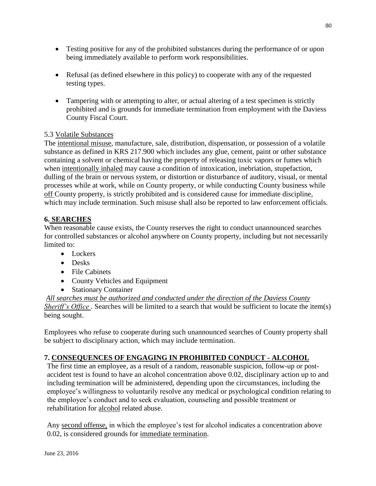- Testing positive for any of the prohibited substances during the performance of or upon being immediately available to perform work responsibilities.
- Refusal (as defined elsewhere in this policy) to cooperate with any of the requested testing types.
- Tampering with or attempting to alter, or actual altering of a test specimen is strictly prohibited and is grounds for immediate termination from employment with the Daviess County Fiscal Court.

# 5.3 Volatile Substances

The intentional misuse, manufacture, sale, distribution, dispensation, or possession of a volatile substance as defined in KRS 217.900 which includes any glue, cement, paint or other substance containing a solvent or chemical having the property of releasing toxic vapors or fumes which when intentionally inhaled may cause a condition of intoxication, inebriation, stupefaction, dulling of the brain or nervous system, or distortion or disturbance of auditory, visual, or mental processes while at work, while on County property, or while conducting County business while off County property, is strictly prohibited and is considered cause for immediate discipline, which may include termination. Such misuse shall also be reported to law enforcement officials.

# **6. SEARCHES**

When reasonable cause exists, the County reserves the right to conduct unannounced searches for controlled substances or alcohol anywhere on County property, including but not necessarily limited to:

- Lockers
- Desks
- File Cabinets
- County Vehicles and Equipment
- Stationary Container

*All searches must be authorized and conducted under the direction of the Daviess County Sheriff's Office*. Searches will be limited to a search that would be sufficient to locate the item(s) being sought.

Employees who refuse to cooperate during such unannounced searches of County property shall be subject to disciplinary action, which may include termination.

### **7. CONSEQUENCES OF ENGAGING IN PROHIBITED CONDUCT - ALCOHOL**

The first time an employee, as a result of a random, reasonable suspicion, follow-up or postaccident test is found to have an alcohol concentration above 0.02, disciplinary action up to and including termination will be administered, depending upon the circumstances, including the employee's willingness to voluntarily resolve any medical or psychological condition relating to the employee's conduct and to seek evaluation, counseling and possible treatment or rehabilitation for alcohol related abuse.

Any second offense, in which the employee's test for alcohol indicates a concentration above 0.02, is considered grounds for immediate termination.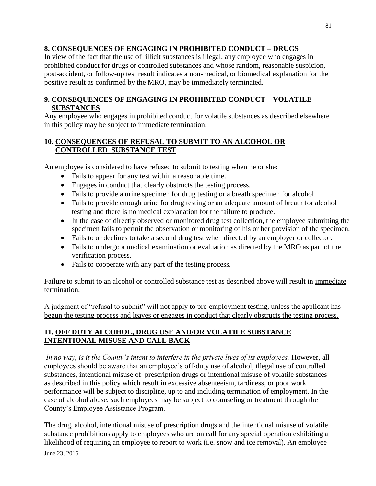# **8. CONSEQUENCES OF ENGAGING IN PROHIBITED CONDUCT – DRUGS**

In view of the fact that the use of illicit substances is illegal, any employee who engages in prohibited conduct for drugs or controlled substances and whose random, reasonable suspicion, post-accident, or follow-up test result indicates a non-medical, or biomedical explanation for the positive result as confirmed by the MRO, may be immediately terminated.

# **9. CONSEQUENCES OF ENGAGING IN PROHIBITED CONDUCT – VOLATILE SUBSTANCES**

Any employee who engages in prohibited conduct for volatile substances as described elsewhere in this policy may be subject to immediate termination.

# **10. CONSEQUENCES OF REFUSAL TO SUBMIT TO AN ALCOHOL OR CONTROLLED SUBSTANCE TEST**

An employee is considered to have refused to submit to testing when he or she:

- Fails to appear for any test within a reasonable time.
- Engages in conduct that clearly obstructs the testing process.
- Fails to provide a urine specimen for drug testing or a breath specimen for alcohol
- Fails to provide enough urine for drug testing or an adequate amount of breath for alcohol testing and there is no medical explanation for the failure to produce.
- In the case of directly observed or monitored drug test collection, the employee submitting the specimen fails to permit the observation or monitoring of his or her provision of the specimen.
- Fails to or declines to take a second drug test when directed by an employer or collector.
- Fails to undergo a medical examination or evaluation as directed by the MRO as part of the verification process.
- Fails to cooperate with any part of the testing process.

Failure to submit to an alcohol or controlled substance test as described above will result in immediate termination.

A judgment of "refusal to submit" will not apply to pre-employment testing, unless the applicant has begun the testing process and leaves or engages in conduct that clearly obstructs the testing process.

# **11. OFF DUTY ALCOHOL, DRUG USE AND/OR VOLATILE SUBSTANCE INTENTIONAL MISUSE AND CALL BACK**

*In no way, is it the County's intent to interfere in the private lives of its employees.* However, all employees should be aware that an employee's off-duty use of alcohol, illegal use of controlled substances, intentional misuse of prescription drugs or intentional misuse of volatile substances as described in this policy which result in excessive absenteeism, tardiness, or poor work performance will be subject to discipline, up to and including termination of employment. In the case of alcohol abuse, such employees may be subject to counseling or treatment through the County's Employee Assistance Program.

The drug, alcohol, intentional misuse of prescription drugs and the intentional misuse of volatile substance prohibitions apply to employees who are on call for any special operation exhibiting a likelihood of requiring an employee to report to work (i.e. snow and ice removal). An employee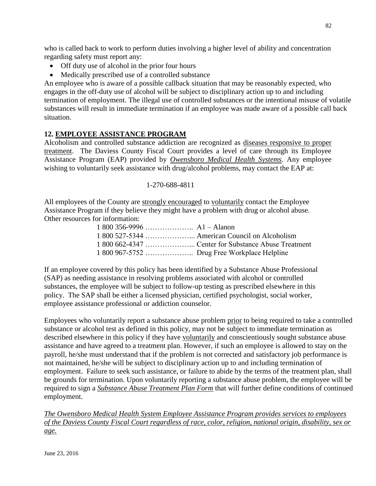who is called back to work to perform duties involving a higher level of ability and concentration regarding safety must report any:

- Off duty use of alcohol in the prior four hours
- Medically prescribed use of a controlled substance

An employee who is aware of a possible callback situation that may be reasonably expected, who engages in the off-duty use of alcohol will be subject to disciplinary action up to and including termination of employment. The illegal use of controlled substances or the intentional misuse of volatile substances will result in immediate termination if an employee was made aware of a possible call back situation.

# **12. EMPLOYEE ASSISTANCE PROGRAM**

Alcoholism and controlled substance addiction are recognized as diseases responsive to proper treatment. The Daviess County Fiscal Court provides a level of care through its Employee Assistance Program (EAP) provided by *Owensboro Medical Health Systems*. Any employee wishing to voluntarily seek assistance with drug/alcohol problems, may contact the EAP at:

### 1-270-688-4811

All employees of the County are strongly encouraged to voluntarily contact the Employee Assistance Program if they believe they might have a problem with drug or alcohol abuse. Other resources for information:

|  | 1 800 527-5344  American Council on Alcoholism |
|--|------------------------------------------------|
|  |                                                |
|  |                                                |

If an employee covered by this policy has been identified by a Substance Abuse Professional (SAP) as needing assistance in resolving problems associated with alcohol or controlled substances, the employee will be subject to follow-up testing as prescribed elsewhere in this policy. The SAP shall be either a licensed physician, certified psychologist, social worker, employee assistance professional or addiction counselor.

Employees who voluntarily report a substance abuse problem prior to being required to take a controlled substance or alcohol test as defined in this policy, may not be subject to immediate termination as described elsewhere in this policy if they have voluntarily and conscientiously sought substance abuse assistance and have agreed to a treatment plan. However, if such an employee is allowed to stay on the payroll, he/she must understand that if the problem is not corrected and satisfactory job performance is not maintained, he/she will be subject to disciplinary action up to and including termination of employment. Failure to seek such assistance, or failure to abide by the terms of the treatment plan, shall be grounds for termination. Upon voluntarily reporting a substance abuse problem, the employee will be required to sign a *Substance Abuse Treatment Plan Form* that will further define conditions of continued employment.

*The Owensboro Medical Health System Employee Assistance Program provides services to employees of the Daviess County Fiscal Court regardless of race, color, religion, national origin, disability, sex or age.*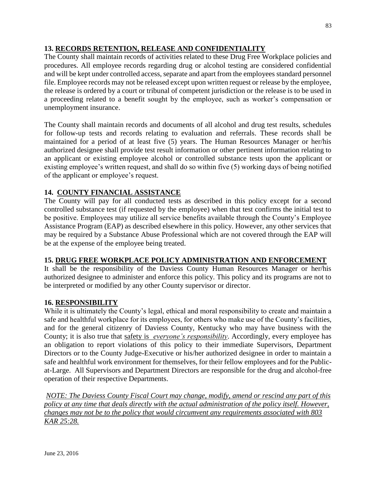# **13. RECORDS RETENTION, RELEASE AND CONFIDENTIALITY**

The County shall maintain records of activities related to these Drug Free Workplace policies and procedures. All employee records regarding drug or alcohol testing are considered confidential and will be kept under controlled access, separate and apart from the employees standard personnel file. Employee records may not be released except upon written request or release by the employee, the release is ordered by a court or tribunal of competent jurisdiction or the release is to be used in a proceeding related to a benefit sought by the employee, such as worker's compensation or unemployment insurance.

The County shall maintain records and documents of all alcohol and drug test results, schedules for follow-up tests and records relating to evaluation and referrals. These records shall be maintained for a period of at least five (5) years. The Human Resources Manager or her/his authorized designee shall provide test result information or other pertinent information relating to an applicant or existing employee alcohol or controlled substance tests upon the applicant or existing employee's written request, and shall do so within five (5) working days of being notified of the applicant or employee's request.

# **14. COUNTY FINANCIAL ASSISTANCE**

The County will pay for all conducted tests as described in this policy except for a second controlled substance test (if requested by the employee) when that test confirms the initial test to be positive. Employees may utilize all service benefits available through the County's Employee Assistance Program (EAP) as described elsewhere in this policy. However, any other services that may be required by a Substance Abuse Professional which are not covered through the EAP will be at the expense of the employee being treated.

### **15. DRUG FREE WORKPLACE POLICY ADMINISTRATION AND ENFORCEMENT**

It shall be the responsibility of the Daviess County Human Resources Manager or her/his authorized designee to administer and enforce this policy. This policy and its programs are not to be interpreted or modified by any other County supervisor or director.

### **16. RESPONSIBILITY**

While it is ultimately the County's legal, ethical and moral responsibility to create and maintain a safe and healthful workplace for its employees, for others who make use of the County's facilities, and for the general citizenry of Daviess County, Kentucky who may have business with the County; it is also true that safety is *everyone's responsibility*. Accordingly, every employee has an obligation to report violations of this policy to their immediate Supervisors, Department Directors or to the County Judge-Executive or his/her authorized designee in order to maintain a safe and healthful work environment for themselves, for their fellow employees and for the Publicat-Large. All Supervisors and Department Directors are responsible for the drug and alcohol-free operation of their respective Departments.

*NOTE: The Daviess County Fiscal Court may change, modify, amend or rescind any part of this policy at any time that deals directly with the actual administration of the policy itself. However, changes may not be to the policy that would circumvent any requirements associated with 803 KAR 25:28.*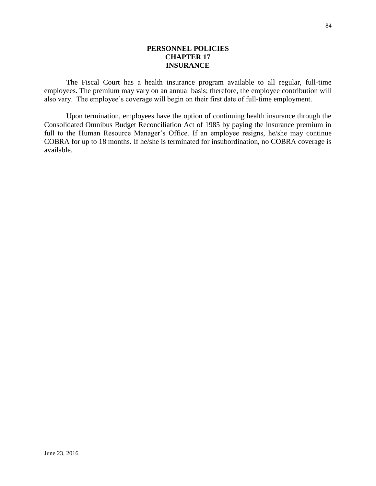#### **PERSONNEL POLICIES CHAPTER 17 INSURANCE**

The Fiscal Court has a health insurance program available to all regular, full-time employees. The premium may vary on an annual basis; therefore, the employee contribution will also vary. The employee's coverage will begin on their first date of full-time employment.

Upon termination, employees have the option of continuing health insurance through the Consolidated Omnibus Budget Reconciliation Act of 1985 by paying the insurance premium in full to the Human Resource Manager's Office. If an employee resigns, he/she may continue COBRA for up to 18 months. If he/she is terminated for insubordination, no COBRA coverage is available.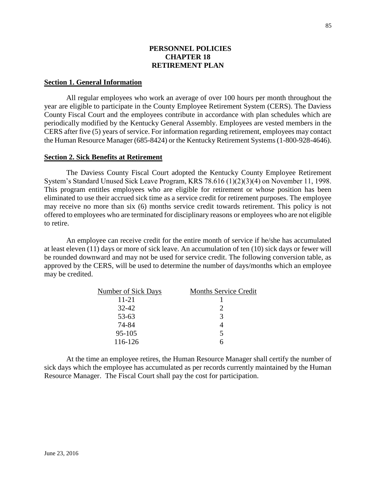### **PERSONNEL POLICIES CHAPTER 18 RETIREMENT PLAN**

#### **Section 1. General Information**

All regular employees who work an average of over 100 hours per month throughout the year are eligible to participate in the County Employee Retirement System (CERS). The Daviess County Fiscal Court and the employees contribute in accordance with plan schedules which are periodically modified by the Kentucky General Assembly. Employees are vested members in the CERS after five (5) years of service. For information regarding retirement, employees may contact the Human Resource Manager (685-8424) or the Kentucky Retirement Systems (1-800-928-4646).

#### **Section 2. Sick Benefits at Retirement**

The Daviess County Fiscal Court adopted the Kentucky County Employee Retirement System's Standard Unused Sick Leave Program, KRS 78.616 (1)(2)(3)(4) on November 11, 1998. This program entitles employees who are eligible for retirement or whose position has been eliminated to use their accrued sick time as a service credit for retirement purposes. The employee may receive no more than six (6) months service credit towards retirement. This policy is not offered to employees who are terminated for disciplinary reasons or employees who are not eligible to retire.

An employee can receive credit for the entire month of service if he/she has accumulated at least eleven (11) days or more of sick leave. An accumulation of ten (10) sick days or fewer will be rounded downward and may not be used for service credit. The following conversion table, as approved by the CERS, will be used to determine the number of days/months which an employee may be credited.

| <b>Number of Sick Days</b> | <b>Months Service Credit</b> |
|----------------------------|------------------------------|
| $11 - 21$                  |                              |
| $32 - 42$                  |                              |
| 53-63                      | 3                            |
| 74-84                      |                              |
| 95-105                     | 5                            |
| 116-126                    |                              |

At the time an employee retires, the Human Resource Manager shall certify the number of sick days which the employee has accumulated as per records currently maintained by the Human Resource Manager. The Fiscal Court shall pay the cost for participation.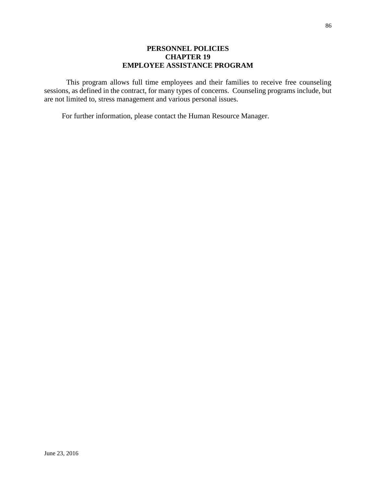### **PERSONNEL POLICIES CHAPTER 19 EMPLOYEE ASSISTANCE PROGRAM**

This program allows full time employees and their families to receive free counseling sessions, as defined in the contract, for many types of concerns. Counseling programs include, but are not limited to, stress management and various personal issues.

For further information, please contact the Human Resource Manager.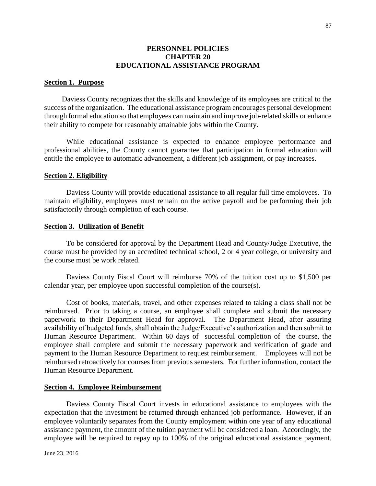#### **PERSONNEL POLICIES CHAPTER 20 EDUCATIONAL ASSISTANCE PROGRAM**

#### **Section 1. Purpose**

Daviess County recognizes that the skills and knowledge of its employees are critical to the success of the organization. The educational assistance program encourages personal development through formal education so that employees can maintain and improve job-related skills or enhance their ability to compete for reasonably attainable jobs within the County.

While educational assistance is expected to enhance employee performance and professional abilities, the County cannot guarantee that participation in formal education will entitle the employee to automatic advancement, a different job assignment, or pay increases.

#### **Section 2. Eligibility**

Daviess County will provide educational assistance to all regular full time employees. To maintain eligibility, employees must remain on the active payroll and be performing their job satisfactorily through completion of each course.

#### **Section 3. Utilization of Benefit**

To be considered for approval by the Department Head and County/Judge Executive, the course must be provided by an accredited technical school, 2 or 4 year college, or university and the course must be work related.

Daviess County Fiscal Court will reimburse 70% of the tuition cost up to \$1,500 per calendar year, per employee upon successful completion of the course(s).

Cost of books, materials, travel, and other expenses related to taking a class shall not be reimbursed. Prior to taking a course, an employee shall complete and submit the necessary paperwork to their Department Head for approval. The Department Head, after assuring availability of budgeted funds, shall obtain the Judge/Executive's authorization and then submit to Human Resource Department. Within 60 days of successful completion of the course, the employee shall complete and submit the necessary paperwork and verification of grade and payment to the Human Resource Department to request reimbursement. Employees will not be reimbursed retroactively for courses from previous semesters. For further information, contact the Human Resource Department.

#### **Section 4. Employee Reimbursement**

Daviess County Fiscal Court invests in educational assistance to employees with the expectation that the investment be returned through enhanced job performance. However, if an employee voluntarily separates from the County employment within one year of any educational assistance payment, the amount of the tuition payment will be considered a loan. Accordingly, the employee will be required to repay up to 100% of the original educational assistance payment.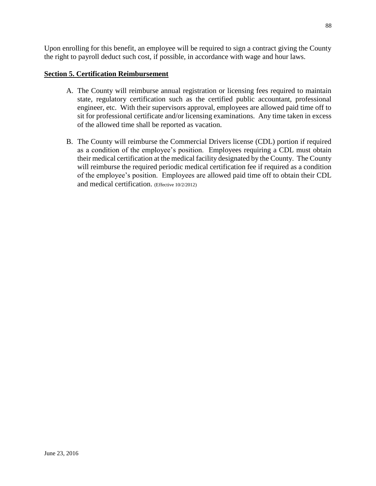Upon enrolling for this benefit, an employee will be required to sign a contract giving the County the right to payroll deduct such cost, if possible, in accordance with wage and hour laws.

### **Section 5. Certification Reimbursement**

- A. The County will reimburse annual registration or licensing fees required to maintain state, regulatory certification such as the certified public accountant, professional engineer, etc. With their supervisors approval, employees are allowed paid time off to sit for professional certificate and/or licensing examinations. Any time taken in excess of the allowed time shall be reported as vacation.
- B. The County will reimburse the Commercial Drivers license (CDL) portion if required as a condition of the employee's position. Employees requiring a CDL must obtain their medical certification at the medical facility designated by the County. The County will reimburse the required periodic medical certification fee if required as a condition of the employee's position. Employees are allowed paid time off to obtain their CDL and medical certification. (Effective 10/2/2012)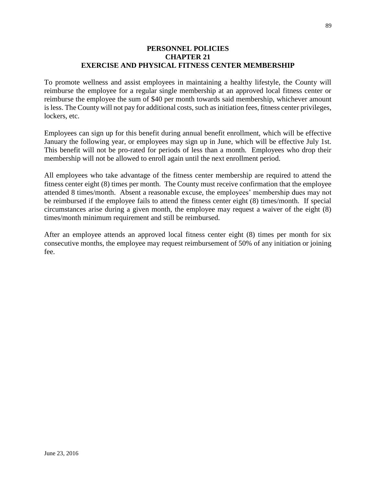#### **PERSONNEL POLICIES CHAPTER 21 EXERCISE AND PHYSICAL FITNESS CENTER MEMBERSHIP**

To promote wellness and assist employees in maintaining a healthy lifestyle, the County will reimburse the employee for a regular single membership at an approved local fitness center or reimburse the employee the sum of \$40 per month towards said membership, whichever amount is less. The County will not pay for additional costs, such as initiation fees, fitness center privileges, lockers, etc.

Employees can sign up for this benefit during annual benefit enrollment, which will be effective January the following year, or employees may sign up in June, which will be effective July 1st. This benefit will not be pro-rated for periods of less than a month. Employees who drop their membership will not be allowed to enroll again until the next enrollment period.

All employees who take advantage of the fitness center membership are required to attend the fitness center eight (8) times per month. The County must receive confirmation that the employee attended 8 times/month. Absent a reasonable excuse, the employees' membership dues may not be reimbursed if the employee fails to attend the fitness center eight (8) times/month. If special circumstances arise during a given month, the employee may request a waiver of the eight (8) times/month minimum requirement and still be reimbursed.

After an employee attends an approved local fitness center eight (8) times per month for six consecutive months, the employee may request reimbursement of 50% of any initiation or joining fee.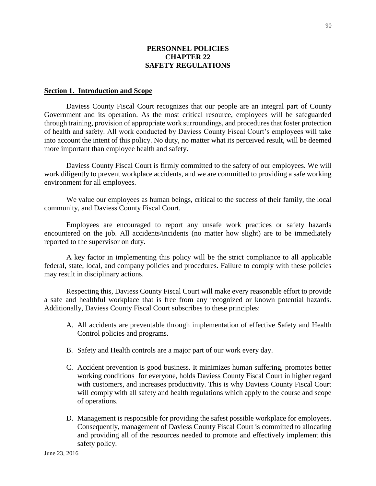### **PERSONNEL POLICIES CHAPTER 22 SAFETY REGULATIONS**

#### **Section 1. Introduction and Scope**

Daviess County Fiscal Court recognizes that our people are an integral part of County Government and its operation. As the most critical resource, employees will be safeguarded through training, provision of appropriate work surroundings, and procedures that foster protection of health and safety. All work conducted by Daviess County Fiscal Court's employees will take into account the intent of this policy. No duty, no matter what its perceived result, will be deemed more important than employee health and safety.

Daviess County Fiscal Court is firmly committed to the safety of our employees. We will work diligently to prevent workplace accidents, and we are committed to providing a safe working environment for all employees.

We value our employees as human beings, critical to the success of their family, the local community, and Daviess County Fiscal Court.

Employees are encouraged to report any unsafe work practices or safety hazards encountered on the job. All accidents/incidents (no matter how slight) are to be immediately reported to the supervisor on duty.

A key factor in implementing this policy will be the strict compliance to all applicable federal, state, local, and company policies and procedures. Failure to comply with these policies may result in disciplinary actions.

Respecting this, Daviess County Fiscal Court will make every reasonable effort to provide a safe and healthful workplace that is free from any recognized or known potential hazards. Additionally, Daviess County Fiscal Court subscribes to these principles:

- A. All accidents are preventable through implementation of effective Safety and Health Control policies and programs.
- B. Safety and Health controls are a major part of our work every day.
- C. Accident prevention is good business. It minimizes human suffering, promotes better working conditions for everyone, holds Daviess County Fiscal Court in higher regard with customers, and increases productivity. This is why Daviess County Fiscal Court will comply with all safety and health regulations which apply to the course and scope of operations.
- D. Management is responsible for providing the safest possible workplace for employees. Consequently, management of Daviess County Fiscal Court is committed to allocating and providing all of the resources needed to promote and effectively implement this safety policy.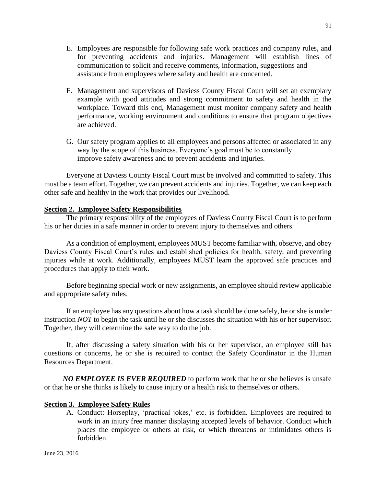- E. Employees are responsible for following safe work practices and company rules, and for preventing accidents and injuries. Management will establish lines of communication to solicit and receive comments, information, suggestions and assistance from employees where safety and health are concerned.
- F. Management and supervisors of Daviess County Fiscal Court will set an exemplary example with good attitudes and strong commitment to safety and health in the workplace. Toward this end, Management must monitor company safety and health performance, working environment and conditions to ensure that program objectives are achieved.
- G. Our safety program applies to all employees and persons affected or associated in any way by the scope of this business. Everyone's goal must be to constantly improve safety awareness and to prevent accidents and injuries.

 Everyone at Daviess County Fiscal Court must be involved and committed to safety. This must be a team effort. Together, we can prevent accidents and injuries. Together, we can keep each other safe and healthy in the work that provides our livelihood.

### **Section 2. Employee Safety Responsibilities**

The primary responsibility of the employees of Daviess County Fiscal Court is to perform his or her duties in a safe manner in order to prevent injury to themselves and others.

As a condition of employment, employees MUST become familiar with, observe, and obey Daviess County Fiscal Court's rules and established policies for health, safety, and preventing injuries while at work. Additionally, employees MUST learn the approved safe practices and procedures that apply to their work.

Before beginning special work or new assignments, an employee should review applicable and appropriate safety rules.

If an employee has any questions about how a task should be done safely, he or she is under instruction *NOT* to begin the task until he or she discusses the situation with his or her supervisor. Together, they will determine the safe way to do the job.

If, after discussing a safety situation with his or her supervisor, an employee still has questions or concerns, he or she is required to contact the Safety Coordinator in the Human Resources Department.

*NO EMPLOYEE IS EVER REQUIRED* to perform work that he or she believes is unsafe or that he or she thinks is likely to cause injury or a health risk to themselves or others.

### **Section 3. Employee Safety Rules**

A. Conduct: Horseplay, 'practical jokes,' etc. is forbidden. Employees are required to work in an injury free manner displaying accepted levels of behavior. Conduct which places the employee or others at risk, or which threatens or intimidates others is forbidden.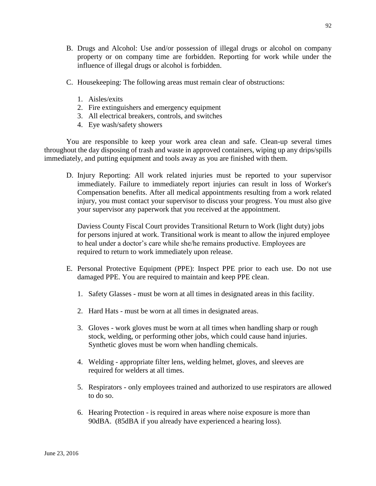- B. Drugs and Alcohol: Use and/or possession of illegal drugs or alcohol on company property or on company time are forbidden. Reporting for work while under the influence of illegal drugs or alcohol is forbidden.
- C. Housekeeping: The following areas must remain clear of obstructions:
	- 1. Aisles/exits
	- 2. Fire extinguishers and emergency equipment
	- 3. All electrical breakers, controls, and switches
	- 4. Eye wash/safety showers

You are responsible to keep your work area clean and safe. Clean-up several times throughout the day disposing of trash and waste in approved containers, wiping up any drips/spills immediately, and putting equipment and tools away as you are finished with them.

D. Injury Reporting: All work related injuries must be reported to your supervisor immediately. Failure to immediately report injuries can result in loss of Worker's Compensation benefits. After all medical appointments resulting from a work related injury, you must contact your supervisor to discuss your progress. You must also give your supervisor any paperwork that you received at the appointment.

Daviess County Fiscal Court provides Transitional Return to Work (light duty) jobs for persons injured at work. Transitional work is meant to allow the injured employee to heal under a doctor's care while she/he remains productive. Employees are required to return to work immediately upon release.

- E. Personal Protective Equipment (PPE): Inspect PPE prior to each use. Do not use damaged PPE. You are required to maintain and keep PPE clean.
	- 1. Safety Glasses must be worn at all times in designated areas in this facility.
	- 2. Hard Hats must be worn at all times in designated areas.
	- 3. Gloves work gloves must be worn at all times when handling sharp or rough stock, welding, or performing other jobs, which could cause hand injuries. Synthetic gloves must be worn when handling chemicals.
	- 4. Welding appropriate filter lens, welding helmet, gloves, and sleeves are required for welders at all times.
	- 5. Respirators only employees trained and authorized to use respirators are allowed to do so.
	- 6. Hearing Protection is required in areas where noise exposure is more than 90dBA. (85dBA if you already have experienced a hearing loss).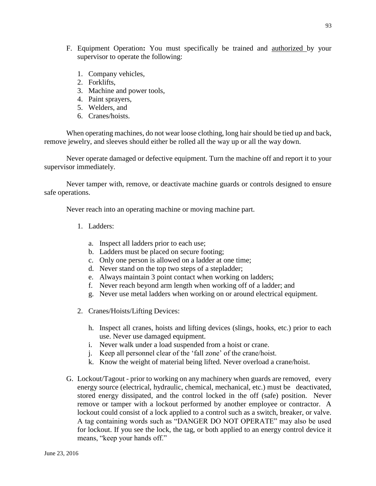- F. Equipment Operation**:** You must specifically be trained and authorized by your supervisor to operate the following:
	- 1. Company vehicles,
	- 2. Forklifts,
	- 3. Machine and power tools,
	- 4. Paint sprayers,
	- 5. Welders, and
	- 6. Cranes/hoists.

When operating machines, do not wear loose clothing, long hair should be tied up and back, remove jewelry, and sleeves should either be rolled all the way up or all the way down.

Never operate damaged or defective equipment. Turn the machine off and report it to your supervisor immediately.

Never tamper with, remove, or deactivate machine guards or controls designed to ensure safe operations.

Never reach into an operating machine or moving machine part.

- 1. Ladders:
	- a. Inspect all ladders prior to each use;
	- b. Ladders must be placed on secure footing;
	- c. Only one person is allowed on a ladder at one time;
	- d. Never stand on the top two steps of a stepladder;
	- e. Always maintain 3 point contact when working on ladders;
	- f. Never reach beyond arm length when working off of a ladder; and
	- g. Never use metal ladders when working on or around electrical equipment.
- 2. Cranes/Hoists/Lifting Devices:
	- h. Inspect all cranes, hoists and lifting devices (slings, hooks, etc.) prior to each use. Never use damaged equipment.
	- i. Never walk under a load suspended from a hoist or crane.
	- j. Keep all personnel clear of the 'fall zone' of the crane/hoist.
	- k. Know the weight of material being lifted. Never overload a crane/hoist.
- G. Lockout/Tagout prior to working on any machinery when guards are removed, every energy source (electrical, hydraulic, chemical, mechanical, etc.) must be deactivated, stored energy dissipated, and the control locked in the off (safe) position. Never remove or tamper with a lockout performed by another employee or contractor. A lockout could consist of a lock applied to a control such as a switch, breaker, or valve. A tag containing words such as "DANGER DO NOT OPERATE" may also be used for lockout. If you see the lock, the tag, or both applied to an energy control device it means, "keep your hands off."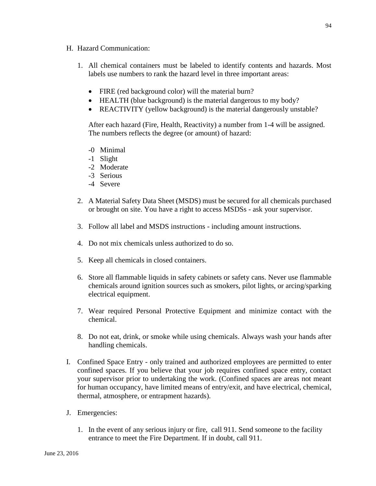- H. Hazard Communication:
	- 1. All chemical containers must be labeled to identify contents and hazards. Most labels use numbers to rank the hazard level in three important areas:
		- FIRE (red background color) will the material burn?
		- HEALTH (blue background) is the material dangerous to my body?
		- REACTIVITY (yellow background) is the material dangerously unstable?

After each hazard (Fire, Health, Reactivity) a number from 1-4 will be assigned. The numbers reflects the degree (or amount) of hazard:

- -0 Minimal
- -1 Slight
- -2 Moderate
- -3 Serious
- -4 Severe
- 2. A Material Safety Data Sheet (MSDS) must be secured for all chemicals purchased or brought on site. You have a right to access MSDSs - ask your supervisor.
- 3. Follow all label and MSDS instructions including amount instructions.
- 4. Do not mix chemicals unless authorized to do so.
- 5. Keep all chemicals in closed containers.
- 6. Store all flammable liquids in safety cabinets or safety cans. Never use flammable chemicals around ignition sources such as smokers, pilot lights, or arcing/sparking electrical equipment.
- 7. Wear required Personal Protective Equipment and minimize contact with the chemical.
- 8. Do not eat, drink, or smoke while using chemicals. Always wash your hands after handling chemicals.
- I. Confined Space Entry only trained and authorized employees are permitted to enter confined spaces. If you believe that your job requires confined space entry, contact your supervisor prior to undertaking the work. (Confined spaces are areas not meant for human occupancy, have limited means of entry/exit, and have electrical, chemical, thermal, atmosphere, or entrapment hazards).
- J. Emergencies:
	- 1. In the event of any serious injury or fire, call 911. Send someone to the facility entrance to meet the Fire Department. If in doubt, call 911.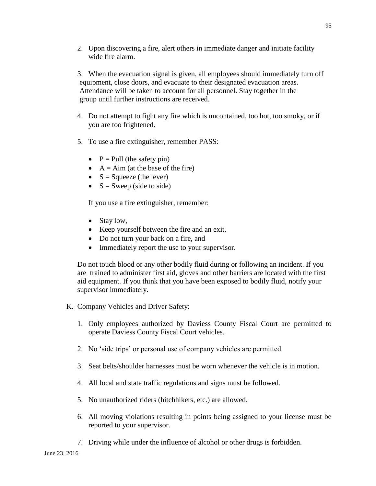2. Upon discovering a fire, alert others in immediate danger and initiate facility wide fire alarm.

3. When the evacuation signal is given, all employees should immediately turn off equipment, close doors, and evacuate to their designated evacuation areas. Attendance will be taken to account for all personnel. Stay together in the group until further instructions are received.

- 4. Do not attempt to fight any fire which is uncontained, too hot, too smoky, or if you are too frightened.
- 5. To use a fire extinguisher, remember PASS:
	- $P =$  Pull (the safety pin)
	- $\bullet$  A = Aim (at the base of the fire)
	- $S = \text{Squeeze}$  (the lever)
	- $\bullet$  S = Sweep (side to side)

If you use a fire extinguisher, remember:

- Stay low,
- Keep yourself between the fire and an exit,
- Do not turn your back on a fire, and
- Immediately report the use to your supervisor.

Do not touch blood or any other bodily fluid during or following an incident. If you are trained to administer first aid, gloves and other barriers are located with the first aid equipment. If you think that you have been exposed to bodily fluid, notify your supervisor immediately.

- K. Company Vehicles and Driver Safety:
	- 1. Only employees authorized by Daviess County Fiscal Court are permitted to operate Daviess County Fiscal Court vehicles.
	- 2. No 'side trips' or personal use of company vehicles are permitted.
	- 3. Seat belts/shoulder harnesses must be worn whenever the vehicle is in motion.
	- 4. All local and state traffic regulations and signs must be followed.
	- 5. No unauthorized riders (hitchhikers, etc.) are allowed.
	- 6. All moving violations resulting in points being assigned to your license must be reported to your supervisor.
	- 7. Driving while under the influence of alcohol or other drugs is forbidden.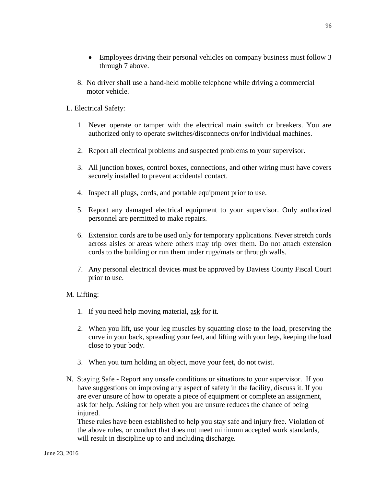8. No driver shall use a hand-held mobile telephone while driving a commercial motor vehicle.

# L. Electrical Safety:

- 1. Never operate or tamper with the electrical main switch or breakers. You are authorized only to operate switches/disconnects on/for individual machines.
- 2. Report all electrical problems and suspected problems to your supervisor.
- 3. All junction boxes, control boxes, connections, and other wiring must have covers securely installed to prevent accidental contact.
- 4. Inspect all plugs, cords, and portable equipment prior to use.
- 5. Report any damaged electrical equipment to your supervisor. Only authorized personnel are permitted to make repairs.
- 6. Extension cords are to be used only for temporary applications. Never stretch cords across aisles or areas where others may trip over them. Do not attach extension cords to the building or run them under rugs/mats or through walls.
- 7. Any personal electrical devices must be approved by Daviess County Fiscal Court prior to use.

### M. Lifting:

- 1. If you need help moving material, ask for it.
- 2. When you lift, use your leg muscles by squatting close to the load, preserving the curve in your back, spreading your feet, and lifting with your legs, keeping the load close to your body.
- 3. When you turn holding an object, move your feet, do not twist.
- N. Staying Safe Report any unsafe conditions or situations to your supervisor. If you have suggestions on improving any aspect of safety in the facility, discuss it. If you are ever unsure of how to operate a piece of equipment or complete an assignment, ask for help. Asking for help when you are unsure reduces the chance of being injured.

These rules have been established to help you stay safe and injury free. Violation of the above rules, or conduct that does not meet minimum accepted work standards, will result in discipline up to and including discharge.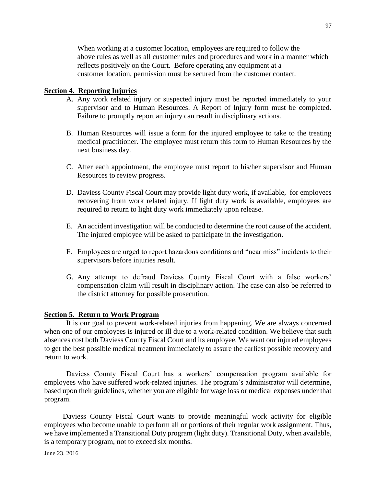When working at a customer location, employees are required to follow the above rules as well as all customer rules and procedures and work in a manner which reflects positively on the Court. Before operating any equipment at a customer location, permission must be secured from the customer contact.

### **Section 4. Reporting Injuries**

- A. Any work related injury or suspected injury must be reported immediately to your supervisor and to Human Resources. A Report of Injury form must be completed. Failure to promptly report an injury can result in disciplinary actions.
- B. Human Resources will issue a form for the injured employee to take to the treating medical practitioner. The employee must return this form to Human Resources by the next business day.
- C. After each appointment, the employee must report to his/her supervisor and Human Resources to review progress.
- D. Daviess County Fiscal Court may provide light duty work, if available, for employees recovering from work related injury. If light duty work is available, employees are required to return to light duty work immediately upon release.
- E. An accident investigation will be conducted to determine the root cause of the accident. The injured employee will be asked to participate in the investigation.
- F. Employees are urged to report hazardous conditions and "near miss" incidents to their supervisors before injuries result.
- G. Any attempt to defraud Daviess County Fiscal Court with a false workers' compensation claim will result in disciplinary action. The case can also be referred to the district attorney for possible prosecution.

#### **Section 5. Return to Work Program**

It is our goal to prevent work-related injuries from happening. We are always concerned when one of our employees is injured or ill due to a work-related condition. We believe that such absences cost both Daviess County Fiscal Court and its employee. We want our injured employees to get the best possible medical treatment immediately to assure the earliest possible recovery and return to work.

Daviess County Fiscal Court has a workers' compensation program available for employees who have suffered work-related injuries. The program's administrator will determine, based upon their guidelines, whether you are eligible for wage loss or medical expenses under that program.

Daviess County Fiscal Court wants to provide meaningful work activity for eligible employees who become unable to perform all or portions of their regular work assignment. Thus, we have implemented a Transitional Duty program (light duty). Transitional Duty, when available, is a temporary program, not to exceed six months.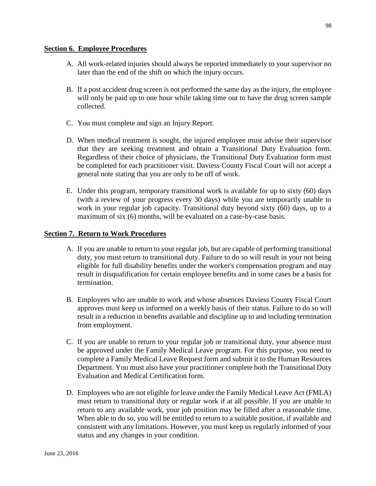#### **Section 6. Employee Procedures**

- A. All work-related injuries should always be reported immediately to your supervisor no later than the end of the shift on which the injury occurs.
- B. If a post accident drug screen is not performed the same day as the injury, the employee will only be paid up to one hour while taking time out to have the drug screen sample collected.
- C. You must complete and sign an Injury Report.
- D. When medical treatment is sought, the injured employee must advise their supervisor that they are seeking treatment and obtain a Transitional Duty Evaluation form. Regardless of their choice of physicians, the Transitional Duty Evaluation form must be completed for each practitioner visit. Daviess County Fiscal Court will not accept a general note stating that you are only to be off of work.
- E. Under this program, temporary transitional work is available for up to sixty (60) days (with a review of your progress every 30 days) while you are temporarily unable to work in your regular job capacity. Transitional duty beyond sixty (60) days, up to a maximum of six (6) months, will be evaluated on a case-by-case basis.

### **Section 7. Return to Work Procedures**

- A. If you are unable to return to your regular job, but are capable of performing transitional duty, you must return to transitional duty. Failure to do so will result in your not being eligible for full disability benefits under the worker's compensation program and may result in disqualification for certain employee benefits and in some cases be a basis for termination.
- B. Employees who are unable to work and whose absences Daviess County Fiscal Court approves must keep us informed on a weekly basis of their status. Failure to do so will result in a reduction in benefits available and discipline up to and including termination from employment.
- C. If you are unable to return to your regular job or transitional duty, your absence must be approved under the Family Medical Leave program. For this purpose, you need to complete a Family Medical Leave Request form and submit it to the Human Resources Department. You must also have your practitioner complete both the Transitional Duty Evaluation and Medical Certification form.
- D. Employees who are not eligible for leave under the Family Medical Leave Act (FMLA) must return to transitional duty or regular work if at all possible. If you are unable to return to any available work, your job position may be filled after a reasonable time. When able to do so, you will be entitled to return to a suitable position, if available and consistent with any limitations. However, you must keep us regularly informed of your status and any changes in your condition.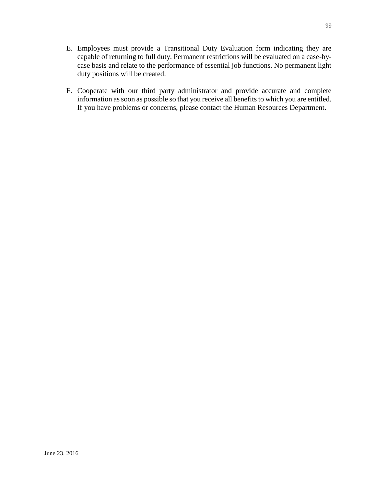- E. Employees must provide a Transitional Duty Evaluation form indicating they are capable of returning to full duty. Permanent restrictions will be evaluated on a case-bycase basis and relate to the performance of essential job functions. No permanent light duty positions will be created.
- F. Cooperate with our third party administrator and provide accurate and complete information as soon as possible so that you receive all benefits to which you are entitled. If you have problems or concerns, please contact the Human Resources Department.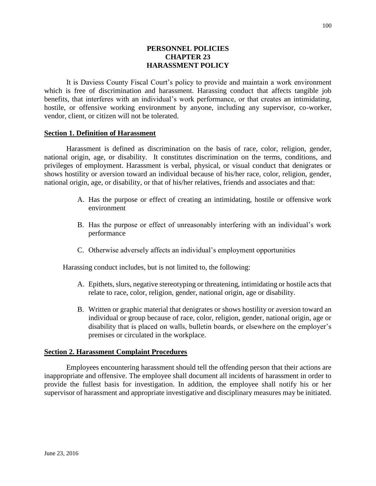### **PERSONNEL POLICIES CHAPTER 23 HARASSMENT POLICY**

It is Daviess County Fiscal Court's policy to provide and maintain a work environment which is free of discrimination and harassment. Harassing conduct that affects tangible job benefits, that interferes with an individual's work performance, or that creates an intimidating, hostile, or offensive working environment by anyone, including any supervisor, co-worker, vendor, client, or citizen will not be tolerated.

#### **Section 1. Definition of Harassment**

Harassment is defined as discrimination on the basis of race, color, religion, gender, national origin, age, or disability. It constitutes discrimination on the terms, conditions, and privileges of employment. Harassment is verbal, physical, or visual conduct that denigrates or shows hostility or aversion toward an individual because of his/her race, color, religion, gender, national origin, age, or disability, or that of his/her relatives, friends and associates and that:

- A. Has the purpose or effect of creating an intimidating, hostile or offensive work environment
- B. Has the purpose or effect of unreasonably interfering with an individual's work performance
- C. Otherwise adversely affects an individual's employment opportunities

Harassing conduct includes, but is not limited to, the following:

- A. Epithets, slurs, negative stereotyping or threatening, intimidating or hostile acts that relate to race, color, religion, gender, national origin, age or disability.
- B. Written or graphic material that denigrates or shows hostility or aversion toward an individual or group because of race, color, religion, gender, national origin, age or disability that is placed on walls, bulletin boards, or elsewhere on the employer's premises or circulated in the workplace.

#### **Section 2. Harassment Complaint Procedures**

Employees encountering harassment should tell the offending person that their actions are inappropriate and offensive. The employee shall document all incidents of harassment in order to provide the fullest basis for investigation. In addition, the employee shall notify his or her supervisor of harassment and appropriate investigative and disciplinary measures may be initiated.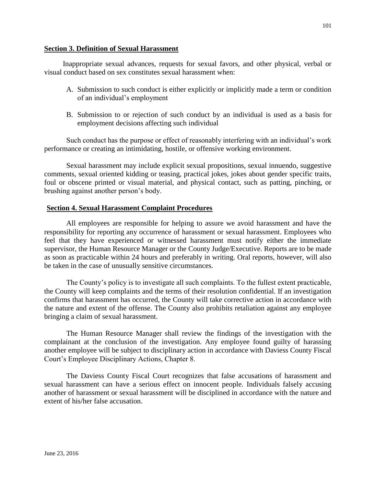#### **Section 3. Definition of Sexual Harassment**

Inappropriate sexual advances, requests for sexual favors, and other physical, verbal or visual conduct based on sex constitutes sexual harassment when:

- A. Submission to such conduct is either explicitly or implicitly made a term or condition of an individual's employment
- B. Submission to or rejection of such conduct by an individual is used as a basis for employment decisions affecting such individual

Such conduct has the purpose or effect of reasonably interfering with an individual's work performance or creating an intimidating, hostile, or offensive working environment.

Sexual harassment may include explicit sexual propositions, sexual innuendo, suggestive comments, sexual oriented kidding or teasing, practical jokes, jokes about gender specific traits, foul or obscene printed or visual material, and physical contact, such as patting, pinching, or brushing against another person's body.

#### **Section 4. Sexual Harassment Complaint Procedures**

All employees are responsible for helping to assure we avoid harassment and have the responsibility for reporting any occurrence of harassment or sexual harassment. Employees who feel that they have experienced or witnessed harassment must notify either the immediate supervisor, the Human Resource Manager or the County Judge/Executive. Reports are to be made as soon as practicable within 24 hours and preferably in writing. Oral reports, however, will also be taken in the case of unusually sensitive circumstances.

The County's policy is to investigate all such complaints. To the fullest extent practicable, the County will keep complaints and the terms of their resolution confidential. If an investigation confirms that harassment has occurred, the County will take corrective action in accordance with the nature and extent of the offense. The County also prohibits retaliation against any employee bringing a claim of sexual harassment.

The Human Resource Manager shall review the findings of the investigation with the complainant at the conclusion of the investigation. Any employee found guilty of harassing another employee will be subject to disciplinary action in accordance with Daviess County Fiscal Court's Employee Disciplinary Actions, Chapter 8.

The Daviess County Fiscal Court recognizes that false accusations of harassment and sexual harassment can have a serious effect on innocent people. Individuals falsely accusing another of harassment or sexual harassment will be disciplined in accordance with the nature and extent of his/her false accusation.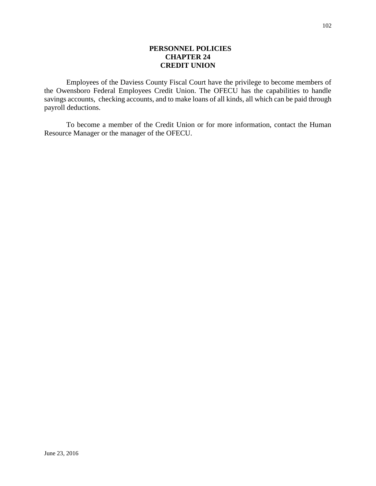### **PERSONNEL POLICIES CHAPTER 24 CREDIT UNION**

Employees of the Daviess County Fiscal Court have the privilege to become members of the Owensboro Federal Employees Credit Union. The OFECU has the capabilities to handle savings accounts, checking accounts, and to make loans of all kinds, all which can be paid through payroll deductions.

To become a member of the Credit Union or for more information, contact the Human Resource Manager or the manager of the OFECU.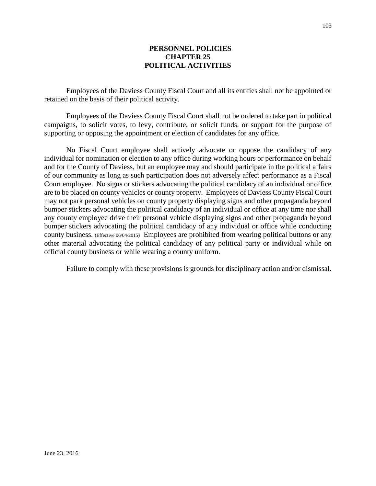### **PERSONNEL POLICIES CHAPTER 25 POLITICAL ACTIVITIES**

Employees of the Daviess County Fiscal Court and all its entities shall not be appointed or retained on the basis of their political activity.

Employees of the Daviess County Fiscal Court shall not be ordered to take part in political campaigns, to solicit votes, to levy, contribute, or solicit funds, or support for the purpose of supporting or opposing the appointment or election of candidates for any office.

No Fiscal Court employee shall actively advocate or oppose the candidacy of any individual for nomination or election to any office during working hours or performance on behalf and for the County of Daviess, but an employee may and should participate in the political affairs of our community as long as such participation does not adversely affect performance as a Fiscal Court employee. No signs or stickers advocating the political candidacy of an individual or office are to be placed on county vehicles or county property. Employees of Daviess County Fiscal Court may not park personal vehicles on county property displaying signs and other propaganda beyond bumper stickers advocating the political candidacy of an individual or office at any time nor shall any county employee drive their personal vehicle displaying signs and other propaganda beyond bumper stickers advocating the political candidacy of any individual or office while conducting county business. (Effective 06/04/2015) Employees are prohibited from wearing political buttons or any other material advocating the political candidacy of any political party or individual while on official county business or while wearing a county uniform.

Failure to comply with these provisions is grounds for disciplinary action and/or dismissal.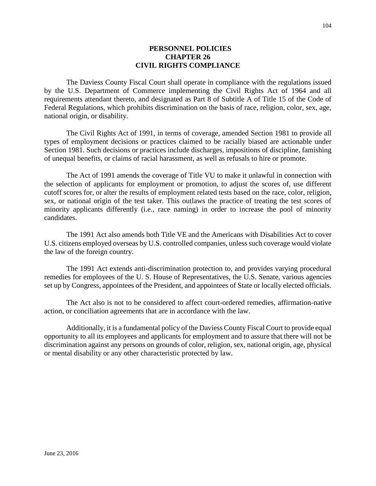#### **PERSONNEL POLICIES CHAPTER 26 CIVIL RIGHTS COMPLIANCE**

The Daviess County Fiscal Court shall operate in compliance with the regulations issued by the U.S. Department of Commerce implementing the Civil Rights Act of 1964 and all requirements attendant thereto, and designated as Part 8 of Subtitle A of Title 15 of the Code of Federal Regulations, which prohibits discrimination on the basis of race, religion, color, sex, age, national origin, or disability.

The Civil Rights Act of 1991, in terms of coverage, amended Section 1981 to provide all types of employment decisions or practices claimed to be racially biased are actionable under Section 1981. Such decisions or practices include discharges, impositions of discipline, famishing of unequal benefits, or claims of racial harassment, as well as refusals to hire or promote.

The Act of 1991 amends the coverage of Title VU to make it unlawful in connection with the selection of applicants for employment or promotion, to adjust the scores of, use different cutoff scores for, or alter the results of employment related tests based on the race, color, religion, sex, or national origin of the test taker. This outlaws the practice of treating the test scores of minority applicants differently (i.e., race naming) in order to increase the pool of minority candidates.

The 1991 Act also amends both Title VE and the Americans with Disabilities Act to cover U.S. citizens employed overseas by U.S. controlled companies, unless such coverage would violate the law of the foreign country.

The 1991 Act extends anti-discrimination protection to, and provides varying procedural remedies for employees of the U. S. House of Representatives, the U.S. Senate, various agencies set up by Congress, appointees of the President, and appointees of State or locally elected officials.

The Act also is not to be considered to affect court-ordered remedies, affirmation-native action, or conciliation agreements that are in accordance with the law.

Additionally, it is a fundamental policy of the Daviess County Fiscal Court to provide equal opportunity to all its employees and applicants for employment and to assure that there will not be discrimination against any persons on grounds of color, religion, sex, national origin, age, physical or mental disability or any other characteristic protected by law.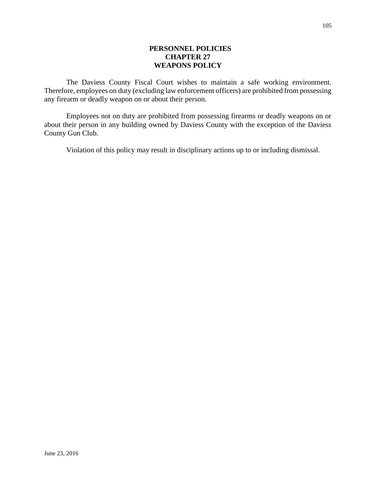### **PERSONNEL POLICIES CHAPTER 27 WEAPONS POLICY**

The Daviess County Fiscal Court wishes to maintain a safe working environment. Therefore, employees on duty (excluding law enforcement officers) are prohibited from possessing any firearm or deadly weapon on or about their person.

Employees not on duty are prohibited from possessing firearms or deadly weapons on or about their person in any building owned by Daviess County with the exception of the Daviess County Gun Club.

Violation of this policy may result in disciplinary actions up to or including dismissal.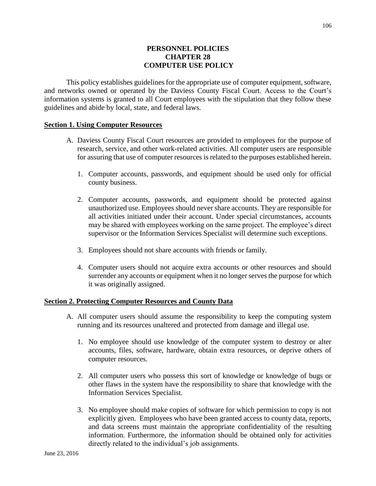### **PERSONNEL POLICIES CHAPTER 28 COMPUTER USE POLICY**

This policy establishes guidelines for the appropriate use of computer equipment, software, and networks owned or operated by the Daviess County Fiscal Court. Access to the Court's information systems is granted to all Court employees with the stipulation that they follow these guidelines and abide by local, state, and federal laws.

#### **Section 1. Using Computer Resources**

- A. Daviess County Fiscal Court resources are provided to employees for the purpose of research, service, and other work-related activities. All computer users are responsible for assuring that use of computer resources is related to the purposes established herein.
	- 1. Computer accounts, passwords, and equipment should be used only for official county business.
	- 2. Computer accounts, passwords, and equipment should be protected against unauthorized use. Employees should never share accounts. They are responsible for all activities initiated under their account. Under special circumstances, accounts may be shared with employees working on the same project. The employee's direct supervisor or the Information Services Specialist will determine such exceptions.
	- 3. Employees should not share accounts with friends or family.
	- 4. Computer users should not acquire extra accounts or other resources and should surrender any accounts or equipment when it no longer serves the purpose for which it was originally assigned.

#### **Section 2. Protecting Computer Resources and County Data**

- A. All computer users should assume the responsibility to keep the computing system running and its resources unaltered and protected from damage and illegal use.
	- 1. No employee should use knowledge of the computer system to destroy or alter accounts, files, software, hardware, obtain extra resources, or deprive others of computer resources.
	- 2. All computer users who possess this sort of knowledge or knowledge of bugs or other flaws in the system have the responsibility to share that knowledge with the Information Services Specialist.
	- 3. No employee should make copies of software for which permission to copy is not explicitly given. Employees who have been granted access to county data, reports, and data screens must maintain the appropriate confidentiality of the resulting information. Furthermore, the information should be obtained only for activities directly related to the individual's job assignments.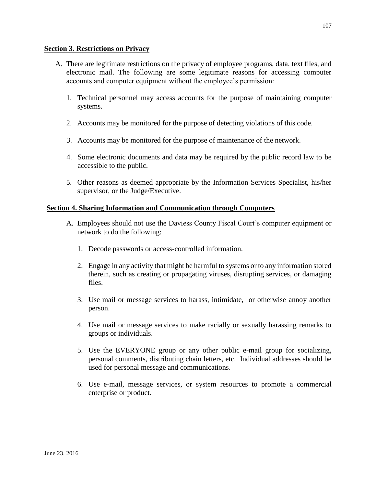#### **Section 3. Restrictions on Privacy**

- A. There are legitimate restrictions on the privacy of employee programs, data, text files, and electronic mail. The following are some legitimate reasons for accessing computer accounts and computer equipment without the employee's permission:
	- 1. Technical personnel may access accounts for the purpose of maintaining computer systems.
	- 2. Accounts may be monitored for the purpose of detecting violations of this code.
	- 3. Accounts may be monitored for the purpose of maintenance of the network.
	- 4. Some electronic documents and data may be required by the public record law to be accessible to the public.
	- 5. Other reasons as deemed appropriate by the Information Services Specialist, his/her supervisor, or the Judge/Executive.

### **Section 4. Sharing Information and Communication through Computers**

- A. Employees should not use the Daviess County Fiscal Court's computer equipment or network to do the following:
	- 1. Decode passwords or access-controlled information.
	- 2. Engage in any activity that might be harmful to systems or to any information stored therein, such as creating or propagating viruses, disrupting services, or damaging files.
	- 3. Use mail or message services to harass, intimidate, or otherwise annoy another person.
	- 4. Use mail or message services to make racially or sexually harassing remarks to groups or individuals.
	- 5. Use the EVERYONE group or any other public e-mail group for socializing, personal comments, distributing chain letters, etc. Individual addresses should be used for personal message and communications.
	- 6. Use e-mail, message services, or system resources to promote a commercial enterprise or product.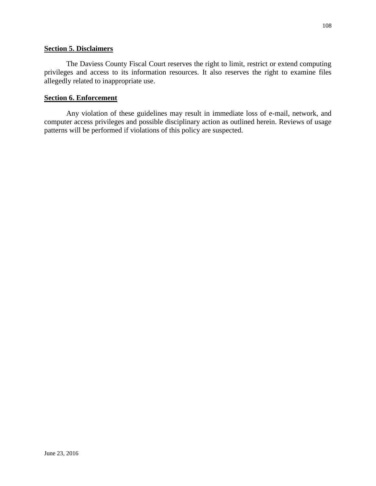#### **Section 5. Disclaimers**

The Daviess County Fiscal Court reserves the right to limit, restrict or extend computing privileges and access to its information resources. It also reserves the right to examine files allegedly related to inappropriate use.

#### **Section 6. Enforcement**

Any violation of these guidelines may result in immediate loss of e-mail, network, and computer access privileges and possible disciplinary action as outlined herein. Reviews of usage patterns will be performed if violations of this policy are suspected.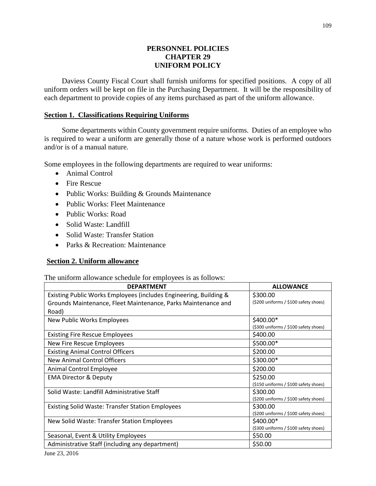# **PERSONNEL POLICIES CHAPTER 29 UNIFORM POLICY**

Daviess County Fiscal Court shall furnish uniforms for specified positions. A copy of all uniform orders will be kept on file in the Purchasing Department. It will be the responsibility of each department to provide copies of any items purchased as part of the uniform allowance.

### **Section 1. Classifications Requiring Uniforms**

Some departments within County government require uniforms. Duties of an employee who is required to wear a uniform are generally those of a nature whose work is performed outdoors and/or is of a manual nature.

Some employees in the following departments are required to wear uniforms:

- Animal Control
- Fire Rescue
- Public Works: Building & Grounds Maintenance
- Public Works: Fleet Maintenance
- Public Works: Road
- Solid Waste: Landfill
- Solid Waste: Transfer Station
- Parks & Recreation: Maintenance

#### **Section 2. Uniform allowance**

The uniform allowance schedule for employees is as follows:

| <b>DEPARTMENT</b>                                                 | <b>ALLOWANCE</b>                      |  |
|-------------------------------------------------------------------|---------------------------------------|--|
| Existing Public Works Employees (includes Engineering, Building & | \$300.00                              |  |
| Grounds Maintenance, Fleet Maintenance, Parks Maintenance and     | (\$200 uniforms / \$100 safety shoes) |  |
| Road)                                                             |                                       |  |
| New Public Works Employees                                        | \$400.00*                             |  |
|                                                                   | (\$300 uniforms / \$100 safety shoes) |  |
| <b>Existing Fire Rescue Employees</b>                             | \$400.00                              |  |
| New Fire Rescue Employees                                         | \$500.00*                             |  |
| <b>Existing Animal Control Officers</b>                           | \$200.00                              |  |
| New Animal Control Officers                                       | \$300.00*                             |  |
| Animal Control Employee                                           | \$200.00                              |  |
| <b>EMA Director &amp; Deputy</b>                                  | \$250.00                              |  |
|                                                                   | (\$150 uniforms / \$100 safety shoes) |  |
| Solid Waste: Landfill Administrative Staff                        | \$300.00                              |  |
|                                                                   | (\$200 uniforms / \$100 safety shoes) |  |
| <b>Existing Solid Waste: Transfer Station Employees</b>           | \$300.00                              |  |
|                                                                   | (\$200 uniforms / \$100 safety shoes) |  |
| New Solid Waste: Transfer Station Employees                       | \$400.00*                             |  |
|                                                                   | (\$300 uniforms / \$100 safety shoes) |  |
| Seasonal, Event & Utility Employees                               | \$50.00                               |  |
| Administrative Staff (including any department)                   | \$50.00                               |  |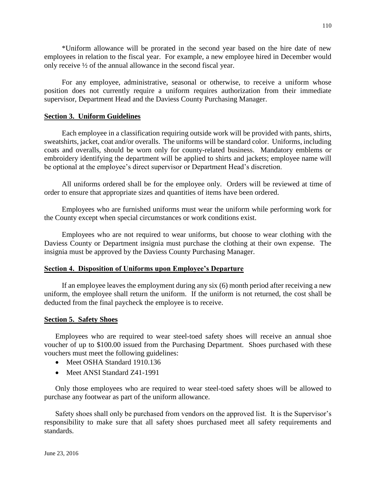\*Uniform allowance will be prorated in the second year based on the hire date of new employees in relation to the fiscal year. For example, a new employee hired in December would only receive ½ of the annual allowance in the second fiscal year.

For any employee, administrative, seasonal or otherwise, to receive a uniform whose position does not currently require a uniform requires authorization from their immediate supervisor, Department Head and the Daviess County Purchasing Manager.

### **Section 3. Uniform Guidelines**

Each employee in a classification requiring outside work will be provided with pants, shirts, sweatshirts, jacket, coat and/or overalls. The uniforms will be standard color. Uniforms, including coats and overalls, should be worn only for county-related business. Mandatory emblems or embroidery identifying the department will be applied to shirts and jackets; employee name will be optional at the employee's direct supervisor or Department Head's discretion.

All uniforms ordered shall be for the employee only. Orders will be reviewed at time of order to ensure that appropriate sizes and quantities of items have been ordered.

Employees who are furnished uniforms must wear the uniform while performing work for the County except when special circumstances or work conditions exist.

Employees who are not required to wear uniforms, but choose to wear clothing with the Daviess County or Department insignia must purchase the clothing at their own expense. The insignia must be approved by the Daviess County Purchasing Manager.

#### **Section 4. Disposition of Uniforms upon Employee's Departure**

If an employee leaves the employment during any six (6) month period after receiving a new uniform, the employee shall return the uniform. If the uniform is not returned, the cost shall be deducted from the final paycheck the employee is to receive.

### **Section 5. Safety Shoes**

Employees who are required to wear steel-toed safety shoes will receive an annual shoe voucher of up to \$100.00 issued from the Purchasing Department. Shoes purchased with these vouchers must meet the following guidelines:

- Meet OSHA Standard 1910.136
- Meet ANSI Standard 741-1991

Only those employees who are required to wear steel-toed safety shoes will be allowed to purchase any footwear as part of the uniform allowance.

Safety shoes shall only be purchased from vendors on the approved list. It is the Supervisor's responsibility to make sure that all safety shoes purchased meet all safety requirements and standards.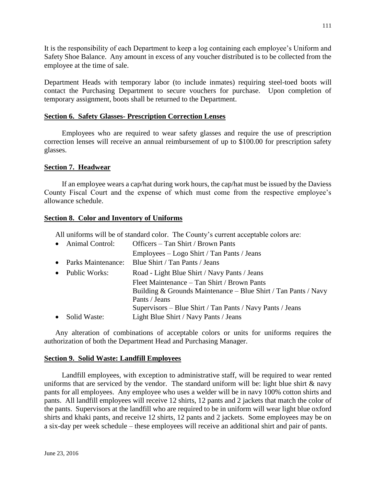It is the responsibility of each Department to keep a log containing each employee's Uniform and Safety Shoe Balance. Any amount in excess of any voucher distributed is to be collected from the employee at the time of sale.

Department Heads with temporary labor (to include inmates) requiring steel-toed boots will contact the Purchasing Department to secure vouchers for purchase. Upon completion of temporary assignment, boots shall be returned to the Department.

### **Section 6. Safety Glasses- Prescription Correction Lenses**

Employees who are required to wear safety glasses and require the use of prescription correction lenses will receive an annual reimbursement of up to \$100.00 for prescription safety glasses.

# **Section 7. Headwear**

If an employee wears a cap/hat during work hours, the cap/hat must be issued by the Daviess County Fiscal Court and the expense of which must come from the respective employee's allowance schedule.

### **Section 8. Color and Inventory of Uniforms**

All uniforms will be of standard color. The County's current acceptable colors are:

| • Animal Control:    | Officers – Tan Shirt / Brown Pants                             |
|----------------------|----------------------------------------------------------------|
|                      | Employees – Logo Shirt / Tan Pants / Jeans                     |
| • Parks Maintenance: | Blue Shirt / Tan Pants / Jeans                                 |
| • Public Works:      | Road - Light Blue Shirt / Navy Pants / Jeans                   |
|                      | Fleet Maintenance – Tan Shirt / Brown Pants                    |
|                      | Building & Grounds Maintenance – Blue Shirt / Tan Pants / Navy |
|                      | Pants / Jeans                                                  |
|                      | Supervisors – Blue Shirt / Tan Pants / Navy Pants / Jeans      |
| • Solid Waste:       | Light Blue Shirt / Navy Pants / Jeans                          |

Any alteration of combinations of acceptable colors or units for uniforms requires the authorization of both the Department Head and Purchasing Manager.

### **Section 9. Solid Waste: Landfill Employees**

Landfill employees, with exception to administrative staff, will be required to wear rented uniforms that are serviced by the vendor. The standard uniform will be: light blue shirt  $\&$  navy pants for all employees. Any employee who uses a welder will be in navy 100% cotton shirts and pants. All landfill employees will receive 12 shirts, 12 pants and 2 jackets that match the color of the pants. Supervisors at the landfill who are required to be in uniform will wear light blue oxford shirts and khaki pants, and receive 12 shirts, 12 pants and 2 jackets. Some employees may be on a six-day per week schedule – these employees will receive an additional shirt and pair of pants.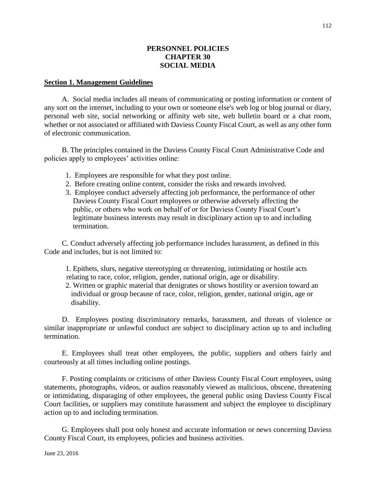### **PERSONNEL POLICIES CHAPTER 30 SOCIAL MEDIA**

#### **Section 1. Management Guidelines**

A. Social media includes all means of communicating or posting information or content of any sort on the internet, including to your own or someone else's web log or blog journal or diary, personal web site, social networking or affinity web site, web bulletin board or a chat room, whether or not associated or affiliated with Daviess County Fiscal Court, as well as any other form of electronic communication.

B. The principles contained in the Daviess County Fiscal Court Administrative Code and policies apply to employees' activities online:

- 1. Employees are responsible for what they post online.
- 2. Before creating online content, consider the risks and rewards involved.
- 3. Employee conduct adversely affecting job performance, the performance of other Daviess County Fiscal Court employees or otherwise adversely affecting the public, or others who work on behalf of or for Daviess County Fiscal Court's legitimate business interests may result in disciplinary action up to and including termination.

C. Conduct adversely affecting job performance includes harassment, as defined in this Code and includes, but is not limited to:

 1. Epithets, slurs, negative stereotyping or threatening, intimidating or hostile acts relating to race, color, religion, gender, national origin, age or disability.

 2. Written or graphic material that denigrates or shows hostility or aversion toward an individual or group because of race, color, religion, gender, national origin, age or disability.

D. Employees posting discriminatory remarks, harassment, and threats of violence or similar inappropriate or unlawful conduct are subject to disciplinary action up to and including termination.

E. Employees shall treat other employees, the public, suppliers and others fairly and courteously at all times including online postings.

F. Posting complaints or criticisms of other Daviess County Fiscal Court employees, using statements, photographs, videos, or audios reasonably viewed as malicious, obscene, threatening or intimidating, disparaging of other employees, the general public using Daviess County Fiscal Court facilities, or suppliers may constitute harassment and subject the employee to disciplinary action up to and including termination.

G. Employees shall post only honest and accurate information or news concerning Daviess County Fiscal Court, its employees, policies and business activities.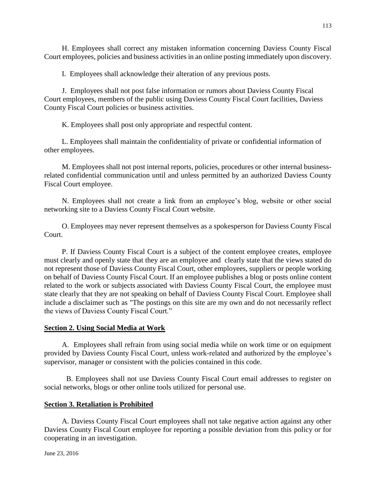H. Employees shall correct any mistaken information concerning Daviess County Fiscal Court employees, policies and business activities in an online posting immediately upon discovery.

I. Employees shall acknowledge their alteration of any previous posts.

J. Employees shall not post false information or rumors about Daviess County Fiscal Court employees, members of the public using Daviess County Fiscal Court facilities, Daviess County Fiscal Court policies or business activities.

K. Employees shall post only appropriate and respectful content.

L. Employees shall maintain the confidentiality of private or confidential information of other employees.

M. Employees shall not post internal reports, policies, procedures or other internal businessrelated confidential communication until and unless permitted by an authorized Daviess County Fiscal Court employee.

N. Employees shall not create a link from an employee's blog, website or other social networking site to a Daviess County Fiscal Court website.

O. Employees may never represent themselves as a spokesperson for Daviess County Fiscal Court.

P. If Daviess County Fiscal Court is a subject of the content employee creates, employee must clearly and openly state that they are an employee and clearly state that the views stated do not represent those of Daviess County Fiscal Court, other employees, suppliers or people working on behalf of Daviess County Fiscal Court. If an employee publishes a blog or posts online content related to the work or subjects associated with Daviess County Fiscal Court, the employee must state clearly that they are not speaking on behalf of Daviess County Fiscal Court. Employee shall include a disclaimer such as "The postings on this site are my own and do not necessarily reflect the views of Daviess County Fiscal Court."

### **Section 2. Using Social Media at Work**

A. Employees shall refrain from using social media while on work time or on equipment provided by Daviess County Fiscal Court, unless work-related and authorized by the employee's supervisor, manager or consistent with the policies contained in this code.

B. Employees shall not use Daviess County Fiscal Court email addresses to register on social networks, blogs or other online tools utilized for personal use.

### **Section 3. Retaliation is Prohibited**

A. Daviess County Fiscal Court employees shall not take negative action against any other Daviess County Fiscal Court employee for reporting a possible deviation from this policy or for cooperating in an investigation.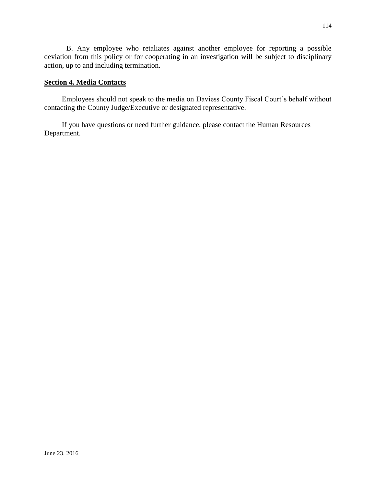B. Any employee who retaliates against another employee for reporting a possible deviation from this policy or for cooperating in an investigation will be subject to disciplinary action, up to and including termination.

# **Section 4. Media Contacts**

Employees should not speak to the media on Daviess County Fiscal Court's behalf without contacting the County Judge/Executive or designated representative.

If you have questions or need further guidance, please contact the Human Resources Department.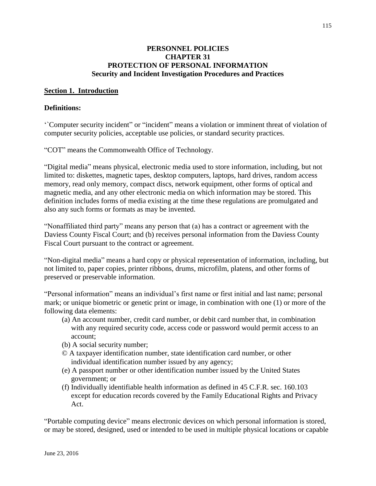### **PERSONNEL POLICIES CHAPTER 31 PROTECTION OF PERSONAL INFORMATION Security and Incident Investigation Procedures and Practices**

### **Section 1. Introduction**

#### **Definitions:**

'`Computer security incident" or "incident" means a violation or imminent threat of violation of computer security policies, acceptable use policies, or standard security practices.

"COT" means the Commonwealth Office of Technology.

"Digital media" means physical, electronic media used to store information, including, but not limited to: diskettes, magnetic tapes, desktop computers, laptops, hard drives, random access memory, read only memory, compact discs, network equipment, other forms of optical and magnetic media, and any other electronic media on which information may be stored. This definition includes forms of media existing at the time these regulations are promulgated and also any such forms or formats as may be invented.

"Nonaffiliated third party" means any person that (a) has a contract or agreement with the Daviess County Fiscal Court; and (b) receives personal information from the Daviess County Fiscal Court pursuant to the contract or agreement.

"Non-digital media" means a hard copy or physical representation of information, including, but not limited to, paper copies, printer ribbons, drums, microfilm, platens, and other forms of preserved or preservable information.

"Personal information" means an individual's first name or first initial and last name; personal mark; or unique biometric or genetic print or image, in combination with one (1) or more of the following data elements:

- (a) An account number, credit card number, or debit card number that, in combination with any required security code, access code or password would permit access to an account;
- (b) A social security number;
- © A taxpayer identification number, state identification card number, or other individual identification number issued by any agency;
- (e) A passport number or other identification number issued by the United States government; or
- (f) Individually identifiable health information as defined in 45 C.F.R. sec. 160.103 except for education records covered by the Family Educational Rights and Privacy Act.

"Portable computing device" means electronic devices on which personal information is stored, or may be stored, designed, used or intended to be used in multiple physical locations or capable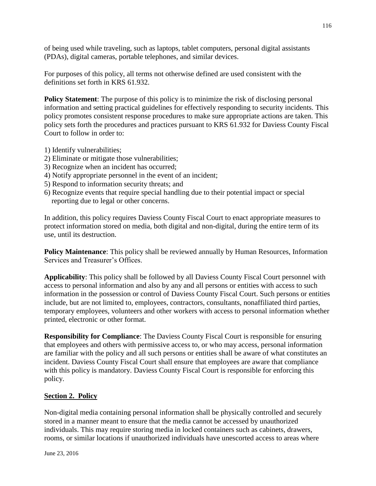of being used while traveling, such as laptops, tablet computers, personal digital assistants (PDAs), digital cameras, portable telephones, and similar devices.

For purposes of this policy, all terms not otherwise defined are used consistent with the definitions set forth in KRS 61.932.

**Policy Statement:** The purpose of this policy is to minimize the risk of disclosing personal information and setting practical guidelines for effectively responding to security incidents. This policy promotes consistent response procedures to make sure appropriate actions are taken. This policy sets forth the procedures and practices pursuant to KRS 61.932 for Daviess County Fiscal Court to follow in order to:

- 1) Identify vulnerabilities;
- 2) Eliminate or mitigate those vulnerabilities;
- 3) Recognize when an incident has occurred;
- 4) Notify appropriate personnel in the event of an incident;
- 5) Respond to information security threats; and
- 6) Recognize events that require special handling due to their potential impact or special reporting due to legal or other concerns.

In addition, this policy requires Daviess County Fiscal Court to enact appropriate measures to protect information stored on media, both digital and non-digital, during the entire term of its use, until its destruction.

**Policy Maintenance:** This policy shall be reviewed annually by Human Resources, Information Services and Treasurer's Offices.

**Applicability**: This policy shall be followed by all Daviess County Fiscal Court personnel with access to personal information and also by any and all persons or entities with access to such information in the possession or control of Daviess County Fiscal Court. Such persons or entities include, but are not limited to, employees, contractors, consultants, nonaffiliated third parties, temporary employees, volunteers and other workers with access to personal information whether printed, electronic or other format.

**Responsibility for Compliance**: The Daviess County Fiscal Court is responsible for ensuring that employees and others with permissive access to, or who may access, personal information are familiar with the policy and all such persons or entities shall be aware of what constitutes an incident. Daviess County Fiscal Court shall ensure that employees are aware that compliance with this policy is mandatory. Daviess County Fiscal Court is responsible for enforcing this policy.

### **Section 2. Policy**

Non-digital media containing personal information shall be physically controlled and securely stored in a manner meant to ensure that the media cannot be accessed by unauthorized individuals. This may require storing media in locked containers such as cabinets, drawers, rooms, or similar locations if unauthorized individuals have unescorted access to areas where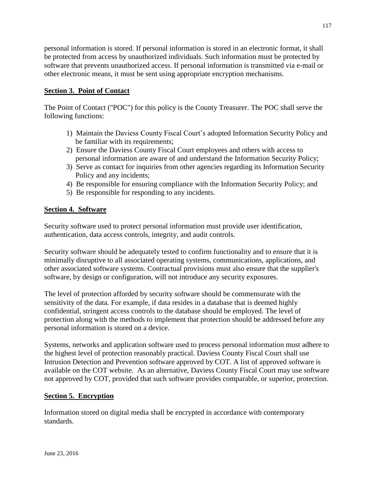personal information is stored. If personal information is stored in an electronic format, it shall be protected from access by unauthorized individuals. Such information must be protected by software that prevents unauthorized access. If personal information is transmitted via e-mail or other electronic means, it must be sent using appropriate encryption mechanisms.

# **Section 3. Point of Contact**

The Point of Contact ("POC") for this policy is the County Treasurer. The POC shall serve the following functions:

- 1) Maintain the Daviess County Fiscal Court's adopted Information Security Policy and be familiar with its requirements;
- 2) Ensure the Daviess County Fiscal Court employees and others with access to personal information are aware of and understand the Information Security Policy;
- 3) Serve as contact for inquiries from other agencies regarding its Information Security Policy and any incidents;
- 4) Be responsible for ensuring compliance with the Information Security Policy; and
- 5) Be responsible for responding to any incidents.

# **Section 4. Software**

Security software used to protect personal information must provide user identification, authentication, data access controls, integrity, and audit controls.

Security software should be adequately tested to confirm functionality and to ensure that it is minimally disruptive to all associated operating systems, communications, applications, and other associated software systems. Contractual provisions must also ensure that the supplier's software, by design or configuration, will not introduce any security exposures.

The level of protection afforded by security software should be commensurate with the sensitivity of the data. For example, if data resides in a database that is deemed highly confidential, stringent access controls to the database should be employed. The level of protection along with the methods to implement that protection should be addressed before any personal information is stored on a device.

Systems, networks and application software used to process personal information must adhere to the highest level of protection reasonably practical. Daviess County Fiscal Court shall use Intrusion Detection and Prevention software approved by COT. A list of approved software is available on the COT website. As an alternative, Daviess County Fiscal Court may use software not approved by COT, provided that such software provides comparable, or superior, protection.

# **Section 5. Encryption**

Information stored on digital media shall be encrypted in accordance with contemporary standards.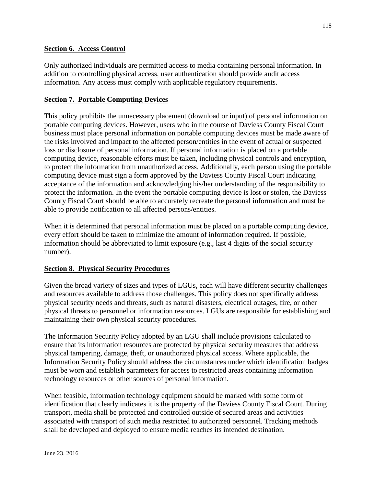# **Section 6. Access Control**

Only authorized individuals are permitted access to media containing personal information. In addition to controlling physical access, user authentication should provide audit access information. Any access must comply with applicable regulatory requirements.

# **Section 7. Portable Computing Devices**

This policy prohibits the unnecessary placement (download or input) of personal information on portable computing devices. However, users who in the course of Daviess County Fiscal Court business must place personal information on portable computing devices must be made aware of the risks involved and impact to the affected person/entities in the event of actual or suspected loss or disclosure of personal information. If personal information is placed on a portable computing device, reasonable efforts must be taken, including physical controls and encryption, to protect the information from unauthorized access. Additionally, each person using the portable computing device must sign a form approved by the Daviess County Fiscal Court indicating acceptance of the information and acknowledging his/her understanding of the responsibility to protect the information. In the event the portable computing device is lost or stolen, the Daviess County Fiscal Court should be able to accurately recreate the personal information and must be able to provide notification to all affected persons/entities.

When it is determined that personal information must be placed on a portable computing device, every effort should be taken to minimize the amount of information required. If possible, information should be abbreviated to limit exposure (e.g., last 4 digits of the social security number).

### **Section 8. Physical Security Procedures**

Given the broad variety of sizes and types of LGUs, each will have different security challenges and resources available to address those challenges. This policy does not specifically address physical security needs and threats, such as natural disasters, electrical outages, fire, or other physical threats to personnel or information resources. LGUs are responsible for establishing and maintaining their own physical security procedures.

The Information Security Policy adopted by an LGU shall include provisions calculated to ensure that its information resources are protected by physical security measures that address physical tampering, damage, theft, or unauthorized physical access. Where applicable, the Information Security Policy should address the circumstances under which identification badges must be worn and establish parameters for access to restricted areas containing information technology resources or other sources of personal information.

When feasible, information technology equipment should be marked with some form of identification that clearly indicates it is the property of the Daviess County Fiscal Court. During transport, media shall be protected and controlled outside of secured areas and activities associated with transport of such media restricted to authorized personnel. Tracking methods shall be developed and deployed to ensure media reaches its intended destination.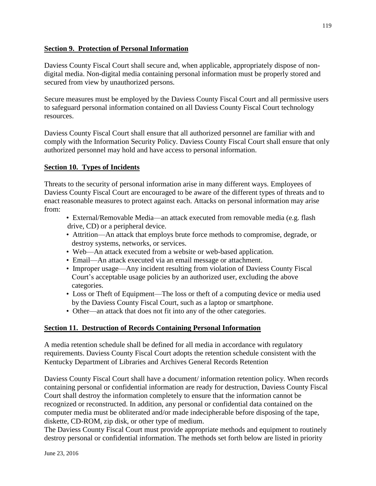# **Section 9. Protection of Personal Information**

Daviess County Fiscal Court shall secure and, when applicable, appropriately dispose of nondigital media. Non-digital media containing personal information must be properly stored and secured from view by unauthorized persons.

Secure measures must be employed by the Daviess County Fiscal Court and all permissive users to safeguard personal information contained on all Daviess County Fiscal Court technology resources.

Daviess County Fiscal Court shall ensure that all authorized personnel are familiar with and comply with the Information Security Policy. Daviess County Fiscal Court shall ensure that only authorized personnel may hold and have access to personal information.

# **Section 10. Types of Incidents**

Threats to the security of personal information arise in many different ways. Employees of Daviess County Fiscal Court are encouraged to be aware of the different types of threats and to enact reasonable measures to protect against each. Attacks on personal information may arise from:

- External/Removable Media—an attack executed from removable media (e.g. flash drive, CD) or a peripheral device.
- Attrition—An attack that employs brute force methods to compromise, degrade, or destroy systems, networks, or services.
- Web—An attack executed from a website or web-based application.
- Email—An attack executed via an email message or attachment.
- Improper usage—Any incident resulting from violation of Daviess County Fiscal Court's acceptable usage policies by an authorized user, excluding the above categories.
- Loss or Theft of Equipment—The loss or theft of a computing device or media used by the Daviess County Fiscal Court, such as a laptop or smartphone.
- Other—an attack that does not fit into any of the other categories.

# **Section 11. Destruction of Records Containing Personal Information**

A media retention schedule shall be defined for all media in accordance with regulatory requirements. Daviess County Fiscal Court adopts the retention schedule consistent with the Kentucky Department of Libraries and Archives General Records Retention

Daviess County Fiscal Court shall have a document/ information retention policy. When records containing personal or confidential information are ready for destruction, Daviess County Fiscal Court shall destroy the information completely to ensure that the information cannot be recognized or reconstructed. In addition, any personal or confidential data contained on the computer media must be obliterated and/or made indecipherable before disposing of the tape, diskette, CD-ROM, zip disk, or other type of medium.

The Daviess County Fiscal Court must provide appropriate methods and equipment to routinely destroy personal or confidential information. The methods set forth below are listed in priority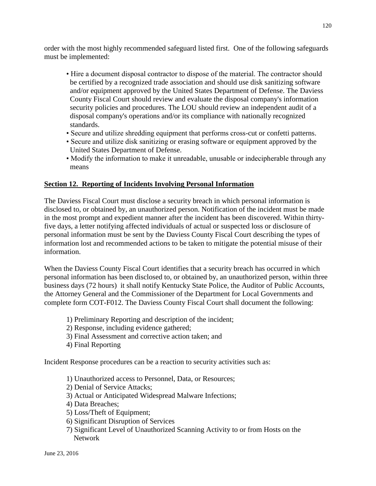order with the most highly recommended safeguard listed first. One of the following safeguards must be implemented:

- Hire a document disposal contractor to dispose of the material. The contractor should be certified by a recognized trade association and should use disk sanitizing software and/or equipment approved by the United States Department of Defense. The Daviess County Fiscal Court should review and evaluate the disposal company's information security policies and procedures. The LOU should review an independent audit of a disposal company's operations and/or its compliance with nationally recognized standards.
- Secure and utilize shredding equipment that performs cross-cut or confetti patterns.
- Secure and utilize disk sanitizing or erasing software or equipment approved by the United States Department of Defense.
- Modify the information to make it unreadable, unusable or indecipherable through any means

# **Section 12. Reporting of Incidents Involving Personal Information**

The Daviess Fiscal Court must disclose a security breach in which personal information is disclosed to, or obtained by, an unauthorized person. Notification of the incident must be made in the most prompt and expedient manner after the incident has been discovered. Within thirtyfive days, a letter notifying affected individuals of actual or suspected loss or disclosure of personal information must be sent by the Daviess County Fiscal Court describing the types of information lost and recommended actions to be taken to mitigate the potential misuse of their information.

When the Daviess County Fiscal Court identifies that a security breach has occurred in which personal information has been disclosed to, or obtained by, an unauthorized person, within three business days (72 hours) it shall notify Kentucky State Police, the Auditor of Public Accounts, the Attorney General and the Commissioner of the Department for Local Governments and complete form COT-F012. The Daviess County Fiscal Court shall document the following:

- 1) Preliminary Reporting and description of the incident;
- 2) Response, including evidence gathered;
- 3) Final Assessment and corrective action taken; and
- 4) Final Reporting

Incident Response procedures can be a reaction to security activities such as:

- 1) Unauthorized access to Personnel, Data, or Resources;
- 2) Denial of Service Attacks;
- 3) Actual or Anticipated Widespread Malware Infections;
- 4) Data Breaches;
- 5) Loss/Theft of Equipment;
- 6) Significant Disruption of Services
- 7) Significant Level of Unauthorized Scanning Activity to or from Hosts on the Network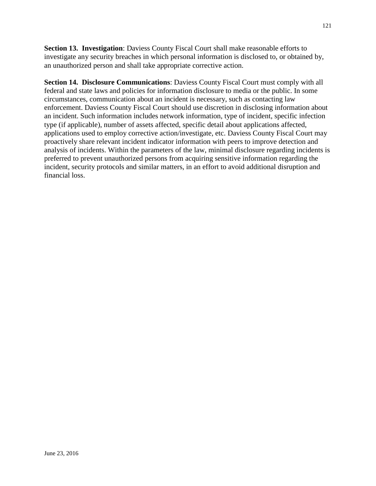**Section 13. Investigation**: Daviess County Fiscal Court shall make reasonable efforts to investigate any security breaches in which personal information is disclosed to, or obtained by, an unauthorized person and shall take appropriate corrective action.

**Section 14. Disclosure Communications**: Daviess County Fiscal Court must comply with all federal and state laws and policies for information disclosure to media or the public. In some circumstances, communication about an incident is necessary, such as contacting law enforcement. Daviess County Fiscal Court should use discretion in disclosing information about an incident. Such information includes network information, type of incident, specific infection type (if applicable), number of assets affected, specific detail about applications affected, applications used to employ corrective action/investigate, etc. Daviess County Fiscal Court may proactively share relevant incident indicator information with peers to improve detection and analysis of incidents. Within the parameters of the law, minimal disclosure regarding incidents is preferred to prevent unauthorized persons from acquiring sensitive information regarding the incident, security protocols and similar matters, in an effort to avoid additional disruption and financial loss.